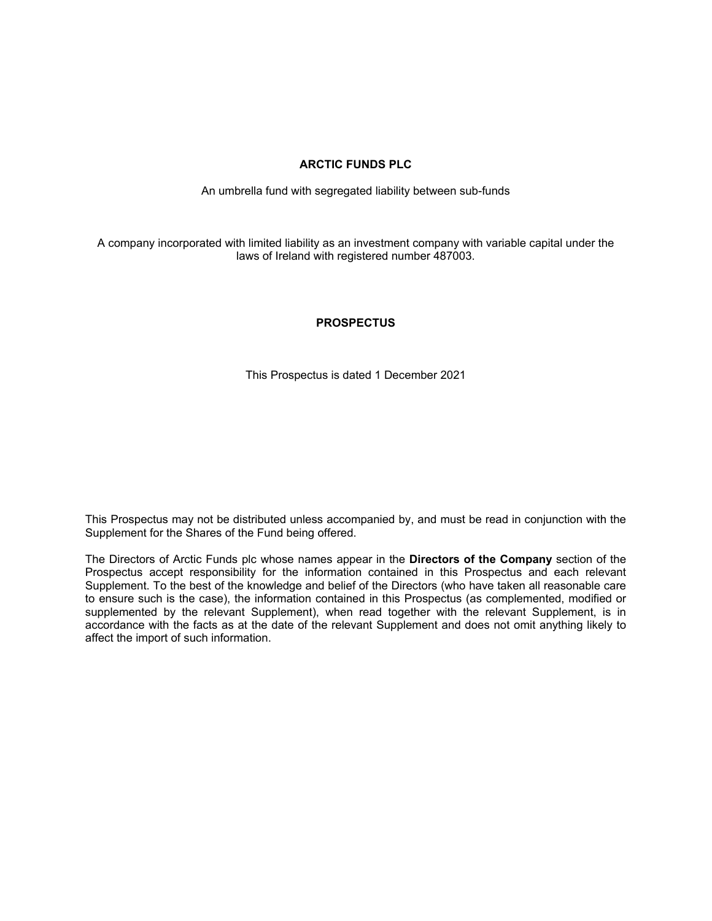# **ARCTIC FUNDS PLC**

An umbrella fund with segregated liability between sub-funds

A company incorporated with limited liability as an investment company with variable capital under the laws of Ireland with registered number 487003.

## **PROSPECTUS**

This Prospectus is dated 1 December 2021

This Prospectus may not be distributed unless accompanied by, and must be read in conjunction with the Supplement for the Shares of the Fund being offered.

The Directors of Arctic Funds plc whose names appear in the **Directors of the Company** section of the Prospectus accept responsibility for the information contained in this Prospectus and each relevant Supplement. To the best of the knowledge and belief of the Directors (who have taken all reasonable care to ensure such is the case), the information contained in this Prospectus (as complemented, modified or supplemented by the relevant Supplement), when read together with the relevant Supplement, is in accordance with the facts as at the date of the relevant Supplement and does not omit anything likely to affect the import of such information.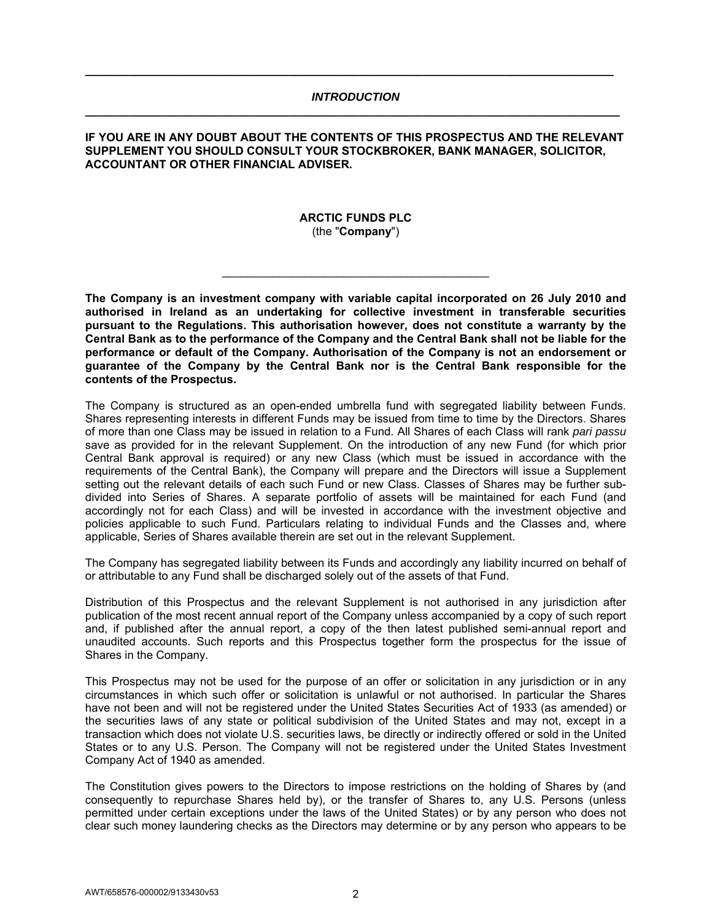### *INTRODUCTION*  **\_\_\_\_\_\_\_\_\_\_\_\_\_\_\_\_\_\_\_\_\_\_\_\_\_\_\_\_\_\_\_\_\_\_\_\_\_\_\_\_\_\_\_\_\_\_\_\_\_\_\_\_\_\_\_\_\_\_\_\_\_\_\_\_\_\_\_\_\_\_\_\_\_\_\_\_\_\_\_\_\_\_\_\_**

**\_\_\_\_\_\_\_\_\_\_\_\_\_\_\_\_\_\_\_\_\_\_\_\_\_\_\_\_\_\_\_\_\_\_\_\_\_\_\_\_\_\_\_\_\_\_\_\_\_\_\_\_\_\_\_\_\_\_\_\_\_\_\_\_\_\_\_\_\_\_\_\_\_\_\_\_\_\_\_\_\_\_\_** 

### **IF YOU ARE IN ANY DOUBT ABOUT THE CONTENTS OF THIS PROSPECTUS AND THE RELEVANT SUPPLEMENT YOU SHOULD CONSULT YOUR STOCKBROKER, BANK MANAGER, SOLICITOR, ACCOUNTANT OR OTHER FINANCIAL ADVISER.**

### **ARCTIC FUNDS PLC**  (the "**Company**")

**The Company is an investment company with variable capital incorporated on 26 July 2010 and authorised in Ireland as an undertaking for collective investment in transferable securities pursuant to the Regulations. This authorisation however, does not constitute a warranty by the Central Bank as to the performance of the Company and the Central Bank shall not be liable for the performance or default of the Company. Authorisation of the Company is not an endorsement or guarantee of the Company by the Central Bank nor is the Central Bank responsible for the contents of the Prospectus.** 

The Company is structured as an open-ended umbrella fund with segregated liability between Funds. Shares representing interests in different Funds may be issued from time to time by the Directors. Shares of more than one Class may be issued in relation to a Fund. All Shares of each Class will rank *pari passu* save as provided for in the relevant Supplement. On the introduction of any new Fund (for which prior Central Bank approval is required) or any new Class (which must be issued in accordance with the requirements of the Central Bank), the Company will prepare and the Directors will issue a Supplement setting out the relevant details of each such Fund or new Class. Classes of Shares may be further subdivided into Series of Shares. A separate portfolio of assets will be maintained for each Fund (and accordingly not for each Class) and will be invested in accordance with the investment objective and policies applicable to such Fund. Particulars relating to individual Funds and the Classes and, where applicable, Series of Shares available therein are set out in the relevant Supplement.

The Company has segregated liability between its Funds and accordingly any liability incurred on behalf of or attributable to any Fund shall be discharged solely out of the assets of that Fund.

Distribution of this Prospectus and the relevant Supplement is not authorised in any jurisdiction after publication of the most recent annual report of the Company unless accompanied by a copy of such report and, if published after the annual report, a copy of the then latest published semi-annual report and unaudited accounts. Such reports and this Prospectus together form the prospectus for the issue of Shares in the Company.

This Prospectus may not be used for the purpose of an offer or solicitation in any jurisdiction or in any circumstances in which such offer or solicitation is unlawful or not authorised. In particular the Shares have not been and will not be registered under the United States Securities Act of 1933 (as amended) or the securities laws of any state or political subdivision of the United States and may not, except in a transaction which does not violate U.S. securities laws, be directly or indirectly offered or sold in the United States or to any U.S. Person. The Company will not be registered under the United States Investment Company Act of 1940 as amended.

The Constitution gives powers to the Directors to impose restrictions on the holding of Shares by (and consequently to repurchase Shares held by), or the transfer of Shares to, any U.S. Persons (unless permitted under certain exceptions under the laws of the United States) or by any person who does not clear such money laundering checks as the Directors may determine or by any person who appears to be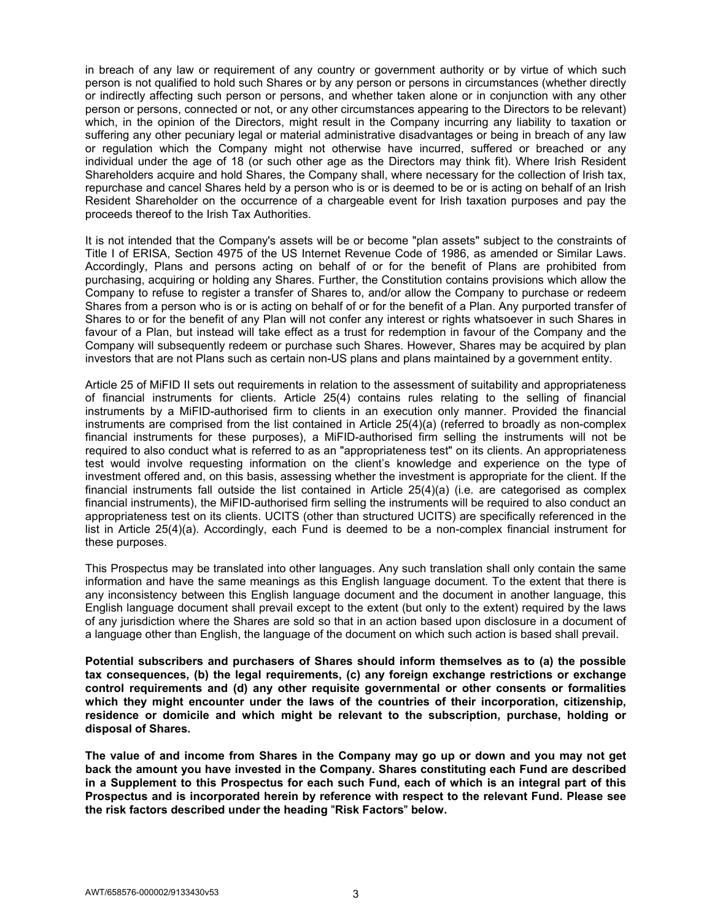in breach of any law or requirement of any country or government authority or by virtue of which such person is not qualified to hold such Shares or by any person or persons in circumstances (whether directly or indirectly affecting such person or persons, and whether taken alone or in conjunction with any other person or persons, connected or not, or any other circumstances appearing to the Directors to be relevant) which, in the opinion of the Directors, might result in the Company incurring any liability to taxation or suffering any other pecuniary legal or material administrative disadvantages or being in breach of any law or regulation which the Company might not otherwise have incurred, suffered or breached or any individual under the age of 18 (or such other age as the Directors may think fit). Where Irish Resident Shareholders acquire and hold Shares, the Company shall, where necessary for the collection of Irish tax, repurchase and cancel Shares held by a person who is or is deemed to be or is acting on behalf of an Irish Resident Shareholder on the occurrence of a chargeable event for Irish taxation purposes and pay the proceeds thereof to the Irish Tax Authorities.

It is not intended that the Company's assets will be or become "plan assets" subject to the constraints of Title I of ERISA, Section 4975 of the US Internet Revenue Code of 1986, as amended or Similar Laws. Accordingly, Plans and persons acting on behalf of or for the benefit of Plans are prohibited from purchasing, acquiring or holding any Shares. Further, the Constitution contains provisions which allow the Company to refuse to register a transfer of Shares to, and/or allow the Company to purchase or redeem Shares from a person who is or is acting on behalf of or for the benefit of a Plan. Any purported transfer of Shares to or for the benefit of any Plan will not confer any interest or rights whatsoever in such Shares in favour of a Plan, but instead will take effect as a trust for redemption in favour of the Company and the Company will subsequently redeem or purchase such Shares. However, Shares may be acquired by plan investors that are not Plans such as certain non-US plans and plans maintained by a government entity.

Article 25 of MiFID II sets out requirements in relation to the assessment of suitability and appropriateness of financial instruments for clients. Article 25(4) contains rules relating to the selling of financial instruments by a MiFID-authorised firm to clients in an execution only manner. Provided the financial instruments are comprised from the list contained in Article 25(4)(a) (referred to broadly as non-complex financial instruments for these purposes), a MiFID-authorised firm selling the instruments will not be required to also conduct what is referred to as an "appropriateness test" on its clients. An appropriateness test would involve requesting information on the client's knowledge and experience on the type of investment offered and, on this basis, assessing whether the investment is appropriate for the client. If the financial instruments fall outside the list contained in Article 25(4)(a) (i.e. are categorised as complex financial instruments), the MiFID-authorised firm selling the instruments will be required to also conduct an appropriateness test on its clients. UCITS (other than structured UCITS) are specifically referenced in the list in Article 25(4)(a). Accordingly, each Fund is deemed to be a non-complex financial instrument for these purposes.

This Prospectus may be translated into other languages. Any such translation shall only contain the same information and have the same meanings as this English language document. To the extent that there is any inconsistency between this English language document and the document in another language, this English language document shall prevail except to the extent (but only to the extent) required by the laws of any jurisdiction where the Shares are sold so that in an action based upon disclosure in a document of a language other than English, the language of the document on which such action is based shall prevail.

**Potential subscribers and purchasers of Shares should inform themselves as to (a) the possible tax consequences, (b) the legal requirements, (c) any foreign exchange restrictions or exchange control requirements and (d) any other requisite governmental or other consents or formalities which they might encounter under the laws of the countries of their incorporation, citizenship, residence or domicile and which might be relevant to the subscription, purchase, holding or disposal of Shares.** 

**The value of and income from Shares in the Company may go up or down and you may not get back the amount you have invested in the Company. Shares constituting each Fund are described in a Supplement to this Prospectus for each such Fund, each of which is an integral part of this Prospectus and is incorporated herein by reference with respect to the relevant Fund. Please see the risk factors described under the heading** "**Risk Factors**" **below.**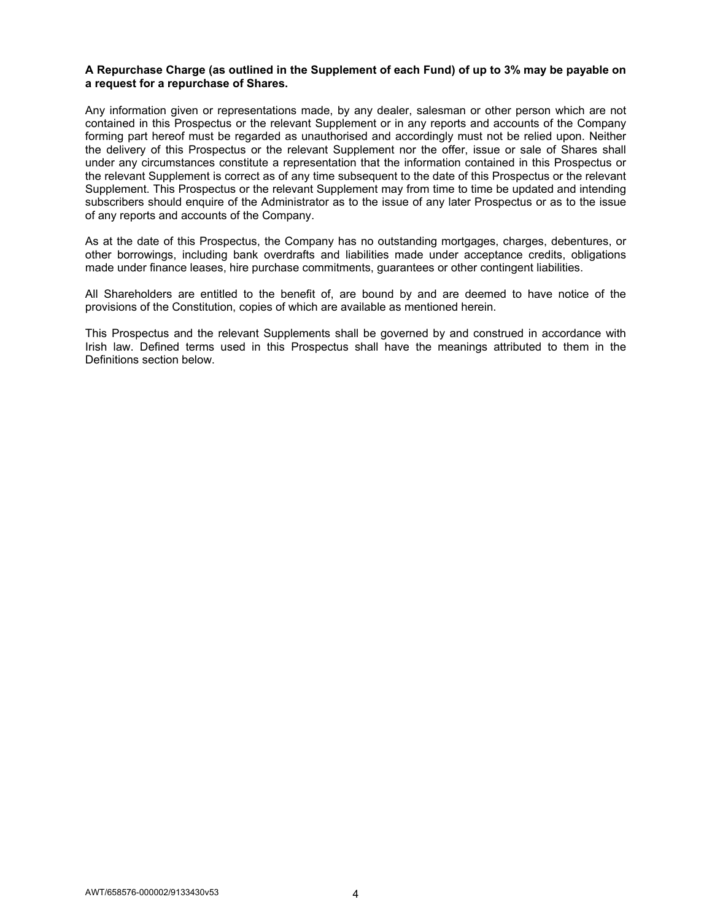### **A Repurchase Charge (as outlined in the Supplement of each Fund) of up to 3% may be payable on a request for a repurchase of Shares.**

Any information given or representations made, by any dealer, salesman or other person which are not contained in this Prospectus or the relevant Supplement or in any reports and accounts of the Company forming part hereof must be regarded as unauthorised and accordingly must not be relied upon. Neither the delivery of this Prospectus or the relevant Supplement nor the offer, issue or sale of Shares shall under any circumstances constitute a representation that the information contained in this Prospectus or the relevant Supplement is correct as of any time subsequent to the date of this Prospectus or the relevant Supplement. This Prospectus or the relevant Supplement may from time to time be updated and intending subscribers should enquire of the Administrator as to the issue of any later Prospectus or as to the issue of any reports and accounts of the Company.

As at the date of this Prospectus, the Company has no outstanding mortgages, charges, debentures, or other borrowings, including bank overdrafts and liabilities made under acceptance credits, obligations made under finance leases, hire purchase commitments, guarantees or other contingent liabilities.

All Shareholders are entitled to the benefit of, are bound by and are deemed to have notice of the provisions of the Constitution, copies of which are available as mentioned herein.

This Prospectus and the relevant Supplements shall be governed by and construed in accordance with Irish law. Defined terms used in this Prospectus shall have the meanings attributed to them in the Definitions section below.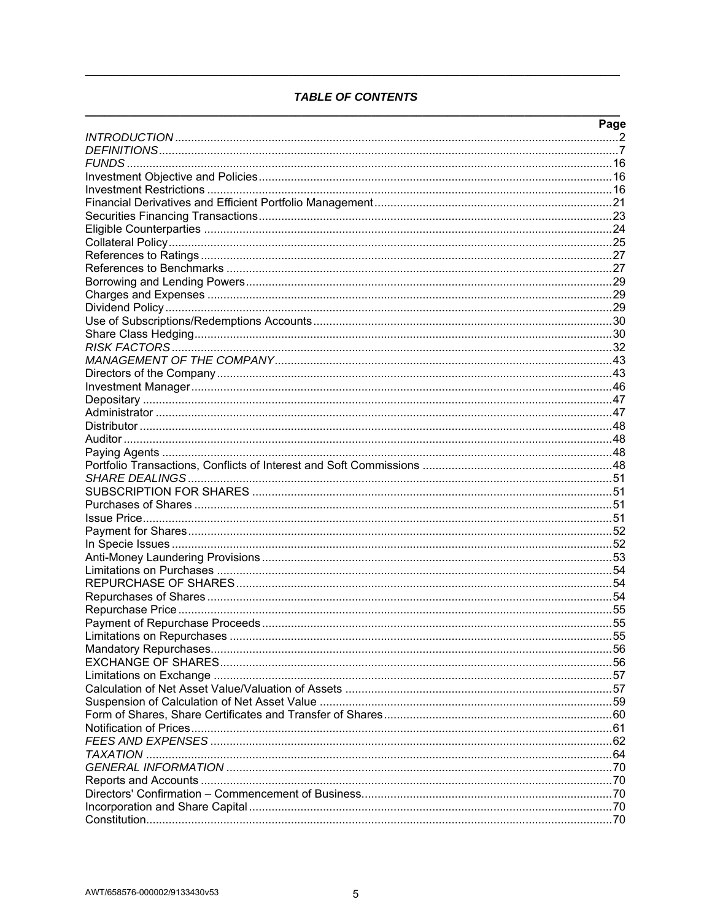# **TABLE OF CONTENTS**

| Page |
|------|
|      |
|      |
|      |
|      |
|      |
|      |
|      |
|      |
|      |
|      |
|      |
|      |
|      |
|      |
|      |
|      |
|      |
|      |
|      |
|      |
|      |
|      |
|      |
|      |
|      |
|      |
|      |
|      |
|      |
|      |
|      |
|      |
|      |
|      |
|      |
|      |
|      |
|      |
| .55  |
|      |
|      |
|      |
|      |
|      |
|      |
|      |
|      |
|      |
|      |
|      |
|      |
|      |
|      |
|      |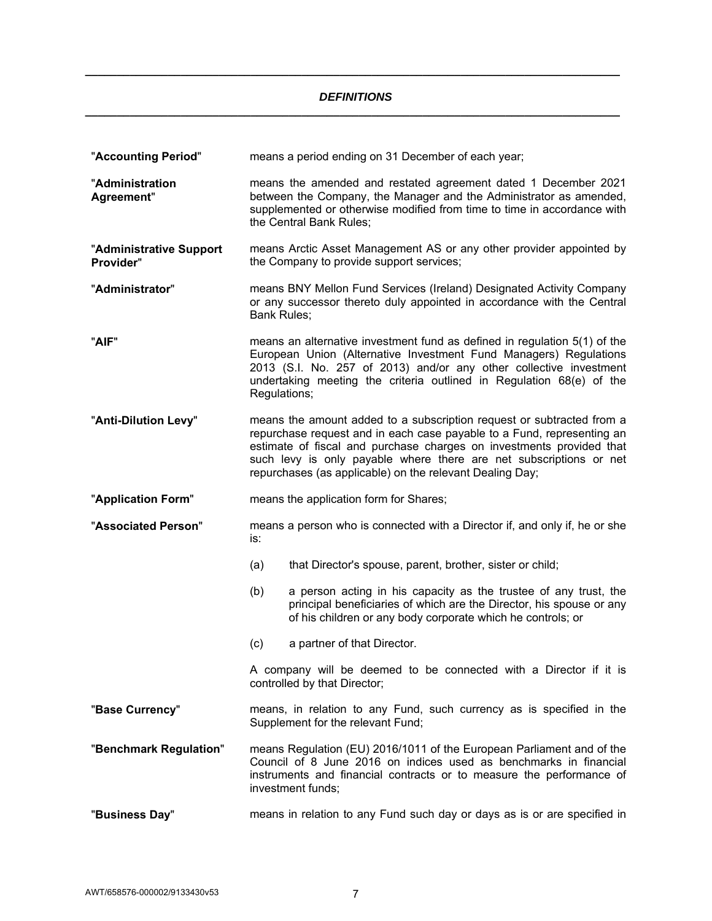## *DEFINITIONS*  **\_\_\_\_\_\_\_\_\_\_\_\_\_\_\_\_\_\_\_\_\_\_\_\_\_\_\_\_\_\_\_\_\_\_\_\_\_\_\_\_\_\_\_\_\_\_\_\_\_\_\_\_\_\_\_\_\_\_\_\_\_\_\_\_\_\_\_\_\_\_\_\_\_\_\_\_\_\_\_\_\_\_\_\_**

**\_\_\_\_\_\_\_\_\_\_\_\_\_\_\_\_\_\_\_\_\_\_\_\_\_\_\_\_\_\_\_\_\_\_\_\_\_\_\_\_\_\_\_\_\_\_\_\_\_\_\_\_\_\_\_\_\_\_\_\_\_\_\_\_\_\_\_\_\_\_\_\_\_\_\_\_\_\_\_\_\_\_\_\_**

| "Accounting Period"                  | means a period ending on 31 December of each year;       |                                                                                                                                                                                                                                                                                               |
|--------------------------------------|----------------------------------------------------------|-----------------------------------------------------------------------------------------------------------------------------------------------------------------------------------------------------------------------------------------------------------------------------------------------|
| "Administration<br>Agreement"        | the Central Bank Rules;                                  | means the amended and restated agreement dated 1 December 2021<br>between the Company, the Manager and the Administrator as amended,<br>supplemented or otherwise modified from time to time in accordance with                                                                               |
| "Administrative Support<br>Provider" | the Company to provide support services;                 | means Arctic Asset Management AS or any other provider appointed by                                                                                                                                                                                                                           |
| "Administrator"                      | Bank Rules;                                              | means BNY Mellon Fund Services (Ireland) Designated Activity Company<br>or any successor thereto duly appointed in accordance with the Central                                                                                                                                                |
| "AIF"                                | Regulations;                                             | means an alternative investment fund as defined in regulation 5(1) of the<br>European Union (Alternative Investment Fund Managers) Regulations<br>2013 (S.I. No. 257 of 2013) and/or any other collective investment<br>undertaking meeting the criteria outlined in Regulation 68(e) of the  |
| "Anti-Dilution Levy"                 | repurchases (as applicable) on the relevant Dealing Day; | means the amount added to a subscription request or subtracted from a<br>repurchase request and in each case payable to a Fund, representing an<br>estimate of fiscal and purchase charges on investments provided that<br>such levy is only payable where there are net subscriptions or net |
|                                      |                                                          |                                                                                                                                                                                                                                                                                               |
| "Application Form"                   | means the application form for Shares;                   |                                                                                                                                                                                                                                                                                               |
| "Associated Person"                  | is:                                                      | means a person who is connected with a Director if, and only if, he or she                                                                                                                                                                                                                    |
|                                      | (a)                                                      | that Director's spouse, parent, brother, sister or child;                                                                                                                                                                                                                                     |
|                                      | (b)                                                      | a person acting in his capacity as the trustee of any trust, the<br>principal beneficiaries of which are the Director, his spouse or any<br>of his children or any body corporate which he controls; or                                                                                       |
|                                      | (c)<br>a partner of that Director.                       |                                                                                                                                                                                                                                                                                               |
|                                      | controlled by that Director;                             | A company will be deemed to be connected with a Director if it is                                                                                                                                                                                                                             |
| "Base Currency"                      | Supplement for the relevant Fund;                        | means, in relation to any Fund, such currency as is specified in the                                                                                                                                                                                                                          |
| "Benchmark Regulation"               | investment funds;                                        | means Regulation (EU) 2016/1011 of the European Parliament and of the<br>Council of 8 June 2016 on indices used as benchmarks in financial<br>instruments and financial contracts or to measure the performance of                                                                            |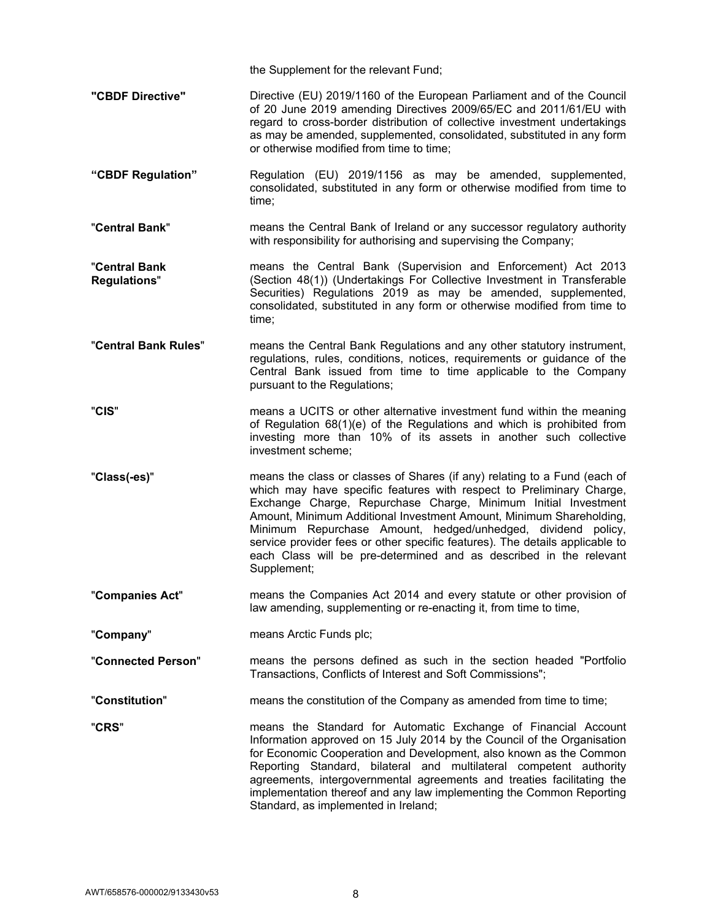the Supplement for the relevant Fund;

- **"CBDF Directive"** Directive (EU) 2019/1160 of the European Parliament and of the Council of 20 June 2019 amending Directives 2009/65/EC and 2011/61/EU with regard to cross-border distribution of collective investment undertakings as may be amended, supplemented, consolidated, substituted in any form or otherwise modified from time to time;
- **"CBDF Regulation"** Regulation (EU) 2019/1156 as may be amended, supplemented, consolidated, substituted in any form or otherwise modified from time to time;
- "**Central Bank**" means the Central Bank of Ireland or any successor regulatory authority with responsibility for authorising and supervising the Company;
- "**Central Bank Regulations**" means the Central Bank (Supervision and Enforcement) Act 2013 (Section 48(1)) (Undertakings For Collective Investment in Transferable Securities) Regulations 2019 as may be amended, supplemented, consolidated, substituted in any form or otherwise modified from time to time;
- "**Central Bank Rules**" means the Central Bank Regulations and any other statutory instrument, regulations, rules, conditions, notices, requirements or guidance of the Central Bank issued from time to time applicable to the Company pursuant to the Regulations;
- "**CIS**" means a UCITS or other alternative investment fund within the meaning of Regulation 68(1)(e) of the Regulations and which is prohibited from investing more than 10% of its assets in another such collective investment scheme;
- "**Class(-es)**" means the class or classes of Shares (if any) relating to a Fund (each of which may have specific features with respect to Preliminary Charge, Exchange Charge, Repurchase Charge, Minimum Initial Investment Amount, Minimum Additional Investment Amount, Minimum Shareholding, Minimum Repurchase Amount, hedged/unhedged, dividend policy, service provider fees or other specific features). The details applicable to each Class will be pre-determined and as described in the relevant Supplement;
- "**Companies Act**" means the Companies Act 2014 and every statute or other provision of law amending, supplementing or re-enacting it, from time to time,
- "**Company**" means Arctic Funds plc;

"**Connected Person**" means the persons defined as such in the section headed "Portfolio Transactions, Conflicts of Interest and Soft Commissions";

- "**Constitution**" means the constitution of the Company as amended from time to time;
- 

"**CRS**" means the Standard for Automatic Exchange of Financial Account Information approved on 15 July 2014 by the Council of the Organisation for Economic Cooperation and Development, also known as the Common Reporting Standard, bilateral and multilateral competent authority agreements, intergovernmental agreements and treaties facilitating the implementation thereof and any law implementing the Common Reporting Standard, as implemented in Ireland;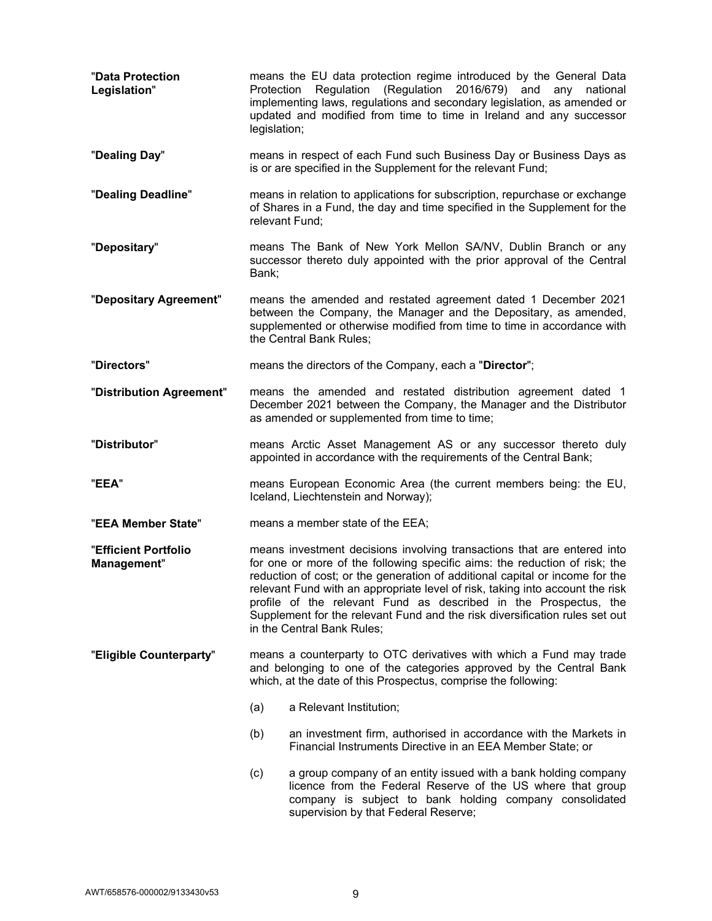| "Data Protection<br>Legislation"    | legislation;                                                                                                                                                                                                                                                                                                                                                                                                                                                                                            | means the EU data protection regime introduced by the General Data<br>Protection Regulation (Regulation 2016/679) and any national<br>implementing laws, regulations and secondary legislation, as amended or<br>updated and modified from time to time in Ireland and any successor |
|-------------------------------------|---------------------------------------------------------------------------------------------------------------------------------------------------------------------------------------------------------------------------------------------------------------------------------------------------------------------------------------------------------------------------------------------------------------------------------------------------------------------------------------------------------|--------------------------------------------------------------------------------------------------------------------------------------------------------------------------------------------------------------------------------------------------------------------------------------|
| "Dealing Day"                       |                                                                                                                                                                                                                                                                                                                                                                                                                                                                                                         | means in respect of each Fund such Business Day or Business Days as<br>is or are specified in the Supplement for the relevant Fund;                                                                                                                                                  |
| "Dealing Deadline"                  | relevant Fund:                                                                                                                                                                                                                                                                                                                                                                                                                                                                                          | means in relation to applications for subscription, repurchase or exchange<br>of Shares in a Fund, the day and time specified in the Supplement for the                                                                                                                              |
| "Depositary"                        | Bank;                                                                                                                                                                                                                                                                                                                                                                                                                                                                                                   | means The Bank of New York Mellon SA/NV, Dublin Branch or any<br>successor thereto duly appointed with the prior approval of the Central                                                                                                                                             |
| "Depositary Agreement"              |                                                                                                                                                                                                                                                                                                                                                                                                                                                                                                         | means the amended and restated agreement dated 1 December 2021<br>between the Company, the Manager and the Depositary, as amended,<br>supplemented or otherwise modified from time to time in accordance with<br>the Central Bank Rules;                                             |
| "Directors"                         |                                                                                                                                                                                                                                                                                                                                                                                                                                                                                                         | means the directors of the Company, each a "Director";                                                                                                                                                                                                                               |
| "Distribution Agreement"            |                                                                                                                                                                                                                                                                                                                                                                                                                                                                                                         | means the amended and restated distribution agreement dated 1<br>December 2021 between the Company, the Manager and the Distributor<br>as amended or supplemented from time to time;                                                                                                 |
| "Distributor"                       |                                                                                                                                                                                                                                                                                                                                                                                                                                                                                                         | means Arctic Asset Management AS or any successor thereto duly<br>appointed in accordance with the requirements of the Central Bank;                                                                                                                                                 |
| "EEA"                               |                                                                                                                                                                                                                                                                                                                                                                                                                                                                                                         | means European Economic Area (the current members being: the EU,<br>Iceland, Liechtenstein and Norway);                                                                                                                                                                              |
| "EEA Member State"                  |                                                                                                                                                                                                                                                                                                                                                                                                                                                                                                         | means a member state of the EEA;                                                                                                                                                                                                                                                     |
| "Efficient Portfolio<br>Management" | means investment decisions involving transactions that are entered into<br>for one or more of the following specific aims: the reduction of risk; the<br>reduction of cost; or the generation of additional capital or income for the<br>relevant Fund with an appropriate level of risk, taking into account the risk<br>profile of the relevant Fund as described in the Prospectus, the<br>Supplement for the relevant Fund and the risk diversification rules set out<br>in the Central Bank Rules; |                                                                                                                                                                                                                                                                                      |
| "Eligible Counterparty"             |                                                                                                                                                                                                                                                                                                                                                                                                                                                                                                         | means a counterparty to OTC derivatives with which a Fund may trade<br>and belonging to one of the categories approved by the Central Bank<br>which, at the date of this Prospectus, comprise the following:                                                                         |
|                                     | (a)                                                                                                                                                                                                                                                                                                                                                                                                                                                                                                     | a Relevant Institution;                                                                                                                                                                                                                                                              |
|                                     | (b)                                                                                                                                                                                                                                                                                                                                                                                                                                                                                                     | an investment firm, authorised in accordance with the Markets in<br>Financial Instruments Directive in an EEA Member State; or                                                                                                                                                       |
|                                     | (c)                                                                                                                                                                                                                                                                                                                                                                                                                                                                                                     | a group company of an entity issued with a bank holding company<br>licence from the Federal Reserve of the US where that group<br>company is subject to bank holding company consolidated<br>supervision by that Federal Reserve;                                                    |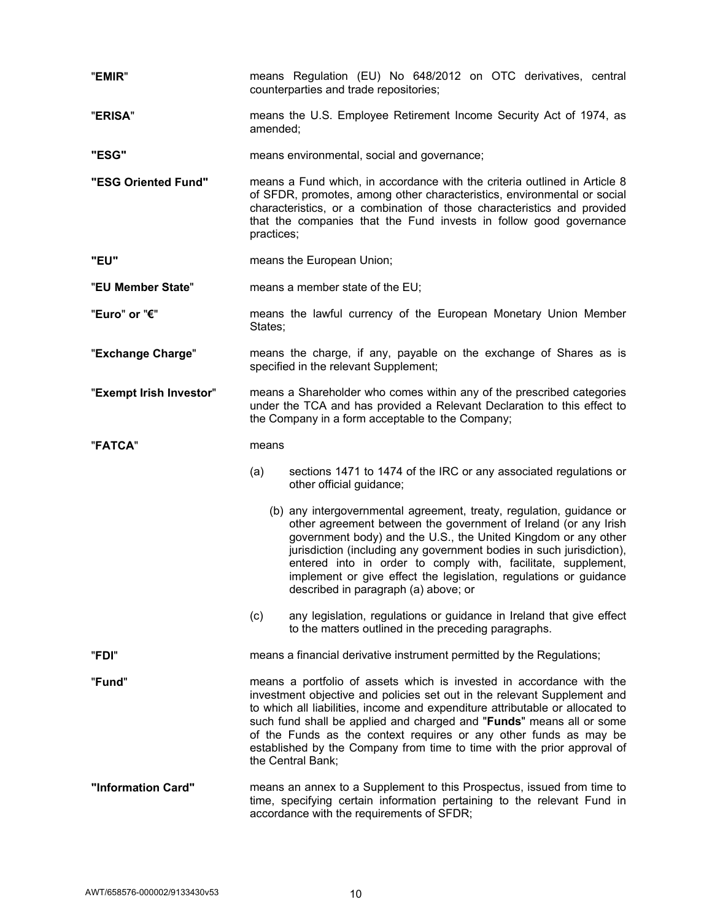| "EMIR"                  | means Regulation (EU) No 648/2012 on OTC derivatives, central<br>counterparties and trade repositories;                                                                                                                                                                                                                                                                                                                                                                        |  |
|-------------------------|--------------------------------------------------------------------------------------------------------------------------------------------------------------------------------------------------------------------------------------------------------------------------------------------------------------------------------------------------------------------------------------------------------------------------------------------------------------------------------|--|
| "ERISA"                 | means the U.S. Employee Retirement Income Security Act of 1974, as<br>amended;                                                                                                                                                                                                                                                                                                                                                                                                 |  |
| "ESG"                   | means environmental, social and governance;                                                                                                                                                                                                                                                                                                                                                                                                                                    |  |
| "ESG Oriented Fund"     | means a Fund which, in accordance with the criteria outlined in Article 8<br>of SFDR, promotes, among other characteristics, environmental or social<br>characteristics, or a combination of those characteristics and provided<br>that the companies that the Fund invests in follow good governance<br>practices;                                                                                                                                                            |  |
| "EU"                    | means the European Union;                                                                                                                                                                                                                                                                                                                                                                                                                                                      |  |
| "EU Member State"       | means a member state of the EU;                                                                                                                                                                                                                                                                                                                                                                                                                                                |  |
| "Euro" or "€"           | means the lawful currency of the European Monetary Union Member<br>States;                                                                                                                                                                                                                                                                                                                                                                                                     |  |
| "Exchange Charge"       | means the charge, if any, payable on the exchange of Shares as is<br>specified in the relevant Supplement;                                                                                                                                                                                                                                                                                                                                                                     |  |
| "Exempt Irish Investor" | means a Shareholder who comes within any of the prescribed categories<br>under the TCA and has provided a Relevant Declaration to this effect to<br>the Company in a form acceptable to the Company;                                                                                                                                                                                                                                                                           |  |
| "FATCA"                 | means                                                                                                                                                                                                                                                                                                                                                                                                                                                                          |  |
|                         | sections 1471 to 1474 of the IRC or any associated regulations or<br>(a)<br>other official guidance;                                                                                                                                                                                                                                                                                                                                                                           |  |
|                         | (b) any intergovernmental agreement, treaty, regulation, guidance or<br>other agreement between the government of Ireland (or any Irish<br>government body) and the U.S., the United Kingdom or any other<br>jurisdiction (including any government bodies in such jurisdiction),<br>entered into in order to comply with, facilitate, supplement,<br>implement or give effect the legislation, regulations or guidance<br>described in paragraph (a) above; or                |  |
|                         | (c)<br>any legislation, regulations or guidance in Ireland that give effect<br>to the matters outlined in the preceding paragraphs.                                                                                                                                                                                                                                                                                                                                            |  |
| "FDI"                   | means a financial derivative instrument permitted by the Regulations;                                                                                                                                                                                                                                                                                                                                                                                                          |  |
| "Fund"                  | means a portfolio of assets which is invested in accordance with the<br>investment objective and policies set out in the relevant Supplement and<br>to which all liabilities, income and expenditure attributable or allocated to<br>such fund shall be applied and charged and "Funds" means all or some<br>of the Funds as the context requires or any other funds as may be<br>established by the Company from time to time with the prior approval of<br>the Central Bank; |  |
| "Information Card"      | means an annex to a Supplement to this Prospectus, issued from time to<br>time, specifying certain information pertaining to the relevant Fund in<br>accordance with the requirements of SFDR;                                                                                                                                                                                                                                                                                 |  |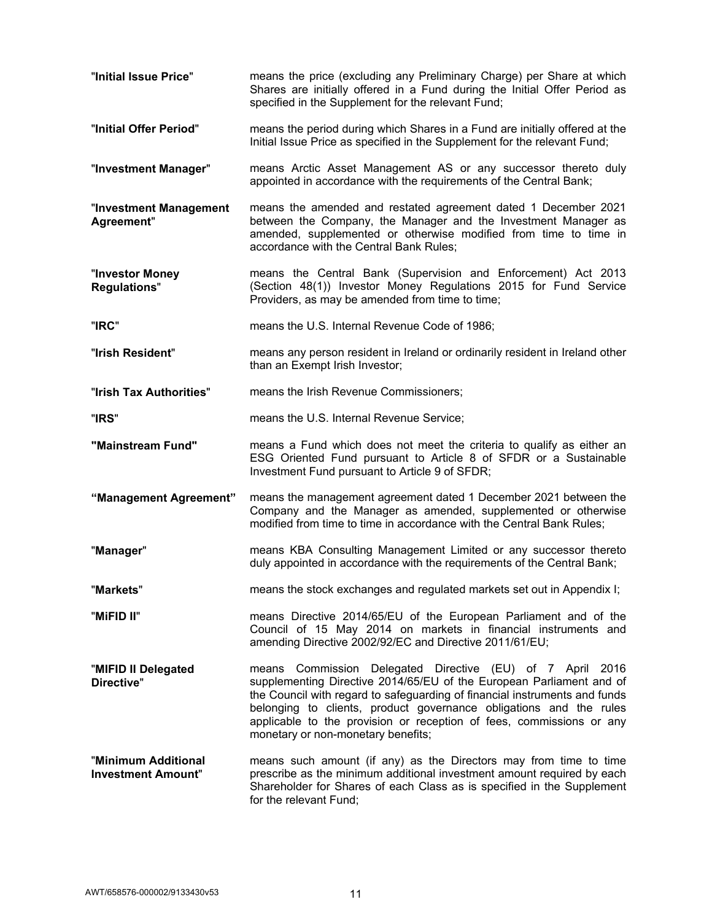| "Initial Issue Price"                            | means the price (excluding any Preliminary Charge) per Share at which<br>Shares are initially offered in a Fund during the Initial Offer Period as<br>specified in the Supplement for the relevant Fund;                                                                                                                                                                                            |
|--------------------------------------------------|-----------------------------------------------------------------------------------------------------------------------------------------------------------------------------------------------------------------------------------------------------------------------------------------------------------------------------------------------------------------------------------------------------|
| "Initial Offer Period"                           | means the period during which Shares in a Fund are initially offered at the<br>Initial Issue Price as specified in the Supplement for the relevant Fund;                                                                                                                                                                                                                                            |
| "Investment Manager"                             | means Arctic Asset Management AS or any successor thereto duly<br>appointed in accordance with the requirements of the Central Bank;                                                                                                                                                                                                                                                                |
| "Investment Management<br>Agreement"             | means the amended and restated agreement dated 1 December 2021<br>between the Company, the Manager and the Investment Manager as<br>amended, supplemented or otherwise modified from time to time in<br>accordance with the Central Bank Rules;                                                                                                                                                     |
| "Investor Money<br><b>Regulations"</b>           | means the Central Bank (Supervision and Enforcement) Act 2013<br>(Section 48(1)) Investor Money Regulations 2015 for Fund Service<br>Providers, as may be amended from time to time;                                                                                                                                                                                                                |
| "IRC"                                            | means the U.S. Internal Revenue Code of 1986;                                                                                                                                                                                                                                                                                                                                                       |
| "Irish Resident"                                 | means any person resident in Ireland or ordinarily resident in Ireland other<br>than an Exempt Irish Investor;                                                                                                                                                                                                                                                                                      |
| "Irish Tax Authorities"                          | means the Irish Revenue Commissioners;                                                                                                                                                                                                                                                                                                                                                              |
| "IRS"                                            | means the U.S. Internal Revenue Service;                                                                                                                                                                                                                                                                                                                                                            |
| "Mainstream Fund"                                | means a Fund which does not meet the criteria to qualify as either an<br>ESG Oriented Fund pursuant to Article 8 of SFDR or a Sustainable<br>Investment Fund pursuant to Article 9 of SFDR;                                                                                                                                                                                                         |
| "Management Agreement"                           | means the management agreement dated 1 December 2021 between the<br>Company and the Manager as amended, supplemented or otherwise<br>modified from time to time in accordance with the Central Bank Rules;                                                                                                                                                                                          |
| "Manager"                                        | means KBA Consulting Management Limited or any successor thereto<br>duly appointed in accordance with the requirements of the Central Bank;                                                                                                                                                                                                                                                         |
| "Markets"                                        | means the stock exchanges and regulated markets set out in Appendix I;                                                                                                                                                                                                                                                                                                                              |
| "MiFID II"                                       | means Directive 2014/65/EU of the European Parliament and of the<br>Council of 15 May 2014 on markets in financial instruments and<br>amending Directive 2002/92/EC and Directive 2011/61/EU;                                                                                                                                                                                                       |
| "MIFID II Delegated<br>Directive"                | means Commission Delegated Directive (EU) of 7 April 2016<br>supplementing Directive 2014/65/EU of the European Parliament and of<br>the Council with regard to safeguarding of financial instruments and funds<br>belonging to clients, product governance obligations and the rules<br>applicable to the provision or reception of fees, commissions or any<br>monetary or non-monetary benefits; |
| "Minimum Additional<br><b>Investment Amount"</b> | means such amount (if any) as the Directors may from time to time<br>prescribe as the minimum additional investment amount required by each<br>Shareholder for Shares of each Class as is specified in the Supplement<br>for the relevant Fund;                                                                                                                                                     |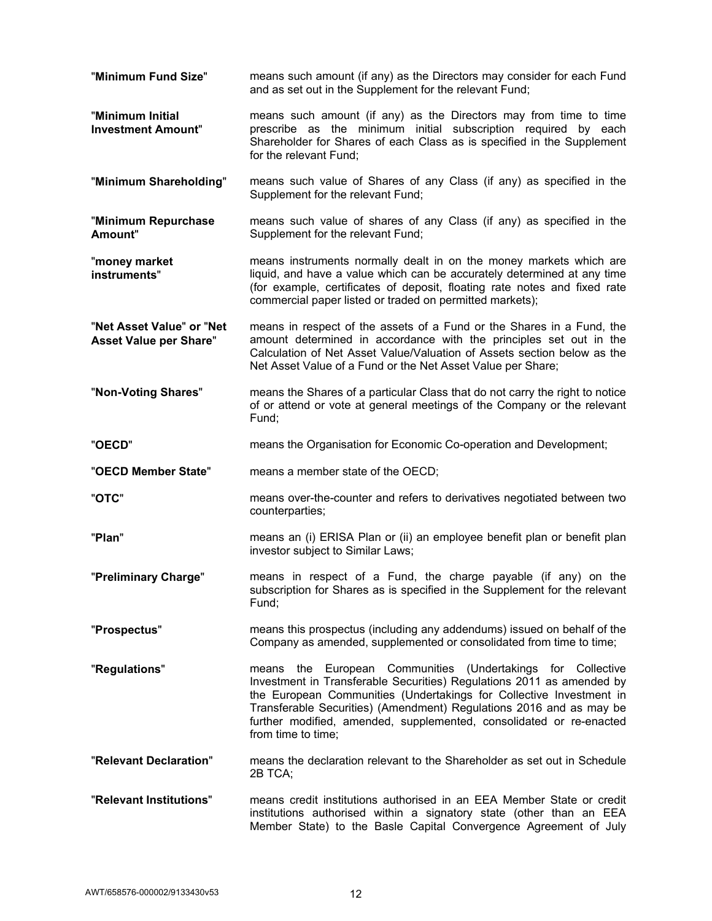| "Minimum Fund Size"                                        | means such amount (if any) as the Directors may consider for each Fund<br>and as set out in the Supplement for the relevant Fund;                                                                                                                                                                                                                                                     |
|------------------------------------------------------------|---------------------------------------------------------------------------------------------------------------------------------------------------------------------------------------------------------------------------------------------------------------------------------------------------------------------------------------------------------------------------------------|
| "Minimum Initial<br><b>Investment Amount"</b>              | means such amount (if any) as the Directors may from time to time<br>prescribe as the minimum initial subscription required by each<br>Shareholder for Shares of each Class as is specified in the Supplement<br>for the relevant Fund;                                                                                                                                               |
| "Minimum Shareholding"                                     | means such value of Shares of any Class (if any) as specified in the<br>Supplement for the relevant Fund;                                                                                                                                                                                                                                                                             |
| "Minimum Repurchase<br>Amount"                             | means such value of shares of any Class (if any) as specified in the<br>Supplement for the relevant Fund;                                                                                                                                                                                                                                                                             |
| "money market<br>instruments"                              | means instruments normally dealt in on the money markets which are<br>liquid, and have a value which can be accurately determined at any time<br>(for example, certificates of deposit, floating rate notes and fixed rate<br>commercial paper listed or traded on permitted markets);                                                                                                |
| "Net Asset Value" or "Net<br><b>Asset Value per Share"</b> | means in respect of the assets of a Fund or the Shares in a Fund, the<br>amount determined in accordance with the principles set out in the<br>Calculation of Net Asset Value/Valuation of Assets section below as the<br>Net Asset Value of a Fund or the Net Asset Value per Share;                                                                                                 |
| "Non-Voting Shares"                                        | means the Shares of a particular Class that do not carry the right to notice<br>of or attend or vote at general meetings of the Company or the relevant<br>Fund;                                                                                                                                                                                                                      |
| "OECD"                                                     | means the Organisation for Economic Co-operation and Development;                                                                                                                                                                                                                                                                                                                     |
| "OECD Member State"                                        | means a member state of the OECD;                                                                                                                                                                                                                                                                                                                                                     |
| "OTC"                                                      | means over-the-counter and refers to derivatives negotiated between two<br>counterparties;                                                                                                                                                                                                                                                                                            |
| "Plan"                                                     | means an (i) ERISA Plan or (ii) an employee benefit plan or benefit plan<br>investor subject to Similar Laws;                                                                                                                                                                                                                                                                         |
| "Preliminary Charge"                                       | means in respect of a Fund, the charge payable (if any) on the<br>subscription for Shares as is specified in the Supplement for the relevant<br>Fund;                                                                                                                                                                                                                                 |
| "Prospectus"                                               | means this prospectus (including any addendums) issued on behalf of the<br>Company as amended, supplemented or consolidated from time to time;                                                                                                                                                                                                                                        |
| "Regulations"                                              | European Communities (Undertakings for Collective<br>the<br>means<br>Investment in Transferable Securities) Regulations 2011 as amended by<br>the European Communities (Undertakings for Collective Investment in<br>Transferable Securities) (Amendment) Regulations 2016 and as may be<br>further modified, amended, supplemented, consolidated or re-enacted<br>from time to time; |
| "Relevant Declaration"                                     | means the declaration relevant to the Shareholder as set out in Schedule<br>2B TCA;                                                                                                                                                                                                                                                                                                   |
| "Relevant Institutions"                                    | means credit institutions authorised in an EEA Member State or credit<br>institutions authorised within a signatory state (other than an EEA<br>Member State) to the Basle Capital Convergence Agreement of July                                                                                                                                                                      |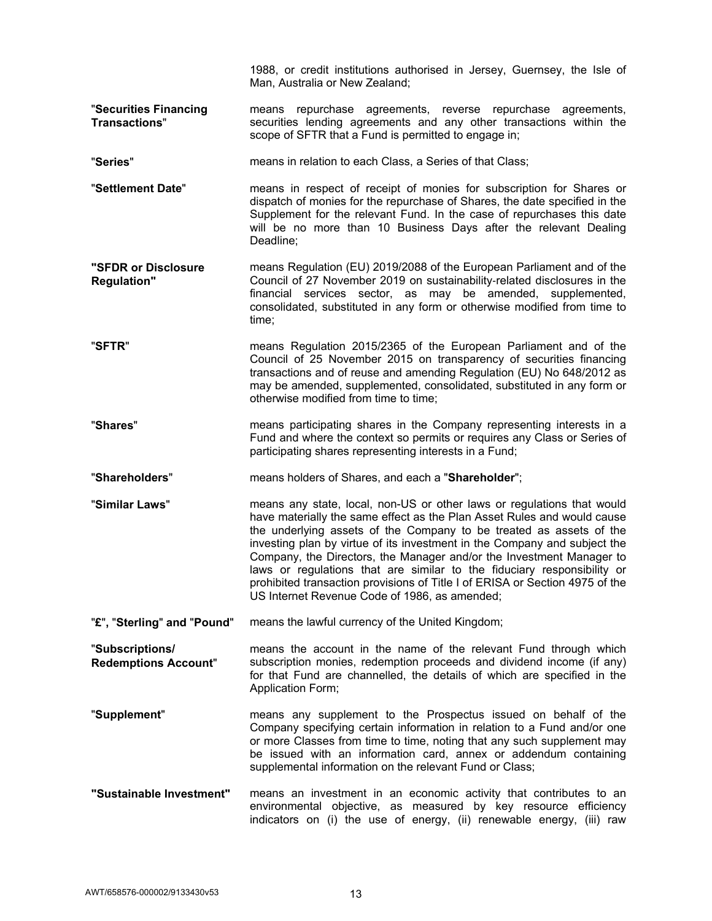|                                                | 1988, or credit institutions authorised in Jersey, Guernsey, the Isle of<br>Man, Australia or New Zealand;                                                                                                                                                                                                                                                                                                                                                                                                                                                                                |
|------------------------------------------------|-------------------------------------------------------------------------------------------------------------------------------------------------------------------------------------------------------------------------------------------------------------------------------------------------------------------------------------------------------------------------------------------------------------------------------------------------------------------------------------------------------------------------------------------------------------------------------------------|
| "Securities Financing<br><b>Transactions"</b>  | repurchase agreements, reverse repurchase agreements,<br>means<br>securities lending agreements and any other transactions within the<br>scope of SFTR that a Fund is permitted to engage in;                                                                                                                                                                                                                                                                                                                                                                                             |
| "Series"                                       | means in relation to each Class, a Series of that Class;                                                                                                                                                                                                                                                                                                                                                                                                                                                                                                                                  |
| "Settlement Date"                              | means in respect of receipt of monies for subscription for Shares or<br>dispatch of monies for the repurchase of Shares, the date specified in the<br>Supplement for the relevant Fund. In the case of repurchases this date<br>will be no more than 10 Business Days after the relevant Dealing<br>Deadline;                                                                                                                                                                                                                                                                             |
| "SFDR or Disclosure<br><b>Regulation"</b>      | means Regulation (EU) 2019/2088 of the European Parliament and of the<br>Council of 27 November 2019 on sustainability-related disclosures in the<br>financial services sector, as may be amended, supplemented,<br>consolidated, substituted in any form or otherwise modified from time to<br>time;                                                                                                                                                                                                                                                                                     |
| "SFTR"                                         | means Regulation 2015/2365 of the European Parliament and of the<br>Council of 25 November 2015 on transparency of securities financing<br>transactions and of reuse and amending Regulation (EU) No 648/2012 as<br>may be amended, supplemented, consolidated, substituted in any form or<br>otherwise modified from time to time;                                                                                                                                                                                                                                                       |
| "Shares"                                       | means participating shares in the Company representing interests in a<br>Fund and where the context so permits or requires any Class or Series of<br>participating shares representing interests in a Fund;                                                                                                                                                                                                                                                                                                                                                                               |
| "Shareholders"                                 | means holders of Shares, and each a "Shareholder";                                                                                                                                                                                                                                                                                                                                                                                                                                                                                                                                        |
| "Similar Laws"                                 | means any state, local, non-US or other laws or regulations that would<br>have materially the same effect as the Plan Asset Rules and would cause<br>the underlying assets of the Company to be treated as assets of the<br>investing plan by virtue of its investment in the Company and subject the<br>Company, the Directors, the Manager and/or the Investment Manager to<br>laws or regulations that are similar to the fiduciary responsibility or<br>prohibited transaction provisions of Title I of ERISA or Section 4975 of the<br>US Internet Revenue Code of 1986, as amended; |
| "£", "Sterling" and "Pound"                    | means the lawful currency of the United Kingdom;                                                                                                                                                                                                                                                                                                                                                                                                                                                                                                                                          |
| "Subscriptions/<br><b>Redemptions Account"</b> | means the account in the name of the relevant Fund through which<br>subscription monies, redemption proceeds and dividend income (if any)<br>for that Fund are channelled, the details of which are specified in the<br><b>Application Form;</b>                                                                                                                                                                                                                                                                                                                                          |
| "Supplement"                                   | means any supplement to the Prospectus issued on behalf of the<br>Company specifying certain information in relation to a Fund and/or one<br>or more Classes from time to time, noting that any such supplement may<br>be issued with an information card, annex or addendum containing<br>supplemental information on the relevant Fund or Class;                                                                                                                                                                                                                                        |
| "Sustainable Investment"                       | means an investment in an economic activity that contributes to an<br>environmental objective, as measured by key resource efficiency<br>indicators on (i) the use of energy, (ii) renewable energy, (iii) raw                                                                                                                                                                                                                                                                                                                                                                            |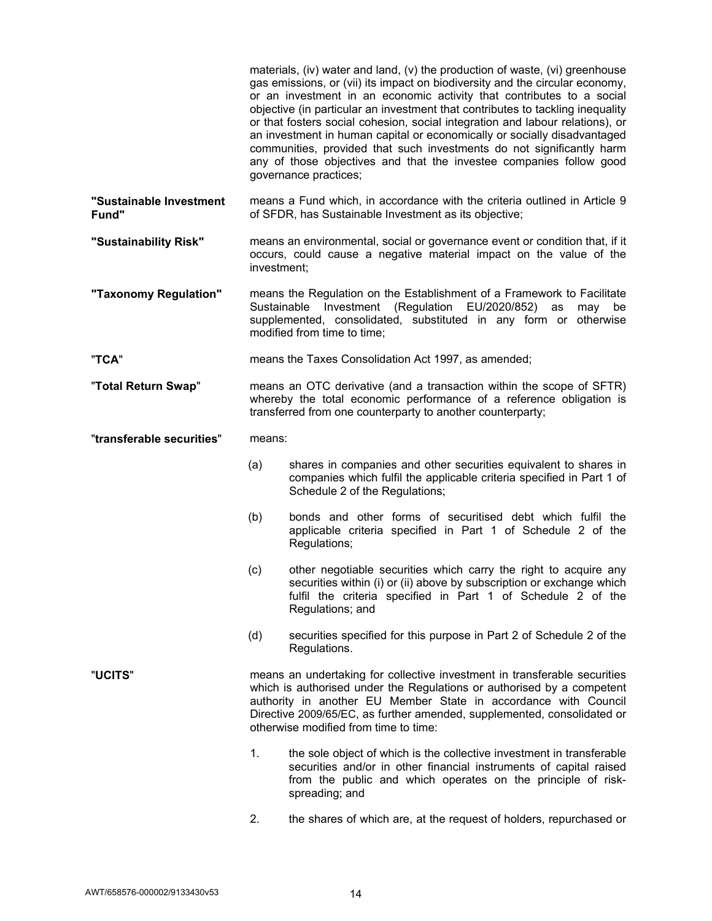|                                  |                                                                                                                                                                                                           | materials, (iv) water and land, (v) the production of waste, (vi) greenhouse<br>gas emissions, or (vii) its impact on biodiversity and the circular economy,<br>or an investment in an economic activity that contributes to a social<br>objective (in particular an investment that contributes to tackling inequality<br>or that fosters social cohesion, social integration and labour relations), or<br>an investment in human capital or economically or socially disadvantaged<br>communities, provided that such investments do not significantly harm<br>any of those objectives and that the investee companies follow good<br>governance practices; |
|----------------------------------|-----------------------------------------------------------------------------------------------------------------------------------------------------------------------------------------------------------|---------------------------------------------------------------------------------------------------------------------------------------------------------------------------------------------------------------------------------------------------------------------------------------------------------------------------------------------------------------------------------------------------------------------------------------------------------------------------------------------------------------------------------------------------------------------------------------------------------------------------------------------------------------|
| "Sustainable Investment<br>Fund" |                                                                                                                                                                                                           | means a Fund which, in accordance with the criteria outlined in Article 9<br>of SFDR, has Sustainable Investment as its objective;                                                                                                                                                                                                                                                                                                                                                                                                                                                                                                                            |
| "Sustainability Risk"            | means an environmental, social or governance event or condition that, if it<br>occurs, could cause a negative material impact on the value of the<br>investment;                                          |                                                                                                                                                                                                                                                                                                                                                                                                                                                                                                                                                                                                                                                               |
| "Taxonomy Regulation"            | Sustainable                                                                                                                                                                                               | means the Regulation on the Establishment of a Framework to Facilitate<br>(Regulation EU/2020/852)<br>Investment<br>as<br>may<br>be<br>supplemented, consolidated, substituted in any form or otherwise<br>modified from time to time;                                                                                                                                                                                                                                                                                                                                                                                                                        |
| "TCA"                            |                                                                                                                                                                                                           | means the Taxes Consolidation Act 1997, as amended;                                                                                                                                                                                                                                                                                                                                                                                                                                                                                                                                                                                                           |
| "Total Return Swap"              | means an OTC derivative (and a transaction within the scope of SFTR)<br>whereby the total economic performance of a reference obligation is<br>transferred from one counterparty to another counterparty; |                                                                                                                                                                                                                                                                                                                                                                                                                                                                                                                                                                                                                                                               |
| "transferable securities"        | means:                                                                                                                                                                                                    |                                                                                                                                                                                                                                                                                                                                                                                                                                                                                                                                                                                                                                                               |
|                                  | (a)                                                                                                                                                                                                       | shares in companies and other securities equivalent to shares in<br>companies which fulfil the applicable criteria specified in Part 1 of<br>Schedule 2 of the Regulations;                                                                                                                                                                                                                                                                                                                                                                                                                                                                                   |
|                                  | (b)                                                                                                                                                                                                       | bonds and other forms of securitised debt which fulfil the<br>applicable criteria specified in Part 1 of Schedule 2 of the<br>Regulations;                                                                                                                                                                                                                                                                                                                                                                                                                                                                                                                    |
|                                  | (c)                                                                                                                                                                                                       | other negotiable securities which carry the right to acquire any<br>securities within (i) or (ii) above by subscription or exchange which<br>fulfil the criteria specified in Part 1 of Schedule 2 of the<br>Regulations; and                                                                                                                                                                                                                                                                                                                                                                                                                                 |
|                                  | (d)                                                                                                                                                                                                       | securities specified for this purpose in Part 2 of Schedule 2 of the<br>Regulations.                                                                                                                                                                                                                                                                                                                                                                                                                                                                                                                                                                          |
| "UCITS"                          |                                                                                                                                                                                                           | means an undertaking for collective investment in transferable securities<br>which is authorised under the Regulations or authorised by a competent<br>authority in another EU Member State in accordance with Council<br>Directive 2009/65/EC, as further amended, supplemented, consolidated or<br>otherwise modified from time to time:                                                                                                                                                                                                                                                                                                                    |
|                                  | 1.                                                                                                                                                                                                        | the sole object of which is the collective investment in transferable<br>securities and/or in other financial instruments of capital raised<br>from the public and which operates on the principle of risk-<br>spreading; and                                                                                                                                                                                                                                                                                                                                                                                                                                 |

2. the shares of which are, at the request of holders, repurchased or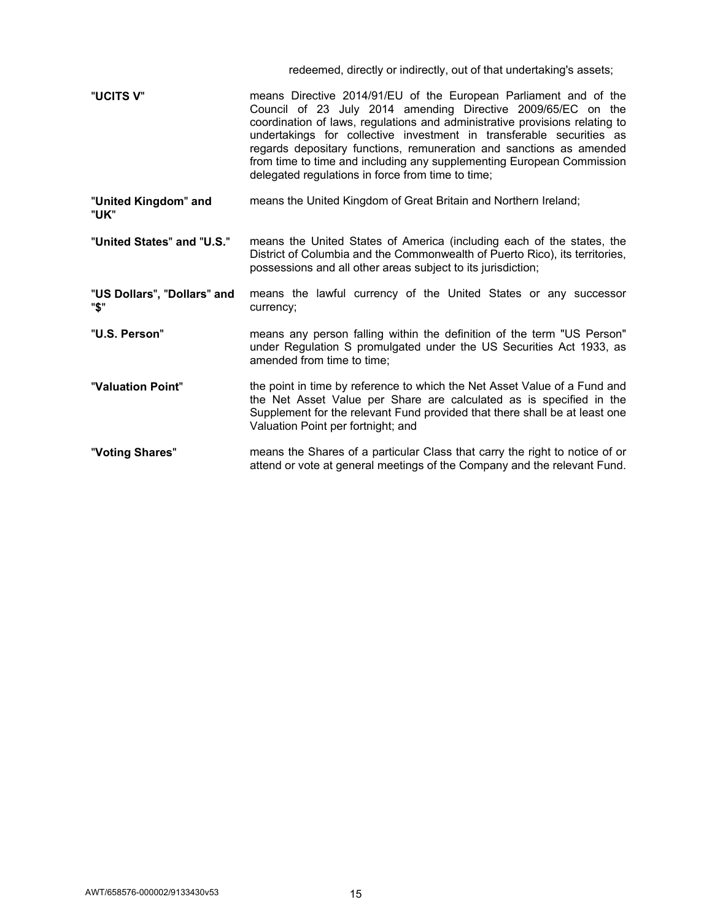|                                     | redeemed, directly or indirectly, out of that undertaking's assets;                                                                                                                                                                                                                                                                                                                                                                                                                          |
|-------------------------------------|----------------------------------------------------------------------------------------------------------------------------------------------------------------------------------------------------------------------------------------------------------------------------------------------------------------------------------------------------------------------------------------------------------------------------------------------------------------------------------------------|
| "UCITS V"                           | means Directive 2014/91/EU of the European Parliament and of the<br>Council of 23 July 2014 amending Directive 2009/65/EC on the<br>coordination of laws, regulations and administrative provisions relating to<br>undertakings for collective investment in transferable securities as<br>regards depositary functions, remuneration and sanctions as amended<br>from time to time and including any supplementing European Commission<br>delegated regulations in force from time to time; |
| "United Kingdom" and<br>"UK"        | means the United Kingdom of Great Britain and Northern Ireland;                                                                                                                                                                                                                                                                                                                                                                                                                              |
| "United States" and "U.S."          | means the United States of America (including each of the states, the<br>District of Columbia and the Commonwealth of Puerto Rico), its territories,<br>possessions and all other areas subject to its jurisdiction;                                                                                                                                                                                                                                                                         |
| "US Dollars", "Dollars" and<br>"\$" | means the lawful currency of the United States or any successor<br>currency;                                                                                                                                                                                                                                                                                                                                                                                                                 |
| "U.S. Person"                       | means any person falling within the definition of the term "US Person"<br>under Regulation S promulgated under the US Securities Act 1933, as<br>amended from time to time;                                                                                                                                                                                                                                                                                                                  |
| "Valuation Point"                   | the point in time by reference to which the Net Asset Value of a Fund and<br>the Net Asset Value per Share are calculated as is specified in the<br>Supplement for the relevant Fund provided that there shall be at least one<br>Valuation Point per fortnight; and                                                                                                                                                                                                                         |
| "Voting Shares"                     | means the Shares of a particular Class that carry the right to notice of or<br>attend or vote at general meetings of the Company and the relevant Fund.                                                                                                                                                                                                                                                                                                                                      |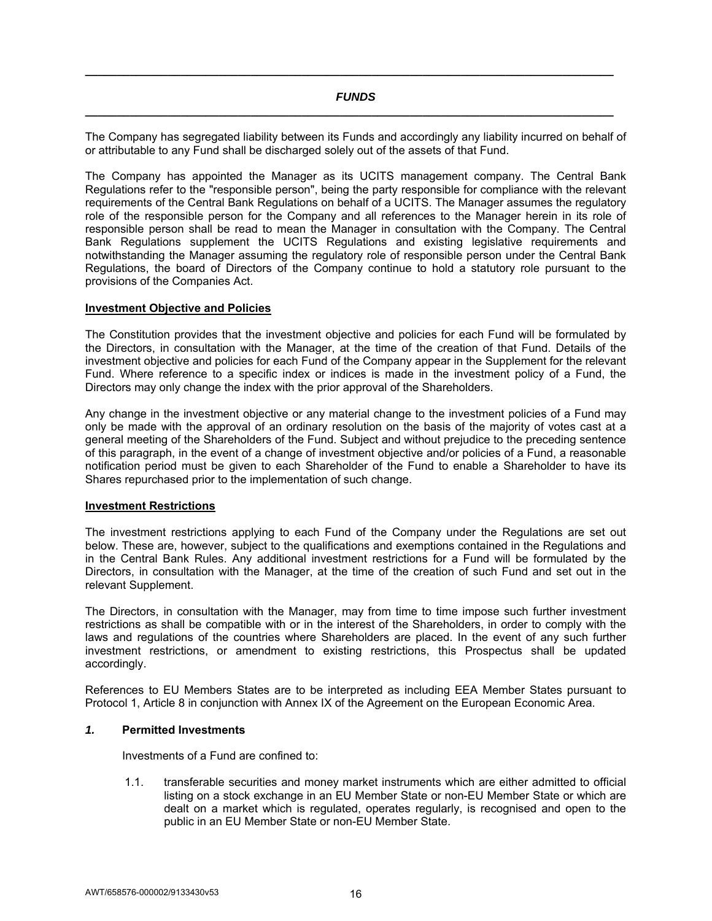## *FUNDS*  **\_\_\_\_\_\_\_\_\_\_\_\_\_\_\_\_\_\_\_\_\_\_\_\_\_\_\_\_\_\_\_\_\_\_\_\_\_\_\_\_\_\_\_\_\_\_\_\_\_\_\_\_\_\_\_\_\_\_\_\_\_\_\_\_\_\_\_\_\_\_\_\_\_\_\_\_\_\_\_\_\_\_\_**

**\_\_\_\_\_\_\_\_\_\_\_\_\_\_\_\_\_\_\_\_\_\_\_\_\_\_\_\_\_\_\_\_\_\_\_\_\_\_\_\_\_\_\_\_\_\_\_\_\_\_\_\_\_\_\_\_\_\_\_\_\_\_\_\_\_\_\_\_\_\_\_\_\_\_\_\_\_\_\_\_\_\_\_** 

The Company has segregated liability between its Funds and accordingly any liability incurred on behalf of or attributable to any Fund shall be discharged solely out of the assets of that Fund.

The Company has appointed the Manager as its UCITS management company. The Central Bank Regulations refer to the "responsible person", being the party responsible for compliance with the relevant requirements of the Central Bank Regulations on behalf of a UCITS. The Manager assumes the regulatory role of the responsible person for the Company and all references to the Manager herein in its role of responsible person shall be read to mean the Manager in consultation with the Company. The Central Bank Regulations supplement the UCITS Regulations and existing legislative requirements and notwithstanding the Manager assuming the regulatory role of responsible person under the Central Bank Regulations, the board of Directors of the Company continue to hold a statutory role pursuant to the provisions of the Companies Act.

### **Investment Objective and Policies**

The Constitution provides that the investment objective and policies for each Fund will be formulated by the Directors, in consultation with the Manager, at the time of the creation of that Fund. Details of the investment objective and policies for each Fund of the Company appear in the Supplement for the relevant Fund. Where reference to a specific index or indices is made in the investment policy of a Fund, the Directors may only change the index with the prior approval of the Shareholders.

Any change in the investment objective or any material change to the investment policies of a Fund may only be made with the approval of an ordinary resolution on the basis of the majority of votes cast at a general meeting of the Shareholders of the Fund. Subject and without prejudice to the preceding sentence of this paragraph, in the event of a change of investment objective and/or policies of a Fund, a reasonable notification period must be given to each Shareholder of the Fund to enable a Shareholder to have its Shares repurchased prior to the implementation of such change.

#### **Investment Restrictions**

The investment restrictions applying to each Fund of the Company under the Regulations are set out below. These are, however, subject to the qualifications and exemptions contained in the Regulations and in the Central Bank Rules. Any additional investment restrictions for a Fund will be formulated by the Directors, in consultation with the Manager, at the time of the creation of such Fund and set out in the relevant Supplement.

The Directors, in consultation with the Manager, may from time to time impose such further investment restrictions as shall be compatible with or in the interest of the Shareholders, in order to comply with the laws and regulations of the countries where Shareholders are placed. In the event of any such further investment restrictions, or amendment to existing restrictions, this Prospectus shall be updated accordingly.

References to EU Members States are to be interpreted as including EEA Member States pursuant to Protocol 1, Article 8 in conjunction with Annex IX of the Agreement on the European Economic Area.

# *1.* **Permitted Investments**

Investments of a Fund are confined to:

1.1. transferable securities and money market instruments which are either admitted to official listing on a stock exchange in an EU Member State or non-EU Member State or which are dealt on a market which is regulated, operates regularly, is recognised and open to the public in an EU Member State or non-EU Member State.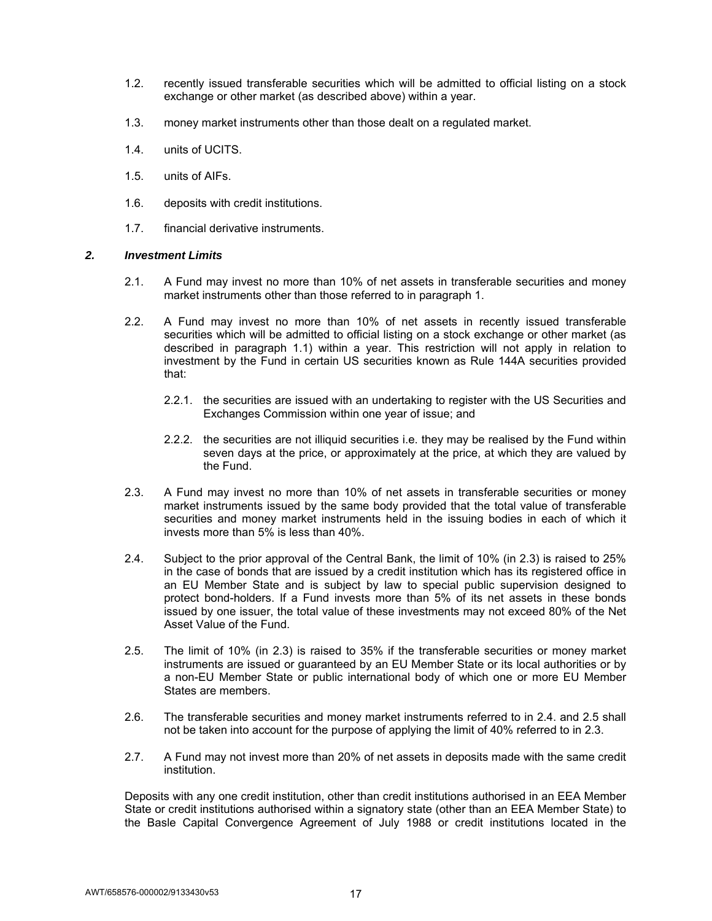- 1.2. recently issued transferable securities which will be admitted to official listing on a stock exchange or other market (as described above) within a year.
- 1.3. money market instruments other than those dealt on a regulated market.
- 1.4. units of UCITS.
- 1.5. units of AIFs.
- 1.6. deposits with credit institutions.
- 1.7. financial derivative instruments.

## *2. Investment Limits*

- 2.1. A Fund may invest no more than 10% of net assets in transferable securities and money market instruments other than those referred to in paragraph 1.
- 2.2. A Fund may invest no more than 10% of net assets in recently issued transferable securities which will be admitted to official listing on a stock exchange or other market (as described in paragraph 1.1) within a year. This restriction will not apply in relation to investment by the Fund in certain US securities known as Rule 144A securities provided that:
	- 2.2.1. the securities are issued with an undertaking to register with the US Securities and Exchanges Commission within one year of issue; and
	- 2.2.2. the securities are not illiquid securities i.e. they may be realised by the Fund within seven days at the price, or approximately at the price, at which they are valued by the Fund.
- 2.3. A Fund may invest no more than 10% of net assets in transferable securities or money market instruments issued by the same body provided that the total value of transferable securities and money market instruments held in the issuing bodies in each of which it invests more than 5% is less than 40%.
- 2.4. Subject to the prior approval of the Central Bank, the limit of 10% (in 2.3) is raised to 25% in the case of bonds that are issued by a credit institution which has its registered office in an EU Member State and is subject by law to special public supervision designed to protect bond-holders. If a Fund invests more than 5% of its net assets in these bonds issued by one issuer, the total value of these investments may not exceed 80% of the Net Asset Value of the Fund.
- 2.5. The limit of 10% (in 2.3) is raised to 35% if the transferable securities or money market instruments are issued or guaranteed by an EU Member State or its local authorities or by a non-EU Member State or public international body of which one or more EU Member States are members.
- 2.6. The transferable securities and money market instruments referred to in 2.4. and 2.5 shall not be taken into account for the purpose of applying the limit of 40% referred to in 2.3.
- 2.7. A Fund may not invest more than 20% of net assets in deposits made with the same credit institution.

Deposits with any one credit institution, other than credit institutions authorised in an EEA Member State or credit institutions authorised within a signatory state (other than an EEA Member State) to the Basle Capital Convergence Agreement of July 1988 or credit institutions located in the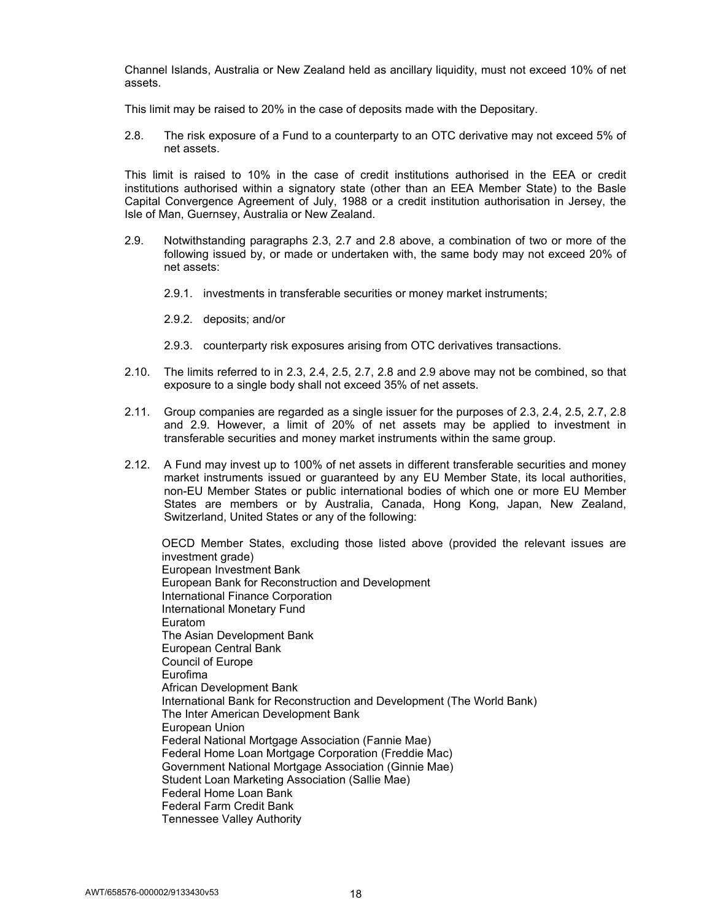Channel Islands, Australia or New Zealand held as ancillary liquidity, must not exceed 10% of net assets.

This limit may be raised to 20% in the case of deposits made with the Depositary.

2.8. The risk exposure of a Fund to a counterparty to an OTC derivative may not exceed 5% of net assets.

This limit is raised to 10% in the case of credit institutions authorised in the EEA or credit institutions authorised within a signatory state (other than an EEA Member State) to the Basle Capital Convergence Agreement of July, 1988 or a credit institution authorisation in Jersey, the Isle of Man, Guernsey, Australia or New Zealand.

- 2.9. Notwithstanding paragraphs 2.3, 2.7 and 2.8 above, a combination of two or more of the following issued by, or made or undertaken with, the same body may not exceed 20% of net assets:
	- 2.9.1. investments in transferable securities or money market instruments;
	- 2.9.2. deposits; and/or
	- 2.9.3. counterparty risk exposures arising from OTC derivatives transactions.
- 2.10. The limits referred to in 2.3, 2.4, 2.5, 2.7, 2.8 and 2.9 above may not be combined, so that exposure to a single body shall not exceed 35% of net assets.
- 2.11. Group companies are regarded as a single issuer for the purposes of 2.3, 2.4, 2.5, 2.7, 2.8 and 2.9. However, a limit of 20% of net assets may be applied to investment in transferable securities and money market instruments within the same group.
- 2.12. A Fund may invest up to 100% of net assets in different transferable securities and money market instruments issued or guaranteed by any EU Member State, its local authorities, non-EU Member States or public international bodies of which one or more EU Member States are members or by Australia, Canada, Hong Kong, Japan, New Zealand, Switzerland, United States or any of the following:

OECD Member States, excluding those listed above (provided the relevant issues are investment grade) European Investment Bank European Bank for Reconstruction and Development International Finance Corporation International Monetary Fund Euratom The Asian Development Bank European Central Bank Council of Europe Eurofima African Development Bank International Bank for Reconstruction and Development (The World Bank) The Inter American Development Bank European Union Federal National Mortgage Association (Fannie Mae) Federal Home Loan Mortgage Corporation (Freddie Mac) Government National Mortgage Association (Ginnie Mae) Student Loan Marketing Association (Sallie Mae) Federal Home Loan Bank Federal Farm Credit Bank Tennessee Valley Authority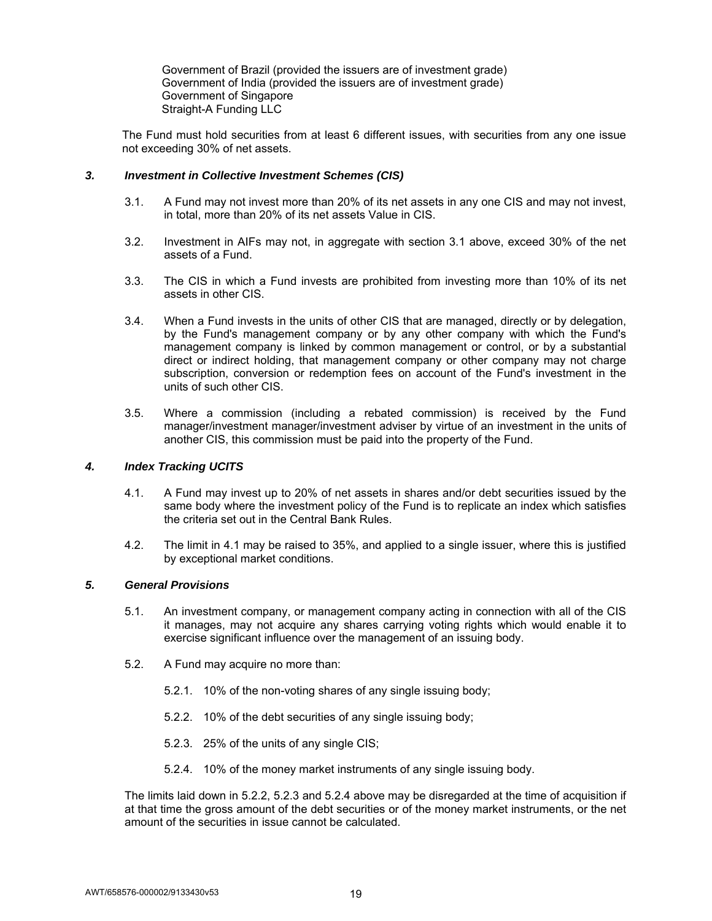Government of Brazil (provided the issuers are of investment grade) Government of India (provided the issuers are of investment grade) Government of Singapore Straight-A Funding LLC

The Fund must hold securities from at least 6 different issues, with securities from any one issue not exceeding 30% of net assets.

## *3. Investment in Collective Investment Schemes (CIS)*

- 3.1. A Fund may not invest more than 20% of its net assets in any one CIS and may not invest, in total, more than 20% of its net assets Value in CIS.
- 3.2. Investment in AIFs may not, in aggregate with section 3.1 above, exceed 30% of the net assets of a Fund.
- 3.3. The CIS in which a Fund invests are prohibited from investing more than 10% of its net assets in other CIS.
- 3.4. When a Fund invests in the units of other CIS that are managed, directly or by delegation, by the Fund's management company or by any other company with which the Fund's management company is linked by common management or control, or by a substantial direct or indirect holding, that management company or other company may not charge subscription, conversion or redemption fees on account of the Fund's investment in the units of such other CIS.
- 3.5. Where a commission (including a rebated commission) is received by the Fund manager/investment manager/investment adviser by virtue of an investment in the units of another CIS, this commission must be paid into the property of the Fund.

## *4. Index Tracking UCITS*

- 4.1. A Fund may invest up to 20% of net assets in shares and/or debt securities issued by the same body where the investment policy of the Fund is to replicate an index which satisfies the criteria set out in the Central Bank Rules.
- 4.2. The limit in 4.1 may be raised to 35%, and applied to a single issuer, where this is justified by exceptional market conditions.

## *5. General Provisions*

- 5.1. An investment company, or management company acting in connection with all of the CIS it manages, may not acquire any shares carrying voting rights which would enable it to exercise significant influence over the management of an issuing body.
- 5.2. A Fund may acquire no more than:
	- 5.2.1. 10% of the non-voting shares of any single issuing body;
	- 5.2.2. 10% of the debt securities of any single issuing body;
	- 5.2.3. 25% of the units of any single CIS;
	- 5.2.4. 10% of the money market instruments of any single issuing body.

The limits laid down in 5.2.2, 5.2.3 and 5.2.4 above may be disregarded at the time of acquisition if at that time the gross amount of the debt securities or of the money market instruments, or the net amount of the securities in issue cannot be calculated.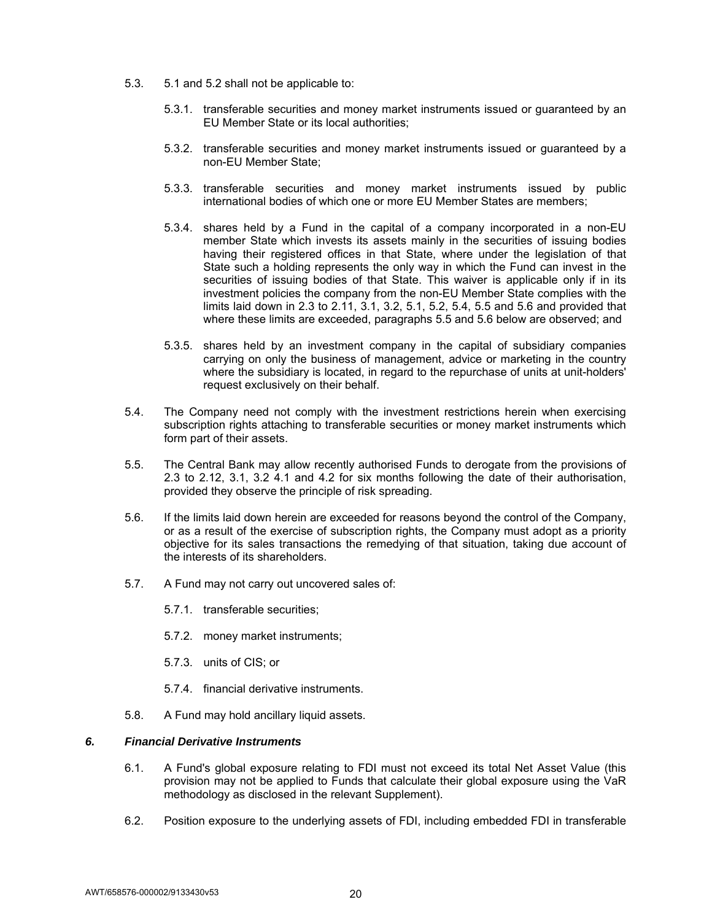- 5.3. 5.1 and 5.2 shall not be applicable to:
	- 5.3.1. transferable securities and money market instruments issued or guaranteed by an EU Member State or its local authorities;
	- 5.3.2. transferable securities and money market instruments issued or guaranteed by a non-EU Member State;
	- 5.3.3. transferable securities and money market instruments issued by public international bodies of which one or more EU Member States are members;
	- 5.3.4. shares held by a Fund in the capital of a company incorporated in a non-EU member State which invests its assets mainly in the securities of issuing bodies having their registered offices in that State, where under the legislation of that State such a holding represents the only way in which the Fund can invest in the securities of issuing bodies of that State. This waiver is applicable only if in its investment policies the company from the non-EU Member State complies with the limits laid down in 2.3 to 2.11, 3.1, 3.2, 5.1, 5.2, 5.4, 5.5 and 5.6 and provided that where these limits are exceeded, paragraphs 5.5 and 5.6 below are observed; and
	- 5.3.5. shares held by an investment company in the capital of subsidiary companies carrying on only the business of management, advice or marketing in the country where the subsidiary is located, in regard to the repurchase of units at unit-holders' request exclusively on their behalf.
- 5.4. The Company need not comply with the investment restrictions herein when exercising subscription rights attaching to transferable securities or money market instruments which form part of their assets.
- 5.5. The Central Bank may allow recently authorised Funds to derogate from the provisions of 2.3 to 2.12, 3.1, 3.2 4.1 and 4.2 for six months following the date of their authorisation, provided they observe the principle of risk spreading.
- 5.6. If the limits laid down herein are exceeded for reasons beyond the control of the Company, or as a result of the exercise of subscription rights, the Company must adopt as a priority objective for its sales transactions the remedying of that situation, taking due account of the interests of its shareholders.
- 5.7. A Fund may not carry out uncovered sales of:
	- 5.7.1. transferable securities;
	- 5.7.2. money market instruments;
	- 5.7.3. units of CIS; or
	- 5.7.4. financial derivative instruments.
- 5.8. A Fund may hold ancillary liquid assets.

## *6. Financial Derivative Instruments*

- 6.1. A Fund's global exposure relating to FDI must not exceed its total Net Asset Value (this provision may not be applied to Funds that calculate their global exposure using the VaR methodology as disclosed in the relevant Supplement).
- 6.2. Position exposure to the underlying assets of FDI, including embedded FDI in transferable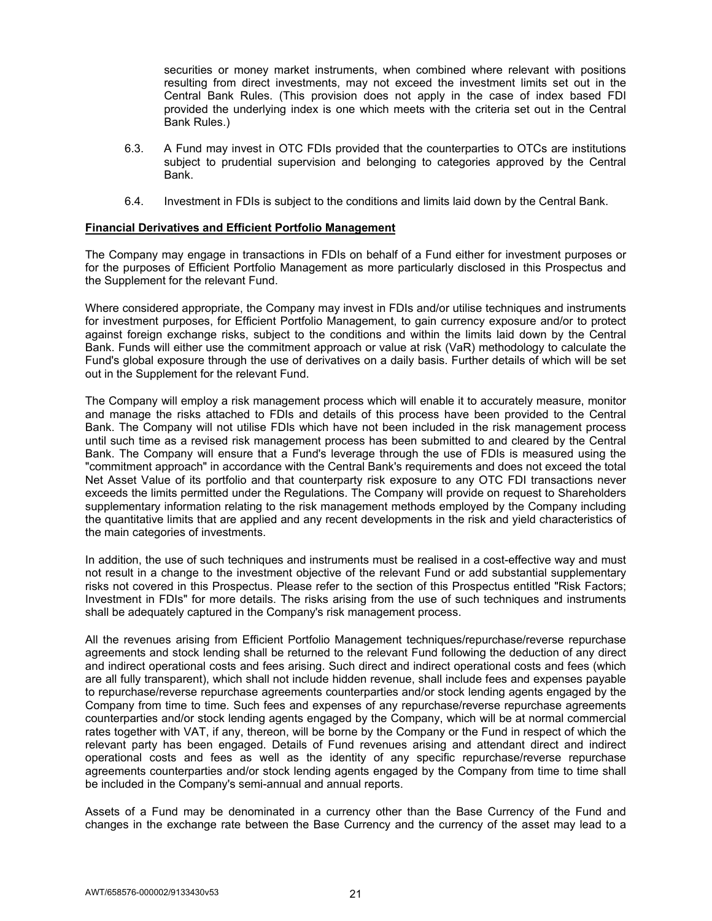securities or money market instruments, when combined where relevant with positions resulting from direct investments, may not exceed the investment limits set out in the Central Bank Rules. (This provision does not apply in the case of index based FDI provided the underlying index is one which meets with the criteria set out in the Central Bank Rules.)

- 6.3. A Fund may invest in OTC FDIs provided that the counterparties to OTCs are institutions subject to prudential supervision and belonging to categories approved by the Central Bank.
- 6.4. Investment in FDIs is subject to the conditions and limits laid down by the Central Bank.

#### **Financial Derivatives and Efficient Portfolio Management**

The Company may engage in transactions in FDIs on behalf of a Fund either for investment purposes or for the purposes of Efficient Portfolio Management as more particularly disclosed in this Prospectus and the Supplement for the relevant Fund.

Where considered appropriate, the Company may invest in FDIs and/or utilise techniques and instruments for investment purposes, for Efficient Portfolio Management, to gain currency exposure and/or to protect against foreign exchange risks, subject to the conditions and within the limits laid down by the Central Bank. Funds will either use the commitment approach or value at risk (VaR) methodology to calculate the Fund's global exposure through the use of derivatives on a daily basis. Further details of which will be set out in the Supplement for the relevant Fund.

The Company will employ a risk management process which will enable it to accurately measure, monitor and manage the risks attached to FDIs and details of this process have been provided to the Central Bank. The Company will not utilise FDIs which have not been included in the risk management process until such time as a revised risk management process has been submitted to and cleared by the Central Bank. The Company will ensure that a Fund's leverage through the use of FDIs is measured using the "commitment approach" in accordance with the Central Bank's requirements and does not exceed the total Net Asset Value of its portfolio and that counterparty risk exposure to any OTC FDI transactions never exceeds the limits permitted under the Regulations. The Company will provide on request to Shareholders supplementary information relating to the risk management methods employed by the Company including the quantitative limits that are applied and any recent developments in the risk and yield characteristics of the main categories of investments.

In addition, the use of such techniques and instruments must be realised in a cost-effective way and must not result in a change to the investment objective of the relevant Fund or add substantial supplementary risks not covered in this Prospectus. Please refer to the section of this Prospectus entitled "Risk Factors; Investment in FDIs" for more details. The risks arising from the use of such techniques and instruments shall be adequately captured in the Company's risk management process.

All the revenues arising from Efficient Portfolio Management techniques/repurchase/reverse repurchase agreements and stock lending shall be returned to the relevant Fund following the deduction of any direct and indirect operational costs and fees arising. Such direct and indirect operational costs and fees (which are all fully transparent), which shall not include hidden revenue, shall include fees and expenses payable to repurchase/reverse repurchase agreements counterparties and/or stock lending agents engaged by the Company from time to time. Such fees and expenses of any repurchase/reverse repurchase agreements counterparties and/or stock lending agents engaged by the Company, which will be at normal commercial rates together with VAT, if any, thereon, will be borne by the Company or the Fund in respect of which the relevant party has been engaged. Details of Fund revenues arising and attendant direct and indirect operational costs and fees as well as the identity of any specific repurchase/reverse repurchase agreements counterparties and/or stock lending agents engaged by the Company from time to time shall be included in the Company's semi-annual and annual reports.

Assets of a Fund may be denominated in a currency other than the Base Currency of the Fund and changes in the exchange rate between the Base Currency and the currency of the asset may lead to a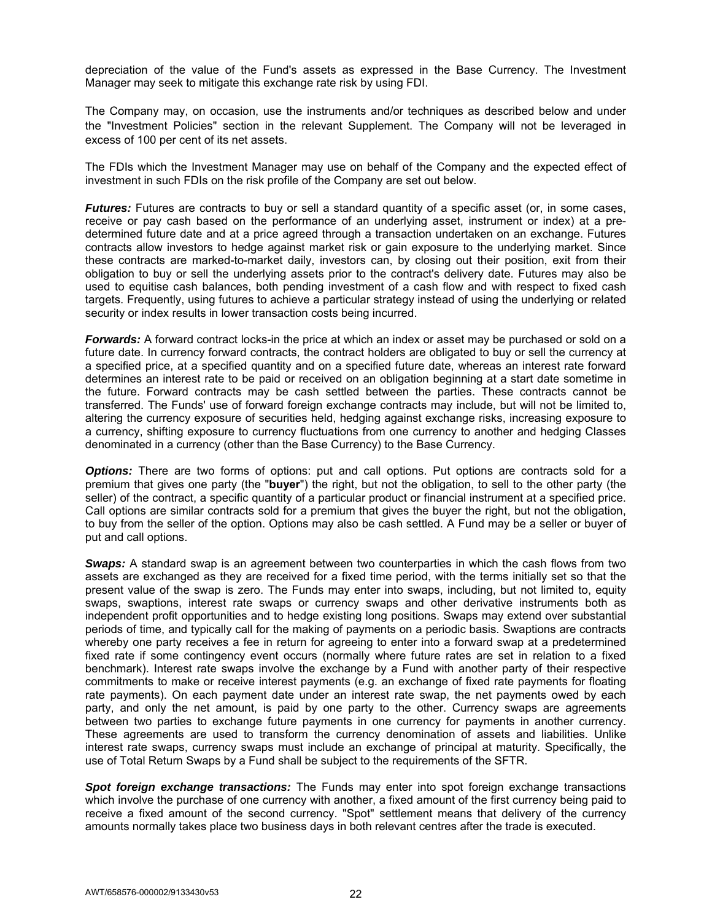depreciation of the value of the Fund's assets as expressed in the Base Currency. The Investment Manager may seek to mitigate this exchange rate risk by using FDI.

The Company may, on occasion, use the instruments and/or techniques as described below and under the "Investment Policies" section in the relevant Supplement. The Company will not be leveraged in excess of 100 per cent of its net assets.

The FDIs which the Investment Manager may use on behalf of the Company and the expected effect of investment in such FDIs on the risk profile of the Company are set out below.

*Futures:* Futures are contracts to buy or sell a standard quantity of a specific asset (or, in some cases, receive or pay cash based on the performance of an underlying asset, instrument or index) at a predetermined future date and at a price agreed through a transaction undertaken on an exchange. Futures contracts allow investors to hedge against market risk or gain exposure to the underlying market. Since these contracts are marked-to-market daily, investors can, by closing out their position, exit from their obligation to buy or sell the underlying assets prior to the contract's delivery date. Futures may also be used to equitise cash balances, both pending investment of a cash flow and with respect to fixed cash targets. Frequently, using futures to achieve a particular strategy instead of using the underlying or related security or index results in lower transaction costs being incurred.

*Forwards:* A forward contract locks-in the price at which an index or asset may be purchased or sold on a future date. In currency forward contracts, the contract holders are obligated to buy or sell the currency at a specified price, at a specified quantity and on a specified future date, whereas an interest rate forward determines an interest rate to be paid or received on an obligation beginning at a start date sometime in the future. Forward contracts may be cash settled between the parties. These contracts cannot be transferred. The Funds' use of forward foreign exchange contracts may include, but will not be limited to, altering the currency exposure of securities held, hedging against exchange risks, increasing exposure to a currency, shifting exposure to currency fluctuations from one currency to another and hedging Classes denominated in a currency (other than the Base Currency) to the Base Currency.

**Options:** There are two forms of options: put and call options. Put options are contracts sold for a premium that gives one party (the "**buyer**") the right, but not the obligation, to sell to the other party (the seller) of the contract, a specific quantity of a particular product or financial instrument at a specified price. Call options are similar contracts sold for a premium that gives the buyer the right, but not the obligation, to buy from the seller of the option. Options may also be cash settled. A Fund may be a seller or buyer of put and call options.

**Swaps:** A standard swap is an agreement between two counterparties in which the cash flows from two assets are exchanged as they are received for a fixed time period, with the terms initially set so that the present value of the swap is zero. The Funds may enter into swaps, including, but not limited to, equity swaps, swaptions, interest rate swaps or currency swaps and other derivative instruments both as independent profit opportunities and to hedge existing long positions. Swaps may extend over substantial periods of time, and typically call for the making of payments on a periodic basis. Swaptions are contracts whereby one party receives a fee in return for agreeing to enter into a forward swap at a predetermined fixed rate if some contingency event occurs (normally where future rates are set in relation to a fixed benchmark). Interest rate swaps involve the exchange by a Fund with another party of their respective commitments to make or receive interest payments (e.g. an exchange of fixed rate payments for floating rate payments). On each payment date under an interest rate swap, the net payments owed by each party, and only the net amount, is paid by one party to the other. Currency swaps are agreements between two parties to exchange future payments in one currency for payments in another currency. These agreements are used to transform the currency denomination of assets and liabilities. Unlike interest rate swaps, currency swaps must include an exchange of principal at maturity. Specifically, the use of Total Return Swaps by a Fund shall be subject to the requirements of the SFTR.

*Spot foreign exchange transactions:* The Funds may enter into spot foreign exchange transactions which involve the purchase of one currency with another, a fixed amount of the first currency being paid to receive a fixed amount of the second currency. "Spot" settlement means that delivery of the currency amounts normally takes place two business days in both relevant centres after the trade is executed.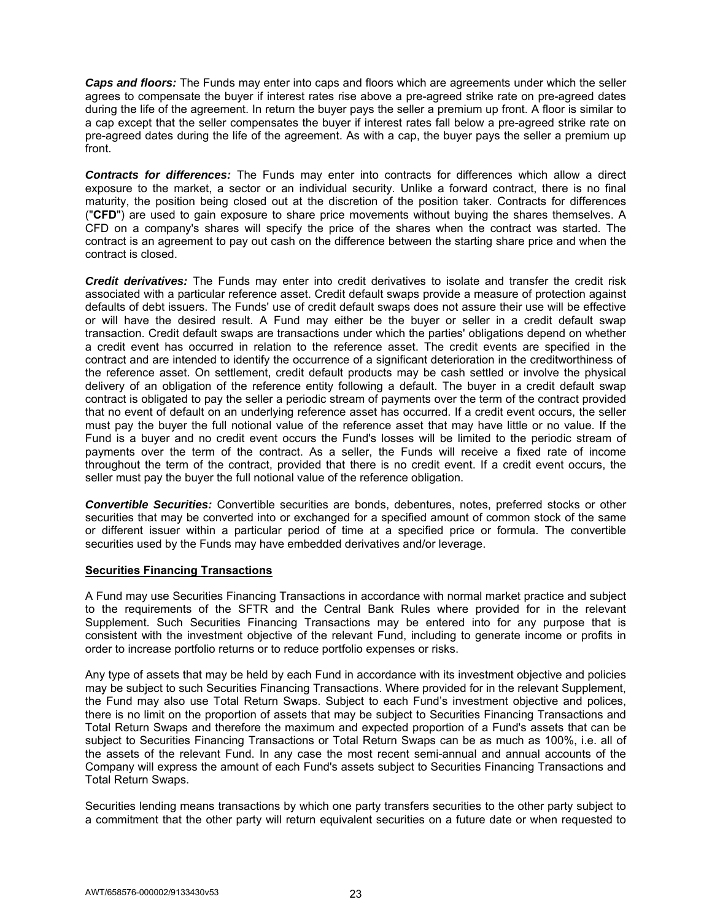*Caps and floors:* The Funds may enter into caps and floors which are agreements under which the seller agrees to compensate the buyer if interest rates rise above a pre-agreed strike rate on pre-agreed dates during the life of the agreement. In return the buyer pays the seller a premium up front. A floor is similar to a cap except that the seller compensates the buyer if interest rates fall below a pre-agreed strike rate on pre-agreed dates during the life of the agreement. As with a cap, the buyer pays the seller a premium up front.

*Contracts for differences:* The Funds may enter into contracts for differences which allow a direct exposure to the market, a sector or an individual security. Unlike a forward contract, there is no final maturity, the position being closed out at the discretion of the position taker. Contracts for differences ("**CFD**") are used to gain exposure to share price movements without buying the shares themselves. A CFD on a company's shares will specify the price of the shares when the contract was started. The contract is an agreement to pay out cash on the difference between the starting share price and when the contract is closed.

*Credit derivatives:* The Funds may enter into credit derivatives to isolate and transfer the credit risk associated with a particular reference asset. Credit default swaps provide a measure of protection against defaults of debt issuers. The Funds' use of credit default swaps does not assure their use will be effective or will have the desired result. A Fund may either be the buyer or seller in a credit default swap transaction. Credit default swaps are transactions under which the parties' obligations depend on whether a credit event has occurred in relation to the reference asset. The credit events are specified in the contract and are intended to identify the occurrence of a significant deterioration in the creditworthiness of the reference asset. On settlement, credit default products may be cash settled or involve the physical delivery of an obligation of the reference entity following a default. The buyer in a credit default swap contract is obligated to pay the seller a periodic stream of payments over the term of the contract provided that no event of default on an underlying reference asset has occurred. If a credit event occurs, the seller must pay the buyer the full notional value of the reference asset that may have little or no value. If the Fund is a buyer and no credit event occurs the Fund's losses will be limited to the periodic stream of payments over the term of the contract. As a seller, the Funds will receive a fixed rate of income throughout the term of the contract, provided that there is no credit event. If a credit event occurs, the seller must pay the buyer the full notional value of the reference obligation.

*Convertible Securities:* Convertible securities are bonds, debentures, notes, preferred stocks or other securities that may be converted into or exchanged for a specified amount of common stock of the same or different issuer within a particular period of time at a specified price or formula. The convertible securities used by the Funds may have embedded derivatives and/or leverage.

## **Securities Financing Transactions**

A Fund may use Securities Financing Transactions in accordance with normal market practice and subject to the requirements of the SFTR and the Central Bank Rules where provided for in the relevant Supplement. Such Securities Financing Transactions may be entered into for any purpose that is consistent with the investment objective of the relevant Fund, including to generate income or profits in order to increase portfolio returns or to reduce portfolio expenses or risks.

Any type of assets that may be held by each Fund in accordance with its investment objective and policies may be subject to such Securities Financing Transactions. Where provided for in the relevant Supplement, the Fund may also use Total Return Swaps. Subject to each Fund's investment objective and polices, there is no limit on the proportion of assets that may be subject to Securities Financing Transactions and Total Return Swaps and therefore the maximum and expected proportion of a Fund's assets that can be subject to Securities Financing Transactions or Total Return Swaps can be as much as 100%, i.e. all of the assets of the relevant Fund. In any case the most recent semi-annual and annual accounts of the Company will express the amount of each Fund's assets subject to Securities Financing Transactions and Total Return Swaps.

Securities lending means transactions by which one party transfers securities to the other party subject to a commitment that the other party will return equivalent securities on a future date or when requested to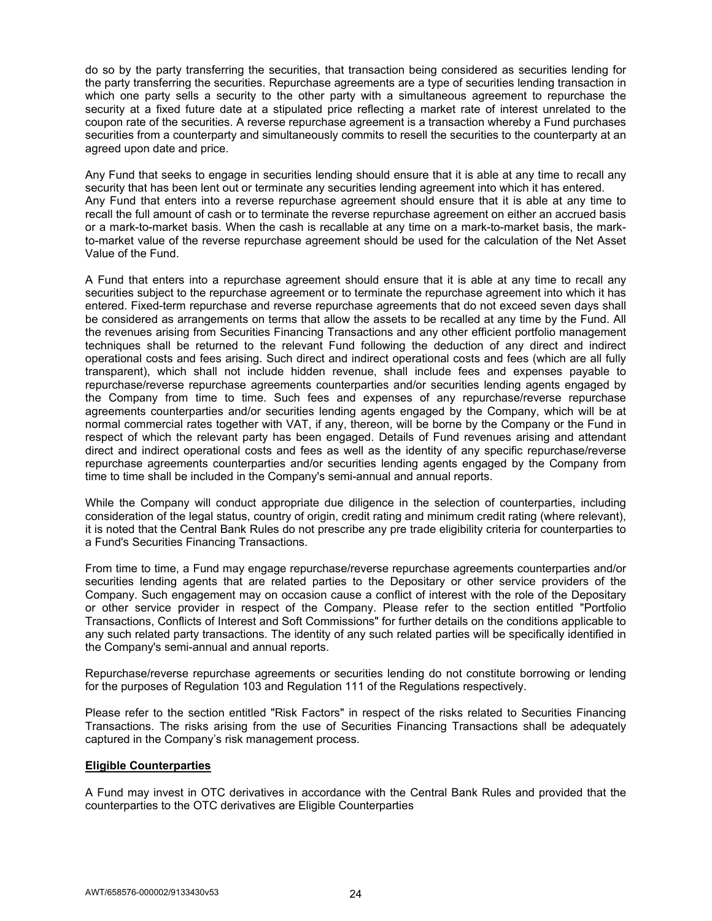do so by the party transferring the securities, that transaction being considered as securities lending for the party transferring the securities. Repurchase agreements are a type of securities lending transaction in which one party sells a security to the other party with a simultaneous agreement to repurchase the security at a fixed future date at a stipulated price reflecting a market rate of interest unrelated to the coupon rate of the securities. A reverse repurchase agreement is a transaction whereby a Fund purchases securities from a counterparty and simultaneously commits to resell the securities to the counterparty at an agreed upon date and price.

Any Fund that seeks to engage in securities lending should ensure that it is able at any time to recall any security that has been lent out or terminate any securities lending agreement into which it has entered. Any Fund that enters into a reverse repurchase agreement should ensure that it is able at any time to recall the full amount of cash or to terminate the reverse repurchase agreement on either an accrued basis or a mark-to-market basis. When the cash is recallable at any time on a mark-to-market basis, the markto-market value of the reverse repurchase agreement should be used for the calculation of the Net Asset Value of the Fund.

A Fund that enters into a repurchase agreement should ensure that it is able at any time to recall any securities subject to the repurchase agreement or to terminate the repurchase agreement into which it has entered. Fixed-term repurchase and reverse repurchase agreements that do not exceed seven days shall be considered as arrangements on terms that allow the assets to be recalled at any time by the Fund. All the revenues arising from Securities Financing Transactions and any other efficient portfolio management techniques shall be returned to the relevant Fund following the deduction of any direct and indirect operational costs and fees arising. Such direct and indirect operational costs and fees (which are all fully transparent), which shall not include hidden revenue, shall include fees and expenses payable to repurchase/reverse repurchase agreements counterparties and/or securities lending agents engaged by the Company from time to time. Such fees and expenses of any repurchase/reverse repurchase agreements counterparties and/or securities lending agents engaged by the Company, which will be at normal commercial rates together with VAT, if any, thereon, will be borne by the Company or the Fund in respect of which the relevant party has been engaged. Details of Fund revenues arising and attendant direct and indirect operational costs and fees as well as the identity of any specific repurchase/reverse repurchase agreements counterparties and/or securities lending agents engaged by the Company from time to time shall be included in the Company's semi-annual and annual reports.

While the Company will conduct appropriate due diligence in the selection of counterparties, including consideration of the legal status, country of origin, credit rating and minimum credit rating (where relevant), it is noted that the Central Bank Rules do not prescribe any pre trade eligibility criteria for counterparties to a Fund's Securities Financing Transactions.

From time to time, a Fund may engage repurchase/reverse repurchase agreements counterparties and/or securities lending agents that are related parties to the Depositary or other service providers of the Company. Such engagement may on occasion cause a conflict of interest with the role of the Depositary or other service provider in respect of the Company. Please refer to the section entitled "Portfolio Transactions, Conflicts of Interest and Soft Commissions" for further details on the conditions applicable to any such related party transactions. The identity of any such related parties will be specifically identified in the Company's semi-annual and annual reports.

Repurchase/reverse repurchase agreements or securities lending do not constitute borrowing or lending for the purposes of Regulation 103 and Regulation 111 of the Regulations respectively.

Please refer to the section entitled "Risk Factors" in respect of the risks related to Securities Financing Transactions. The risks arising from the use of Securities Financing Transactions shall be adequately captured in the Company's risk management process.

## **Eligible Counterparties**

A Fund may invest in OTC derivatives in accordance with the Central Bank Rules and provided that the counterparties to the OTC derivatives are Eligible Counterparties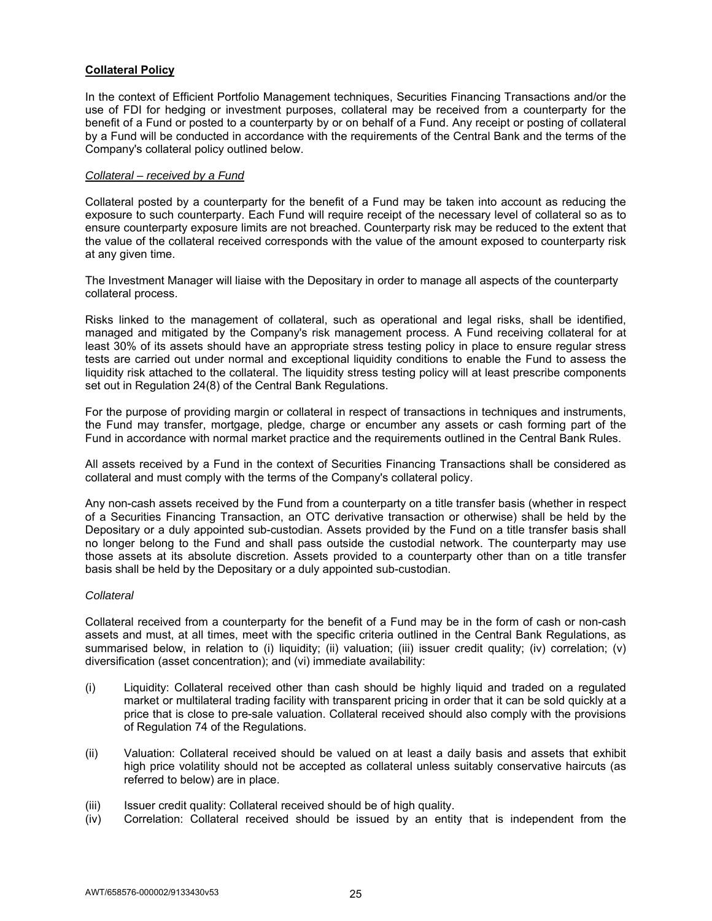# **Collateral Policy**

In the context of Efficient Portfolio Management techniques, Securities Financing Transactions and/or the use of FDI for hedging or investment purposes, collateral may be received from a counterparty for the benefit of a Fund or posted to a counterparty by or on behalf of a Fund. Any receipt or posting of collateral by a Fund will be conducted in accordance with the requirements of the Central Bank and the terms of the Company's collateral policy outlined below.

## *Collateral – received by a Fund*

Collateral posted by a counterparty for the benefit of a Fund may be taken into account as reducing the exposure to such counterparty. Each Fund will require receipt of the necessary level of collateral so as to ensure counterparty exposure limits are not breached. Counterparty risk may be reduced to the extent that the value of the collateral received corresponds with the value of the amount exposed to counterparty risk at any given time.

The Investment Manager will liaise with the Depositary in order to manage all aspects of the counterparty collateral process.

Risks linked to the management of collateral, such as operational and legal risks, shall be identified, managed and mitigated by the Company's risk management process. A Fund receiving collateral for at least 30% of its assets should have an appropriate stress testing policy in place to ensure regular stress tests are carried out under normal and exceptional liquidity conditions to enable the Fund to assess the liquidity risk attached to the collateral. The liquidity stress testing policy will at least prescribe components set out in Regulation 24(8) of the Central Bank Regulations.

For the purpose of providing margin or collateral in respect of transactions in techniques and instruments, the Fund may transfer, mortgage, pledge, charge or encumber any assets or cash forming part of the Fund in accordance with normal market practice and the requirements outlined in the Central Bank Rules.

All assets received by a Fund in the context of Securities Financing Transactions shall be considered as collateral and must comply with the terms of the Company's collateral policy.

Any non-cash assets received by the Fund from a counterparty on a title transfer basis (whether in respect of a Securities Financing Transaction, an OTC derivative transaction or otherwise) shall be held by the Depositary or a duly appointed sub-custodian. Assets provided by the Fund on a title transfer basis shall no longer belong to the Fund and shall pass outside the custodial network. The counterparty may use those assets at its absolute discretion. Assets provided to a counterparty other than on a title transfer basis shall be held by the Depositary or a duly appointed sub-custodian.

## *Collateral*

Collateral received from a counterparty for the benefit of a Fund may be in the form of cash or non-cash assets and must, at all times, meet with the specific criteria outlined in the Central Bank Regulations, as summarised below, in relation to (i) liquidity; (ii) valuation; (iii) issuer credit quality; (iv) correlation; (v) diversification (asset concentration); and (vi) immediate availability:

- (i) Liquidity: Collateral received other than cash should be highly liquid and traded on a regulated market or multilateral trading facility with transparent pricing in order that it can be sold quickly at a price that is close to pre-sale valuation. Collateral received should also comply with the provisions of Regulation 74 of the Regulations.
- (ii) Valuation: Collateral received should be valued on at least a daily basis and assets that exhibit high price volatility should not be accepted as collateral unless suitably conservative haircuts (as referred to below) are in place.
- (iii) Issuer credit quality: Collateral received should be of high quality.
- (iv) Correlation: Collateral received should be issued by an entity that is independent from the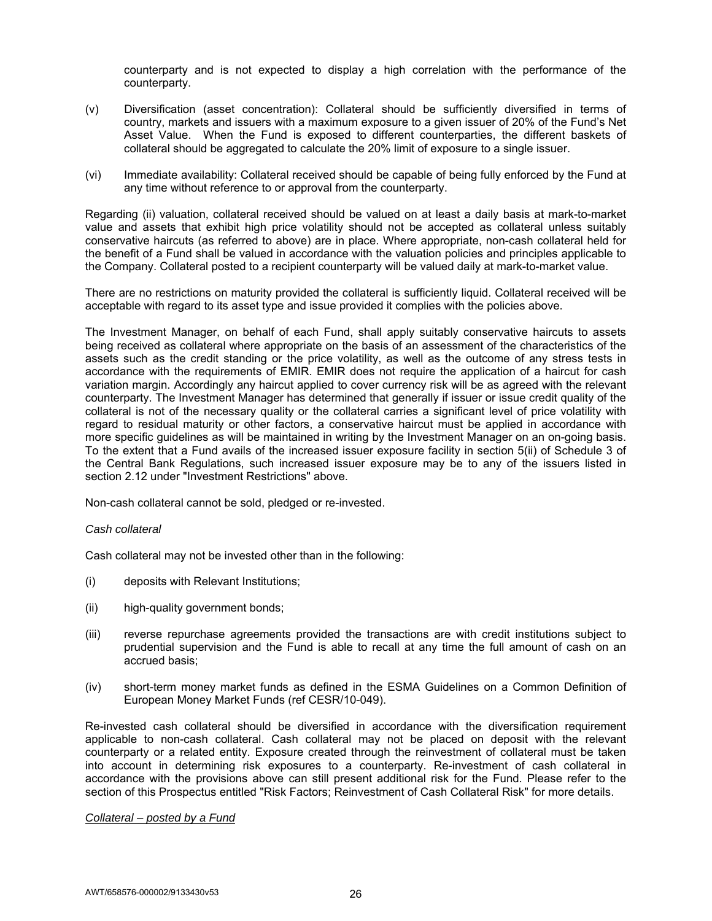counterparty and is not expected to display a high correlation with the performance of the counterparty.

- (v) Diversification (asset concentration): Collateral should be sufficiently diversified in terms of country, markets and issuers with a maximum exposure to a given issuer of 20% of the Fund's Net Asset Value. When the Fund is exposed to different counterparties, the different baskets of collateral should be aggregated to calculate the 20% limit of exposure to a single issuer.
- (vi) Immediate availability: Collateral received should be capable of being fully enforced by the Fund at any time without reference to or approval from the counterparty.

Regarding (ii) valuation, collateral received should be valued on at least a daily basis at mark-to-market value and assets that exhibit high price volatility should not be accepted as collateral unless suitably conservative haircuts (as referred to above) are in place. Where appropriate, non-cash collateral held for the benefit of a Fund shall be valued in accordance with the valuation policies and principles applicable to the Company. Collateral posted to a recipient counterparty will be valued daily at mark-to-market value.

There are no restrictions on maturity provided the collateral is sufficiently liquid. Collateral received will be acceptable with regard to its asset type and issue provided it complies with the policies above.

The Investment Manager, on behalf of each Fund, shall apply suitably conservative haircuts to assets being received as collateral where appropriate on the basis of an assessment of the characteristics of the assets such as the credit standing or the price volatility, as well as the outcome of any stress tests in accordance with the requirements of EMIR. EMIR does not require the application of a haircut for cash variation margin. Accordingly any haircut applied to cover currency risk will be as agreed with the relevant counterparty. The Investment Manager has determined that generally if issuer or issue credit quality of the collateral is not of the necessary quality or the collateral carries a significant level of price volatility with regard to residual maturity or other factors, a conservative haircut must be applied in accordance with more specific guidelines as will be maintained in writing by the Investment Manager on an on-going basis. To the extent that a Fund avails of the increased issuer exposure facility in section 5(ii) of Schedule 3 of the Central Bank Regulations, such increased issuer exposure may be to any of the issuers listed in section 2.12 under "Investment Restrictions" above.

Non-cash collateral cannot be sold, pledged or re-invested.

### *Cash collateral*

Cash collateral may not be invested other than in the following:

- (i) deposits with Relevant Institutions;
- (ii) high-quality government bonds;
- (iii) reverse repurchase agreements provided the transactions are with credit institutions subject to prudential supervision and the Fund is able to recall at any time the full amount of cash on an accrued basis;
- (iv) short-term money market funds as defined in the ESMA Guidelines on a Common Definition of European Money Market Funds (ref CESR/10-049).

Re-invested cash collateral should be diversified in accordance with the diversification requirement applicable to non-cash collateral. Cash collateral may not be placed on deposit with the relevant counterparty or a related entity. Exposure created through the reinvestment of collateral must be taken into account in determining risk exposures to a counterparty. Re-investment of cash collateral in accordance with the provisions above can still present additional risk for the Fund. Please refer to the section of this Prospectus entitled "Risk Factors; Reinvestment of Cash Collateral Risk" for more details.

#### *Collateral – posted by a Fund*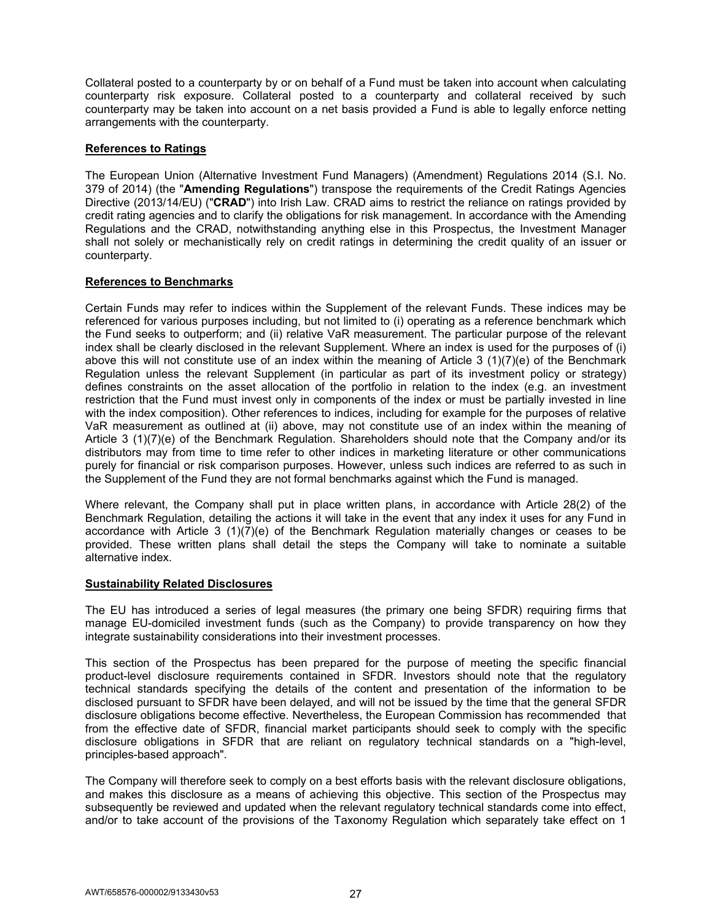Collateral posted to a counterparty by or on behalf of a Fund must be taken into account when calculating counterparty risk exposure. Collateral posted to a counterparty and collateral received by such counterparty may be taken into account on a net basis provided a Fund is able to legally enforce netting arrangements with the counterparty.

## **References to Ratings**

The European Union (Alternative Investment Fund Managers) (Amendment) Regulations 2014 (S.I. No. 379 of 2014) (the "**Amending Regulations**") transpose the requirements of the Credit Ratings Agencies Directive (2013/14/EU) ("**CRAD**") into Irish Law. CRAD aims to restrict the reliance on ratings provided by credit rating agencies and to clarify the obligations for risk management. In accordance with the Amending Regulations and the CRAD, notwithstanding anything else in this Prospectus, the Investment Manager shall not solely or mechanistically rely on credit ratings in determining the credit quality of an issuer or counterparty.

## **References to Benchmarks**

Certain Funds may refer to indices within the Supplement of the relevant Funds. These indices may be referenced for various purposes including, but not limited to (i) operating as a reference benchmark which the Fund seeks to outperform; and (ii) relative VaR measurement. The particular purpose of the relevant index shall be clearly disclosed in the relevant Supplement. Where an index is used for the purposes of (i) above this will not constitute use of an index within the meaning of Article 3 (1)(7)(e) of the Benchmark Regulation unless the relevant Supplement (in particular as part of its investment policy or strategy) defines constraints on the asset allocation of the portfolio in relation to the index (e.g. an investment restriction that the Fund must invest only in components of the index or must be partially invested in line with the index composition). Other references to indices, including for example for the purposes of relative VaR measurement as outlined at (ii) above, may not constitute use of an index within the meaning of Article 3 (1)(7)(e) of the Benchmark Regulation. Shareholders should note that the Company and/or its distributors may from time to time refer to other indices in marketing literature or other communications purely for financial or risk comparison purposes. However, unless such indices are referred to as such in the Supplement of the Fund they are not formal benchmarks against which the Fund is managed.

Where relevant, the Company shall put in place written plans, in accordance with Article 28(2) of the Benchmark Regulation, detailing the actions it will take in the event that any index it uses for any Fund in accordance with Article 3 (1)(7)(e) of the Benchmark Regulation materially changes or ceases to be provided. These written plans shall detail the steps the Company will take to nominate a suitable alternative index.

#### **Sustainability Related Disclosures**

The EU has introduced a series of legal measures (the primary one being SFDR) requiring firms that manage EU-domiciled investment funds (such as the Company) to provide transparency on how they integrate sustainability considerations into their investment processes.

This section of the Prospectus has been prepared for the purpose of meeting the specific financial product-level disclosure requirements contained in SFDR. Investors should note that the regulatory technical standards specifying the details of the content and presentation of the information to be disclosed pursuant to SFDR have been delayed, and will not be issued by the time that the general SFDR disclosure obligations become effective. Nevertheless, the European Commission has recommended that from the effective date of SFDR, financial market participants should seek to comply with the specific disclosure obligations in SFDR that are reliant on regulatory technical standards on a "high-level, principles-based approach".

The Company will therefore seek to comply on a best efforts basis with the relevant disclosure obligations, and makes this disclosure as a means of achieving this objective. This section of the Prospectus may subsequently be reviewed and updated when the relevant regulatory technical standards come into effect, and/or to take account of the provisions of the Taxonomy Regulation which separately take effect on 1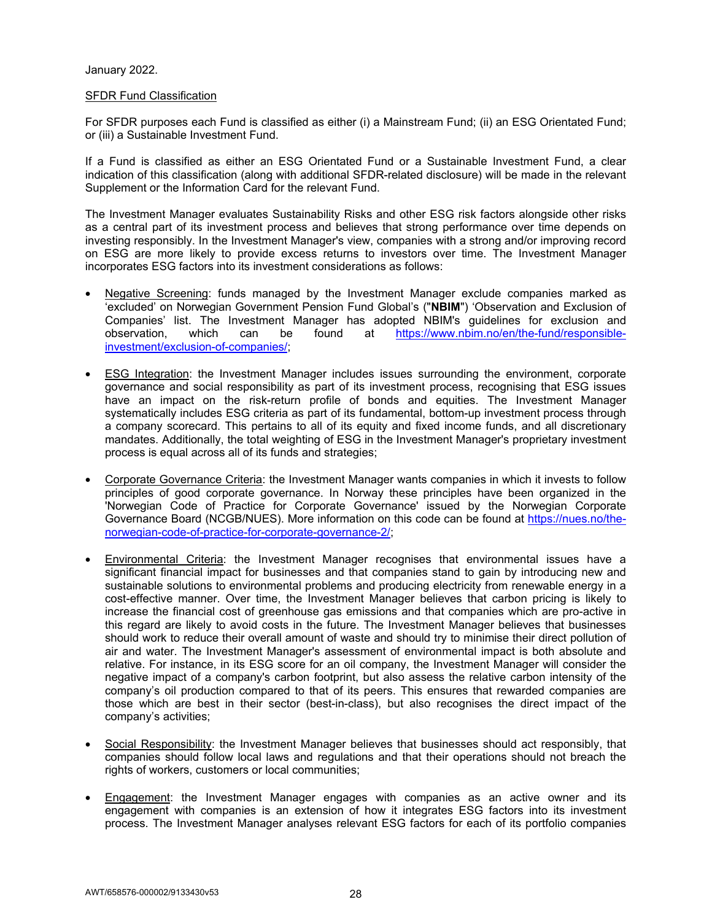## January 2022.

### SFDR Fund Classification

For SFDR purposes each Fund is classified as either (i) a Mainstream Fund; (ii) an ESG Orientated Fund; or (iii) a Sustainable Investment Fund.

If a Fund is classified as either an ESG Orientated Fund or a Sustainable Investment Fund, a clear indication of this classification (along with additional SFDR-related disclosure) will be made in the relevant Supplement or the Information Card for the relevant Fund.

The Investment Manager evaluates Sustainability Risks and other ESG risk factors alongside other risks as a central part of its investment process and believes that strong performance over time depends on investing responsibly. In the Investment Manager's view, companies with a strong and/or improving record on ESG are more likely to provide excess returns to investors over time. The Investment Manager incorporates ESG factors into its investment considerations as follows:

- Negative Screening: funds managed by the Investment Manager exclude companies marked as 'excluded' on Norwegian Government Pension Fund Global's ("**NBIM**") 'Observation and Exclusion of Companies' list. The Investment Manager has adopted NBIM's guidelines for exclusion and observation, which can be found at https://www.nbim.no/en/the-fund/responsibleinvestment/exclusion-of-companies/;
- ESG Integration: the Investment Manager includes issues surrounding the environment, corporate governance and social responsibility as part of its investment process, recognising that ESG issues have an impact on the risk-return profile of bonds and equities. The Investment Manager systematically includes ESG criteria as part of its fundamental, bottom-up investment process through a company scorecard. This pertains to all of its equity and fixed income funds, and all discretionary mandates. Additionally, the total weighting of ESG in the Investment Manager's proprietary investment process is equal across all of its funds and strategies;
- Corporate Governance Criteria: the Investment Manager wants companies in which it invests to follow principles of good corporate governance. In Norway these principles have been organized in the 'Norwegian Code of Practice for Corporate Governance' issued by the Norwegian Corporate Governance Board (NCGB/NUES). More information on this code can be found at https://nues.no/thenorwegian-code-of-practice-for-corporate-governance-2/;
- Environmental Criteria: the Investment Manager recognises that environmental issues have a significant financial impact for businesses and that companies stand to gain by introducing new and sustainable solutions to environmental problems and producing electricity from renewable energy in a cost-effective manner. Over time, the Investment Manager believes that carbon pricing is likely to increase the financial cost of greenhouse gas emissions and that companies which are pro-active in this regard are likely to avoid costs in the future. The Investment Manager believes that businesses should work to reduce their overall amount of waste and should try to minimise their direct pollution of air and water. The Investment Manager's assessment of environmental impact is both absolute and relative. For instance, in its ESG score for an oil company, the Investment Manager will consider the negative impact of a company's carbon footprint, but also assess the relative carbon intensity of the company's oil production compared to that of its peers. This ensures that rewarded companies are those which are best in their sector (best-in-class), but also recognises the direct impact of the company's activities;
- Social Responsibility: the Investment Manager believes that businesses should act responsibly, that companies should follow local laws and regulations and that their operations should not breach the rights of workers, customers or local communities;
- Engagement: the Investment Manager engages with companies as an active owner and its engagement with companies is an extension of how it integrates ESG factors into its investment process. The Investment Manager analyses relevant ESG factors for each of its portfolio companies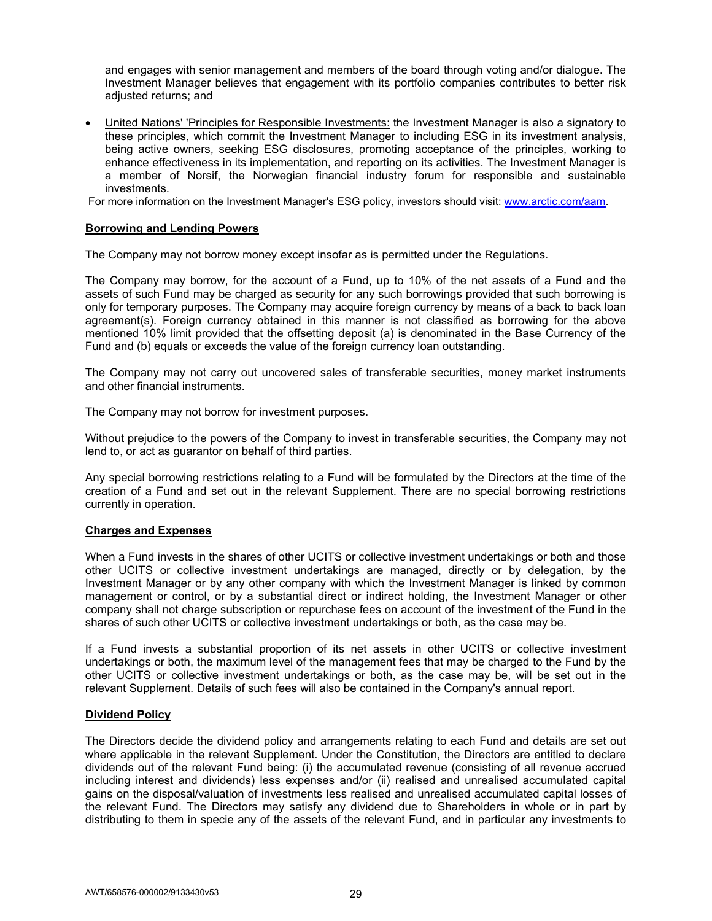and engages with senior management and members of the board through voting and/or dialogue. The Investment Manager believes that engagement with its portfolio companies contributes to better risk adjusted returns; and

• United Nations' 'Principles for Responsible Investments: the Investment Manager is also a signatory to these principles, which commit the Investment Manager to including ESG in its investment analysis, being active owners, seeking ESG disclosures, promoting acceptance of the principles, working to enhance effectiveness in its implementation, and reporting on its activities. The Investment Manager is a member of Norsif, the Norwegian financial industry forum for responsible and sustainable investments.

For more information on the Investment Manager's ESG policy, investors should visit: www.arctic.com/aam.

## **Borrowing and Lending Powers**

The Company may not borrow money except insofar as is permitted under the Regulations.

The Company may borrow, for the account of a Fund, up to 10% of the net assets of a Fund and the assets of such Fund may be charged as security for any such borrowings provided that such borrowing is only for temporary purposes. The Company may acquire foreign currency by means of a back to back loan agreement(s). Foreign currency obtained in this manner is not classified as borrowing for the above mentioned 10% limit provided that the offsetting deposit (a) is denominated in the Base Currency of the Fund and (b) equals or exceeds the value of the foreign currency loan outstanding.

The Company may not carry out uncovered sales of transferable securities, money market instruments and other financial instruments.

The Company may not borrow for investment purposes.

Without prejudice to the powers of the Company to invest in transferable securities, the Company may not lend to, or act as guarantor on behalf of third parties.

Any special borrowing restrictions relating to a Fund will be formulated by the Directors at the time of the creation of a Fund and set out in the relevant Supplement. There are no special borrowing restrictions currently in operation.

## **Charges and Expenses**

When a Fund invests in the shares of other UCITS or collective investment undertakings or both and those other UCITS or collective investment undertakings are managed, directly or by delegation, by the Investment Manager or by any other company with which the Investment Manager is linked by common management or control, or by a substantial direct or indirect holding, the Investment Manager or other company shall not charge subscription or repurchase fees on account of the investment of the Fund in the shares of such other UCITS or collective investment undertakings or both, as the case may be.

If a Fund invests a substantial proportion of its net assets in other UCITS or collective investment undertakings or both, the maximum level of the management fees that may be charged to the Fund by the other UCITS or collective investment undertakings or both, as the case may be, will be set out in the relevant Supplement. Details of such fees will also be contained in the Company's annual report.

## **Dividend Policy**

The Directors decide the dividend policy and arrangements relating to each Fund and details are set out where applicable in the relevant Supplement. Under the Constitution, the Directors are entitled to declare dividends out of the relevant Fund being: (i) the accumulated revenue (consisting of all revenue accrued including interest and dividends) less expenses and/or (ii) realised and unrealised accumulated capital gains on the disposal/valuation of investments less realised and unrealised accumulated capital losses of the relevant Fund. The Directors may satisfy any dividend due to Shareholders in whole or in part by distributing to them in specie any of the assets of the relevant Fund, and in particular any investments to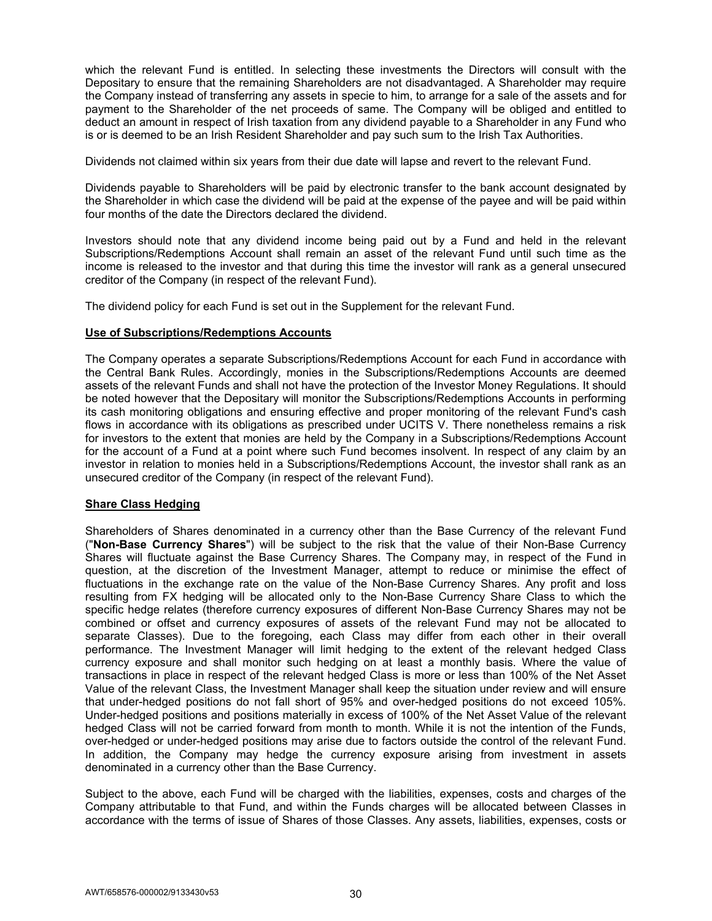which the relevant Fund is entitled. In selecting these investments the Directors will consult with the Depositary to ensure that the remaining Shareholders are not disadvantaged. A Shareholder may require the Company instead of transferring any assets in specie to him, to arrange for a sale of the assets and for payment to the Shareholder of the net proceeds of same. The Company will be obliged and entitled to deduct an amount in respect of Irish taxation from any dividend payable to a Shareholder in any Fund who is or is deemed to be an Irish Resident Shareholder and pay such sum to the Irish Tax Authorities.

Dividends not claimed within six years from their due date will lapse and revert to the relevant Fund.

Dividends payable to Shareholders will be paid by electronic transfer to the bank account designated by the Shareholder in which case the dividend will be paid at the expense of the payee and will be paid within four months of the date the Directors declared the dividend.

Investors should note that any dividend income being paid out by a Fund and held in the relevant Subscriptions/Redemptions Account shall remain an asset of the relevant Fund until such time as the income is released to the investor and that during this time the investor will rank as a general unsecured creditor of the Company (in respect of the relevant Fund).

The dividend policy for each Fund is set out in the Supplement for the relevant Fund.

## **Use of Subscriptions/Redemptions Accounts**

The Company operates a separate Subscriptions/Redemptions Account for each Fund in accordance with the Central Bank Rules. Accordingly, monies in the Subscriptions/Redemptions Accounts are deemed assets of the relevant Funds and shall not have the protection of the Investor Money Regulations. It should be noted however that the Depositary will monitor the Subscriptions/Redemptions Accounts in performing its cash monitoring obligations and ensuring effective and proper monitoring of the relevant Fund's cash flows in accordance with its obligations as prescribed under UCITS V. There nonetheless remains a risk for investors to the extent that monies are held by the Company in a Subscriptions/Redemptions Account for the account of a Fund at a point where such Fund becomes insolvent. In respect of any claim by an investor in relation to monies held in a Subscriptions/Redemptions Account, the investor shall rank as an unsecured creditor of the Company (in respect of the relevant Fund).

## **Share Class Hedging**

Shareholders of Shares denominated in a currency other than the Base Currency of the relevant Fund ("**Non-Base Currency Shares**") will be subject to the risk that the value of their Non-Base Currency Shares will fluctuate against the Base Currency Shares. The Company may, in respect of the Fund in question, at the discretion of the Investment Manager, attempt to reduce or minimise the effect of fluctuations in the exchange rate on the value of the Non-Base Currency Shares. Any profit and loss resulting from FX hedging will be allocated only to the Non-Base Currency Share Class to which the specific hedge relates (therefore currency exposures of different Non-Base Currency Shares may not be combined or offset and currency exposures of assets of the relevant Fund may not be allocated to separate Classes). Due to the foregoing, each Class may differ from each other in their overall performance. The Investment Manager will limit hedging to the extent of the relevant hedged Class currency exposure and shall monitor such hedging on at least a monthly basis. Where the value of transactions in place in respect of the relevant hedged Class is more or less than 100% of the Net Asset Value of the relevant Class, the Investment Manager shall keep the situation under review and will ensure that under-hedged positions do not fall short of 95% and over-hedged positions do not exceed 105%. Under-hedged positions and positions materially in excess of 100% of the Net Asset Value of the relevant hedged Class will not be carried forward from month to month. While it is not the intention of the Funds, over-hedged or under-hedged positions may arise due to factors outside the control of the relevant Fund. In addition, the Company may hedge the currency exposure arising from investment in assets denominated in a currency other than the Base Currency.

Subject to the above, each Fund will be charged with the liabilities, expenses, costs and charges of the Company attributable to that Fund, and within the Funds charges will be allocated between Classes in accordance with the terms of issue of Shares of those Classes. Any assets, liabilities, expenses, costs or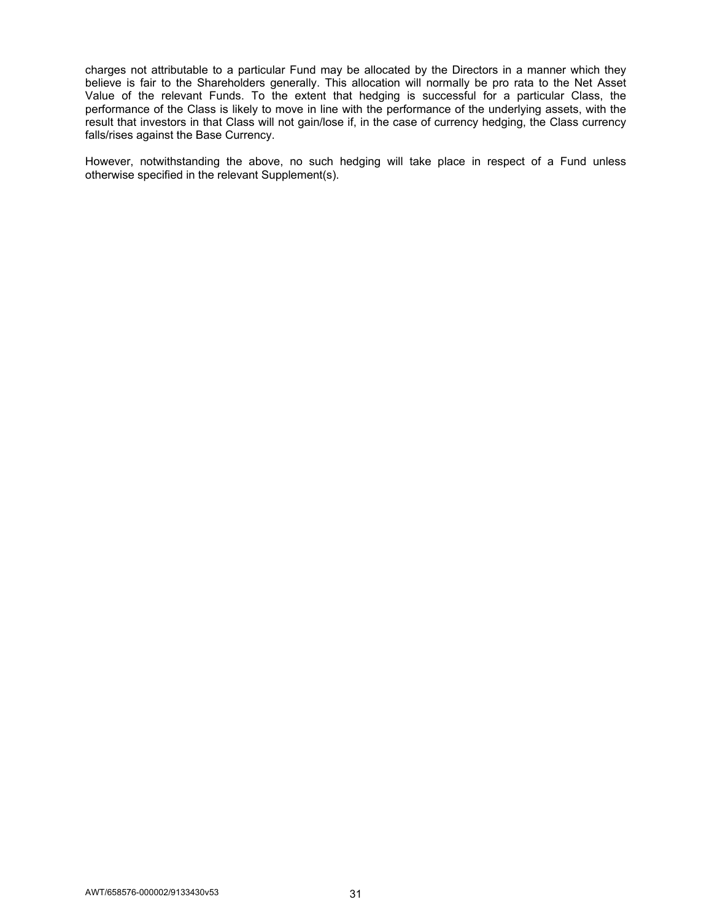charges not attributable to a particular Fund may be allocated by the Directors in a manner which they believe is fair to the Shareholders generally. This allocation will normally be pro rata to the Net Asset Value of the relevant Funds. To the extent that hedging is successful for a particular Class, the performance of the Class is likely to move in line with the performance of the underlying assets, with the result that investors in that Class will not gain/lose if, in the case of currency hedging, the Class currency falls/rises against the Base Currency.

However, notwithstanding the above, no such hedging will take place in respect of a Fund unless otherwise specified in the relevant Supplement(s).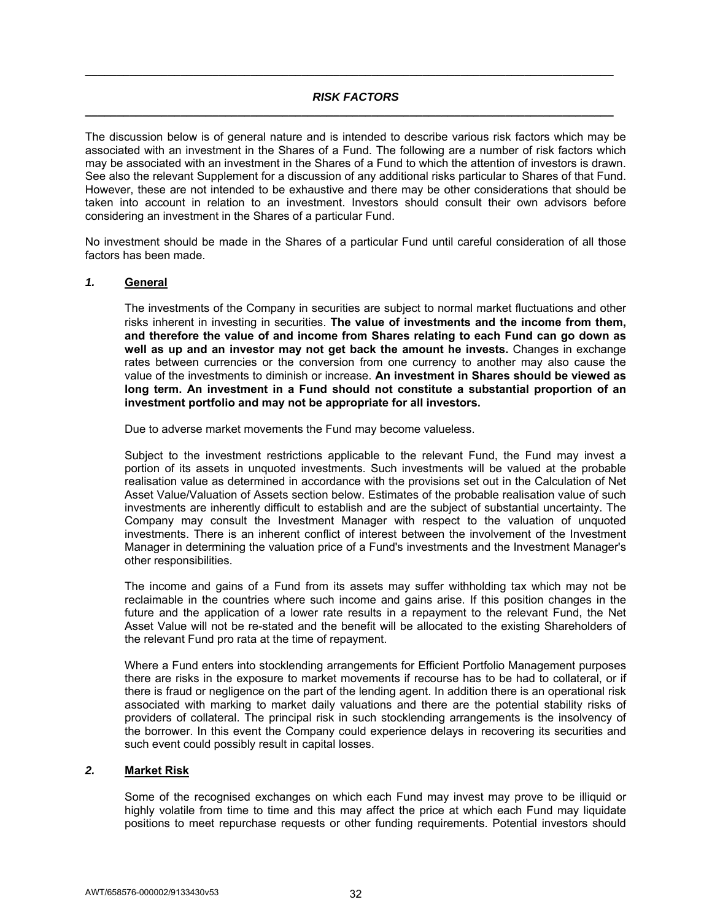## *RISK FACTORS*  **\_\_\_\_\_\_\_\_\_\_\_\_\_\_\_\_\_\_\_\_\_\_\_\_\_\_\_\_\_\_\_\_\_\_\_\_\_\_\_\_\_\_\_\_\_\_\_\_\_\_\_\_\_\_\_\_\_\_\_\_\_\_\_\_\_\_\_\_\_\_\_\_\_\_\_\_\_\_\_\_\_\_\_**

**\_\_\_\_\_\_\_\_\_\_\_\_\_\_\_\_\_\_\_\_\_\_\_\_\_\_\_\_\_\_\_\_\_\_\_\_\_\_\_\_\_\_\_\_\_\_\_\_\_\_\_\_\_\_\_\_\_\_\_\_\_\_\_\_\_\_\_\_\_\_\_\_\_\_\_\_\_\_\_\_\_\_\_**

The discussion below is of general nature and is intended to describe various risk factors which may be associated with an investment in the Shares of a Fund. The following are a number of risk factors which may be associated with an investment in the Shares of a Fund to which the attention of investors is drawn. See also the relevant Supplement for a discussion of any additional risks particular to Shares of that Fund. However, these are not intended to be exhaustive and there may be other considerations that should be taken into account in relation to an investment. Investors should consult their own advisors before considering an investment in the Shares of a particular Fund.

No investment should be made in the Shares of a particular Fund until careful consideration of all those factors has been made.

# *1.* **General**

The investments of the Company in securities are subject to normal market fluctuations and other risks inherent in investing in securities. **The value of investments and the income from them, and therefore the value of and income from Shares relating to each Fund can go down as well as up and an investor may not get back the amount he invests.** Changes in exchange rates between currencies or the conversion from one currency to another may also cause the value of the investments to diminish or increase. **An investment in Shares should be viewed as long term. An investment in a Fund should not constitute a substantial proportion of an investment portfolio and may not be appropriate for all investors.** 

Due to adverse market movements the Fund may become valueless.

Subject to the investment restrictions applicable to the relevant Fund, the Fund may invest a portion of its assets in unquoted investments. Such investments will be valued at the probable realisation value as determined in accordance with the provisions set out in the Calculation of Net Asset Value/Valuation of Assets section below. Estimates of the probable realisation value of such investments are inherently difficult to establish and are the subject of substantial uncertainty. The Company may consult the Investment Manager with respect to the valuation of unquoted investments. There is an inherent conflict of interest between the involvement of the Investment Manager in determining the valuation price of a Fund's investments and the Investment Manager's other responsibilities.

The income and gains of a Fund from its assets may suffer withholding tax which may not be reclaimable in the countries where such income and gains arise. If this position changes in the future and the application of a lower rate results in a repayment to the relevant Fund, the Net Asset Value will not be re-stated and the benefit will be allocated to the existing Shareholders of the relevant Fund pro rata at the time of repayment.

Where a Fund enters into stocklending arrangements for Efficient Portfolio Management purposes there are risks in the exposure to market movements if recourse has to be had to collateral, or if there is fraud or negligence on the part of the lending agent. In addition there is an operational risk associated with marking to market daily valuations and there are the potential stability risks of providers of collateral. The principal risk in such stocklending arrangements is the insolvency of the borrower. In this event the Company could experience delays in recovering its securities and such event could possibly result in capital losses.

### *2.* **Market Risk**

 Some of the recognised exchanges on which each Fund may invest may prove to be illiquid or highly volatile from time to time and this may affect the price at which each Fund may liquidate positions to meet repurchase requests or other funding requirements. Potential investors should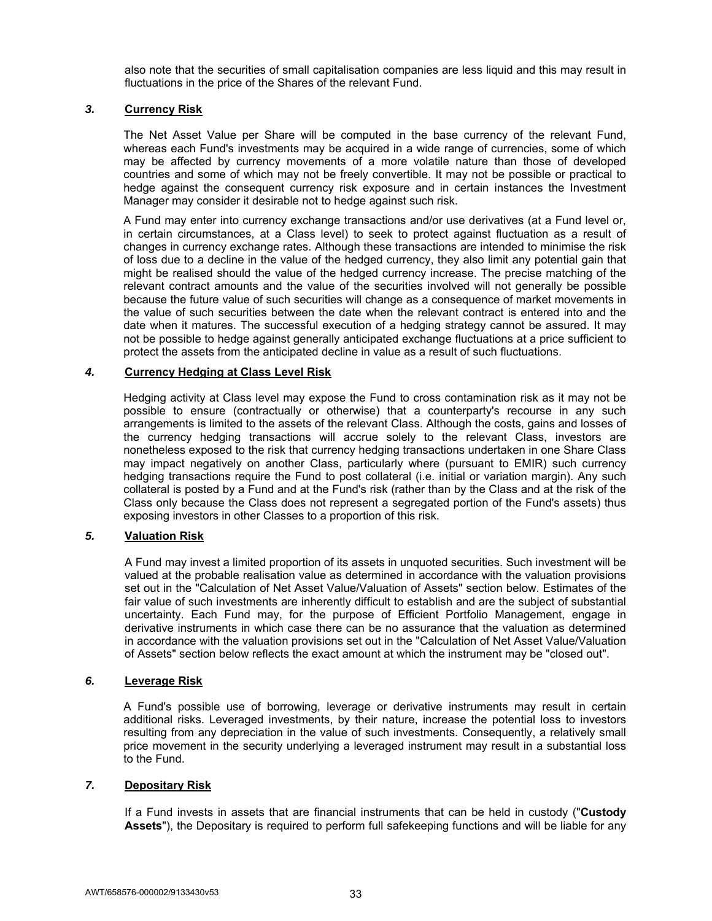also note that the securities of small capitalisation companies are less liquid and this may result in fluctuations in the price of the Shares of the relevant Fund.

# *3.* **Currency Risk**

The Net Asset Value per Share will be computed in the base currency of the relevant Fund, whereas each Fund's investments may be acquired in a wide range of currencies, some of which may be affected by currency movements of a more volatile nature than those of developed countries and some of which may not be freely convertible. It may not be possible or practical to hedge against the consequent currency risk exposure and in certain instances the Investment Manager may consider it desirable not to hedge against such risk.

A Fund may enter into currency exchange transactions and/or use derivatives (at a Fund level or, in certain circumstances, at a Class level) to seek to protect against fluctuation as a result of changes in currency exchange rates. Although these transactions are intended to minimise the risk of loss due to a decline in the value of the hedged currency, they also limit any potential gain that might be realised should the value of the hedged currency increase. The precise matching of the relevant contract amounts and the value of the securities involved will not generally be possible because the future value of such securities will change as a consequence of market movements in the value of such securities between the date when the relevant contract is entered into and the date when it matures. The successful execution of a hedging strategy cannot be assured. It may not be possible to hedge against generally anticipated exchange fluctuations at a price sufficient to protect the assets from the anticipated decline in value as a result of such fluctuations.

## *4.* **Currency Hedging at Class Level Risk**

Hedging activity at Class level may expose the Fund to cross contamination risk as it may not be possible to ensure (contractually or otherwise) that a counterparty's recourse in any such arrangements is limited to the assets of the relevant Class. Although the costs, gains and losses of the currency hedging transactions will accrue solely to the relevant Class, investors are nonetheless exposed to the risk that currency hedging transactions undertaken in one Share Class may impact negatively on another Class, particularly where (pursuant to EMIR) such currency hedging transactions require the Fund to post collateral (i.e. initial or variation margin). Any such collateral is posted by a Fund and at the Fund's risk (rather than by the Class and at the risk of the Class only because the Class does not represent a segregated portion of the Fund's assets) thus exposing investors in other Classes to a proportion of this risk.

## *5.* **Valuation Risk**

A Fund may invest a limited proportion of its assets in unquoted securities. Such investment will be valued at the probable realisation value as determined in accordance with the valuation provisions set out in the "Calculation of Net Asset Value/Valuation of Assets" section below. Estimates of the fair value of such investments are inherently difficult to establish and are the subject of substantial uncertainty. Each Fund may, for the purpose of Efficient Portfolio Management, engage in derivative instruments in which case there can be no assurance that the valuation as determined in accordance with the valuation provisions set out in the "Calculation of Net Asset Value/Valuation of Assets" section below reflects the exact amount at which the instrument may be "closed out".

## *6.* **Leverage Risk**

A Fund's possible use of borrowing, leverage or derivative instruments may result in certain additional risks. Leveraged investments, by their nature, increase the potential loss to investors resulting from any depreciation in the value of such investments. Consequently, a relatively small price movement in the security underlying a leveraged instrument may result in a substantial loss to the Fund.

## *7.* **Depositary Risk**

If a Fund invests in assets that are financial instruments that can be held in custody ("**Custody Assets**"), the Depositary is required to perform full safekeeping functions and will be liable for any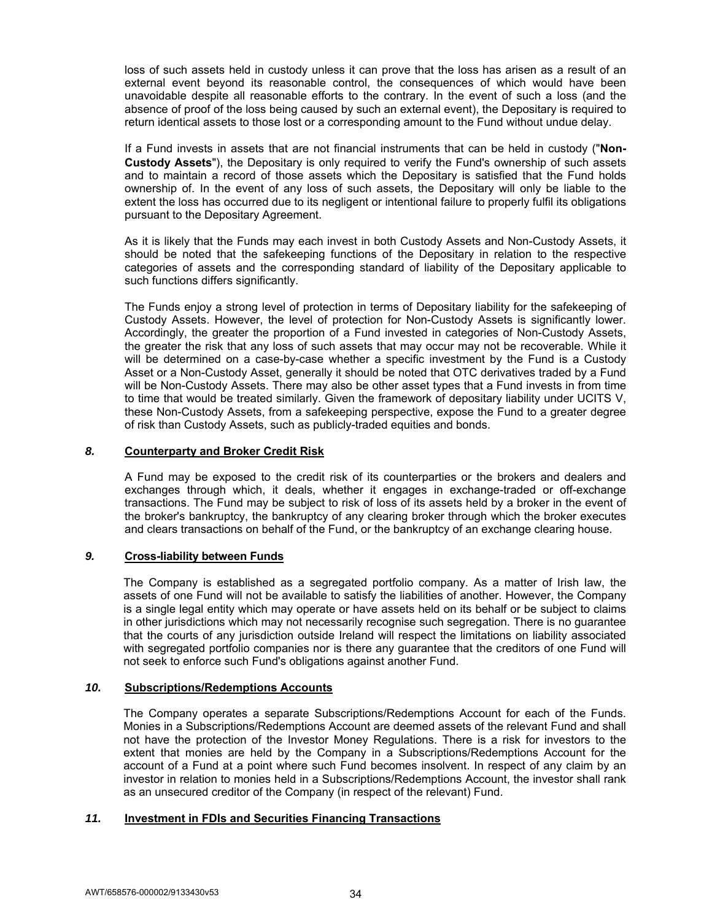loss of such assets held in custody unless it can prove that the loss has arisen as a result of an external event beyond its reasonable control, the consequences of which would have been unavoidable despite all reasonable efforts to the contrary. In the event of such a loss (and the absence of proof of the loss being caused by such an external event), the Depositary is required to return identical assets to those lost or a corresponding amount to the Fund without undue delay.

If a Fund invests in assets that are not financial instruments that can be held in custody ("**Non-Custody Assets**"), the Depositary is only required to verify the Fund's ownership of such assets and to maintain a record of those assets which the Depositary is satisfied that the Fund holds ownership of. In the event of any loss of such assets, the Depositary will only be liable to the extent the loss has occurred due to its negligent or intentional failure to properly fulfil its obligations pursuant to the Depositary Agreement.

As it is likely that the Funds may each invest in both Custody Assets and Non-Custody Assets, it should be noted that the safekeeping functions of the Depositary in relation to the respective categories of assets and the corresponding standard of liability of the Depositary applicable to such functions differs significantly.

The Funds enjoy a strong level of protection in terms of Depositary liability for the safekeeping of Custody Assets. However, the level of protection for Non-Custody Assets is significantly lower. Accordingly, the greater the proportion of a Fund invested in categories of Non-Custody Assets, the greater the risk that any loss of such assets that may occur may not be recoverable. While it will be determined on a case-by-case whether a specific investment by the Fund is a Custody Asset or a Non-Custody Asset, generally it should be noted that OTC derivatives traded by a Fund will be Non-Custody Assets. There may also be other asset types that a Fund invests in from time to time that would be treated similarly. Given the framework of depositary liability under UCITS V, these Non-Custody Assets, from a safekeeping perspective, expose the Fund to a greater degree of risk than Custody Assets, such as publicly-traded equities and bonds.

## *8.* **Counterparty and Broker Credit Risk**

A Fund may be exposed to the credit risk of its counterparties or the brokers and dealers and exchanges through which, it deals, whether it engages in exchange-traded or off-exchange transactions. The Fund may be subject to risk of loss of its assets held by a broker in the event of the broker's bankruptcy, the bankruptcy of any clearing broker through which the broker executes and clears transactions on behalf of the Fund, or the bankruptcy of an exchange clearing house.

## *9.* **Cross-liability between Funds**

The Company is established as a segregated portfolio company. As a matter of Irish law, the assets of one Fund will not be available to satisfy the liabilities of another. However, the Company is a single legal entity which may operate or have assets held on its behalf or be subject to claims in other jurisdictions which may not necessarily recognise such segregation. There is no guarantee that the courts of any jurisdiction outside Ireland will respect the limitations on liability associated with segregated portfolio companies nor is there any guarantee that the creditors of one Fund will not seek to enforce such Fund's obligations against another Fund.

# *10.* **Subscriptions/Redemptions Accounts**

The Company operates a separate Subscriptions/Redemptions Account for each of the Funds. Monies in a Subscriptions/Redemptions Account are deemed assets of the relevant Fund and shall not have the protection of the Investor Money Regulations. There is a risk for investors to the extent that monies are held by the Company in a Subscriptions/Redemptions Account for the account of a Fund at a point where such Fund becomes insolvent. In respect of any claim by an investor in relation to monies held in a Subscriptions/Redemptions Account, the investor shall rank as an unsecured creditor of the Company (in respect of the relevant) Fund.

# *11.* **Investment in FDIs and Securities Financing Transactions**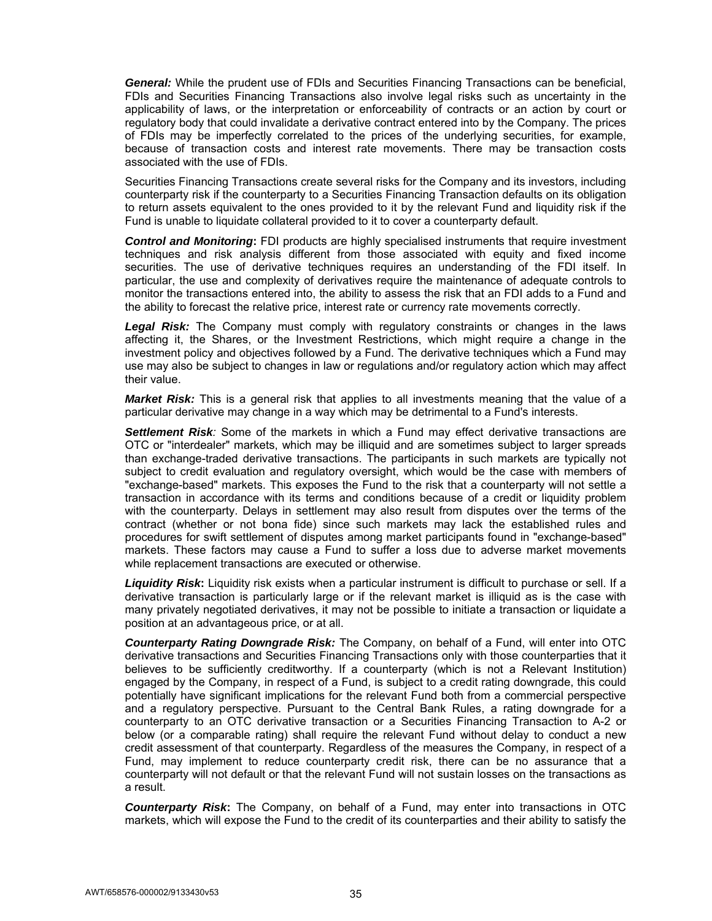*General:* While the prudent use of FDIs and Securities Financing Transactions can be beneficial, FDIs and Securities Financing Transactions also involve legal risks such as uncertainty in the applicability of laws, or the interpretation or enforceability of contracts or an action by court or regulatory body that could invalidate a derivative contract entered into by the Company. The prices of FDIs may be imperfectly correlated to the prices of the underlying securities, for example, because of transaction costs and interest rate movements. There may be transaction costs associated with the use of FDIs.

Securities Financing Transactions create several risks for the Company and its investors, including counterparty risk if the counterparty to a Securities Financing Transaction defaults on its obligation to return assets equivalent to the ones provided to it by the relevant Fund and liquidity risk if the Fund is unable to liquidate collateral provided to it to cover a counterparty default.

*Control and Monitoring***:** FDI products are highly specialised instruments that require investment techniques and risk analysis different from those associated with equity and fixed income securities. The use of derivative techniques requires an understanding of the FDI itself. In particular, the use and complexity of derivatives require the maintenance of adequate controls to monitor the transactions entered into, the ability to assess the risk that an FDI adds to a Fund and the ability to forecast the relative price, interest rate or currency rate movements correctly.

Legal Risk: The Company must comply with regulatory constraints or changes in the laws affecting it, the Shares, or the Investment Restrictions, which might require a change in the investment policy and objectives followed by a Fund. The derivative techniques which a Fund may use may also be subject to changes in law or regulations and/or regulatory action which may affect their value.

*Market Risk:* This is a general risk that applies to all investments meaning that the value of a particular derivative may change in a way which may be detrimental to a Fund's interests.

**Settlement Risk**: Some of the markets in which a Fund may effect derivative transactions are OTC or "interdealer" markets, which may be illiquid and are sometimes subject to larger spreads than exchange-traded derivative transactions. The participants in such markets are typically not subject to credit evaluation and regulatory oversight, which would be the case with members of "exchange-based" markets. This exposes the Fund to the risk that a counterparty will not settle a transaction in accordance with its terms and conditions because of a credit or liquidity problem with the counterparty. Delays in settlement may also result from disputes over the terms of the contract (whether or not bona fide) since such markets may lack the established rules and procedures for swift settlement of disputes among market participants found in "exchange-based" markets. These factors may cause a Fund to suffer a loss due to adverse market movements while replacement transactions are executed or otherwise.

*Liquidity Risk***:** Liquidity risk exists when a particular instrument is difficult to purchase or sell. If a derivative transaction is particularly large or if the relevant market is illiquid as is the case with many privately negotiated derivatives, it may not be possible to initiate a transaction or liquidate a position at an advantageous price, or at all.

*Counterparty Rating Downgrade Risk:* The Company, on behalf of a Fund, will enter into OTC derivative transactions and Securities Financing Transactions only with those counterparties that it believes to be sufficiently creditworthy. If a counterparty (which is not a Relevant Institution) engaged by the Company, in respect of a Fund, is subject to a credit rating downgrade, this could potentially have significant implications for the relevant Fund both from a commercial perspective and a regulatory perspective. Pursuant to the Central Bank Rules, a rating downgrade for a counterparty to an OTC derivative transaction or a Securities Financing Transaction to A-2 or below (or a comparable rating) shall require the relevant Fund without delay to conduct a new credit assessment of that counterparty. Regardless of the measures the Company, in respect of a Fund, may implement to reduce counterparty credit risk, there can be no assurance that a counterparty will not default or that the relevant Fund will not sustain losses on the transactions as a result.

*Counterparty Risk***:** The Company, on behalf of a Fund, may enter into transactions in OTC markets, which will expose the Fund to the credit of its counterparties and their ability to satisfy the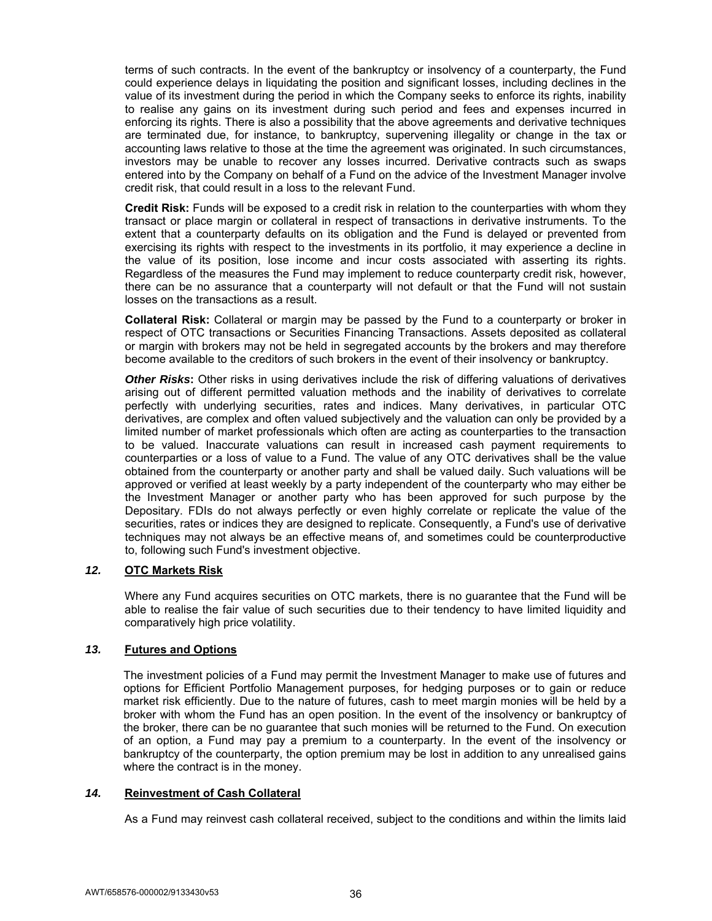terms of such contracts. In the event of the bankruptcy or insolvency of a counterparty, the Fund could experience delays in liquidating the position and significant losses, including declines in the value of its investment during the period in which the Company seeks to enforce its rights, inability to realise any gains on its investment during such period and fees and expenses incurred in enforcing its rights. There is also a possibility that the above agreements and derivative techniques are terminated due, for instance, to bankruptcy, supervening illegality or change in the tax or accounting laws relative to those at the time the agreement was originated. In such circumstances, investors may be unable to recover any losses incurred. Derivative contracts such as swaps entered into by the Company on behalf of a Fund on the advice of the Investment Manager involve credit risk, that could result in a loss to the relevant Fund.

**Credit Risk:** Funds will be exposed to a credit risk in relation to the counterparties with whom they transact or place margin or collateral in respect of transactions in derivative instruments. To the extent that a counterparty defaults on its obligation and the Fund is delayed or prevented from exercising its rights with respect to the investments in its portfolio, it may experience a decline in the value of its position, lose income and incur costs associated with asserting its rights. Regardless of the measures the Fund may implement to reduce counterparty credit risk, however, there can be no assurance that a counterparty will not default or that the Fund will not sustain losses on the transactions as a result.

**Collateral Risk:** Collateral or margin may be passed by the Fund to a counterparty or broker in respect of OTC transactions or Securities Financing Transactions. Assets deposited as collateral or margin with brokers may not be held in segregated accounts by the brokers and may therefore become available to the creditors of such brokers in the event of their insolvency or bankruptcy.

**Other Risks:** Other risks in using derivatives include the risk of differing valuations of derivatives arising out of different permitted valuation methods and the inability of derivatives to correlate perfectly with underlying securities, rates and indices. Many derivatives, in particular OTC derivatives, are complex and often valued subjectively and the valuation can only be provided by a limited number of market professionals which often are acting as counterparties to the transaction to be valued. Inaccurate valuations can result in increased cash payment requirements to counterparties or a loss of value to a Fund. The value of any OTC derivatives shall be the value obtained from the counterparty or another party and shall be valued daily. Such valuations will be approved or verified at least weekly by a party independent of the counterparty who may either be the Investment Manager or another party who has been approved for such purpose by the Depositary. FDIs do not always perfectly or even highly correlate or replicate the value of the securities, rates or indices they are designed to replicate. Consequently, a Fund's use of derivative techniques may not always be an effective means of, and sometimes could be counterproductive to, following such Fund's investment objective.

## *12.* **OTC Markets Risk**

Where any Fund acquires securities on OTC markets, there is no guarantee that the Fund will be able to realise the fair value of such securities due to their tendency to have limited liquidity and comparatively high price volatility.

# *13.* **Futures and Options**

The investment policies of a Fund may permit the Investment Manager to make use of futures and options for Efficient Portfolio Management purposes, for hedging purposes or to gain or reduce market risk efficiently. Due to the nature of futures, cash to meet margin monies will be held by a broker with whom the Fund has an open position. In the event of the insolvency or bankruptcy of the broker, there can be no guarantee that such monies will be returned to the Fund. On execution of an option, a Fund may pay a premium to a counterparty. In the event of the insolvency or bankruptcy of the counterparty, the option premium may be lost in addition to any unrealised gains where the contract is in the money.

## *14.* **Reinvestment of Cash Collateral**

As a Fund may reinvest cash collateral received, subject to the conditions and within the limits laid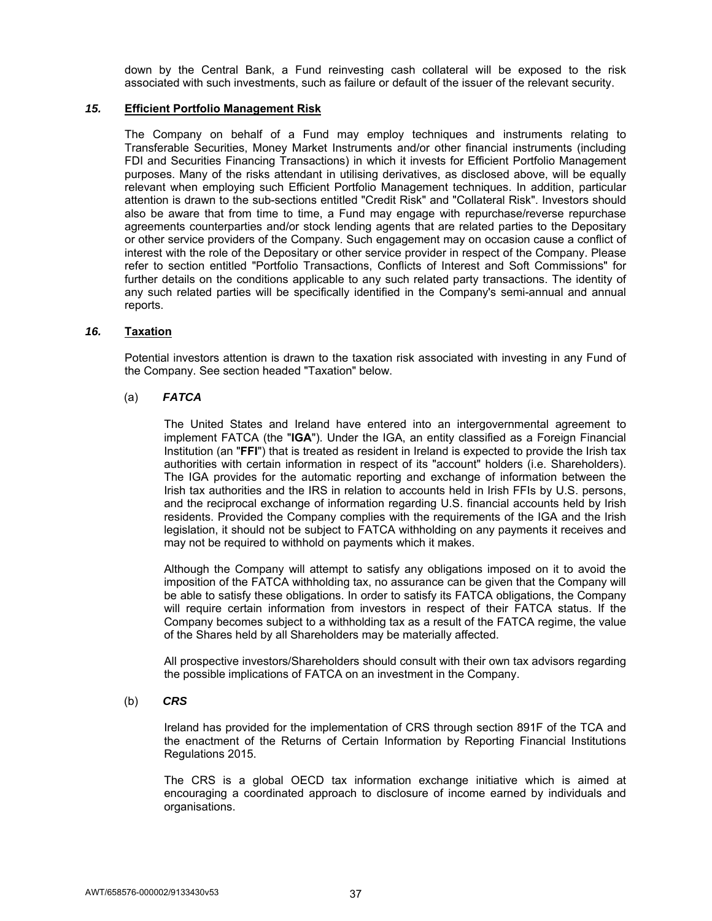down by the Central Bank, a Fund reinvesting cash collateral will be exposed to the risk associated with such investments, such as failure or default of the issuer of the relevant security.

## *15.* **Efficient Portfolio Management Risk**

The Company on behalf of a Fund may employ techniques and instruments relating to Transferable Securities, Money Market Instruments and/or other financial instruments (including FDI and Securities Financing Transactions) in which it invests for Efficient Portfolio Management purposes. Many of the risks attendant in utilising derivatives, as disclosed above, will be equally relevant when employing such Efficient Portfolio Management techniques. In addition, particular attention is drawn to the sub-sections entitled "Credit Risk" and "Collateral Risk". Investors should also be aware that from time to time, a Fund may engage with repurchase/reverse repurchase agreements counterparties and/or stock lending agents that are related parties to the Depositary or other service providers of the Company. Such engagement may on occasion cause a conflict of interest with the role of the Depositary or other service provider in respect of the Company. Please refer to section entitled "Portfolio Transactions, Conflicts of Interest and Soft Commissions" for further details on the conditions applicable to any such related party transactions. The identity of any such related parties will be specifically identified in the Company's semi-annual and annual reports.

# *16.* **Taxation**

 Potential investors attention is drawn to the taxation risk associated with investing in any Fund of the Company. See section headed "Taxation" below.

# (a) *FATCA*

The United States and Ireland have entered into an intergovernmental agreement to implement FATCA (the "**IGA**"). Under the IGA, an entity classified as a Foreign Financial Institution (an "**FFI**") that is treated as resident in Ireland is expected to provide the Irish tax authorities with certain information in respect of its "account" holders (i.e. Shareholders). The IGA provides for the automatic reporting and exchange of information between the Irish tax authorities and the IRS in relation to accounts held in Irish FFIs by U.S. persons, and the reciprocal exchange of information regarding U.S. financial accounts held by Irish residents. Provided the Company complies with the requirements of the IGA and the Irish legislation, it should not be subject to FATCA withholding on any payments it receives and may not be required to withhold on payments which it makes.

Although the Company will attempt to satisfy any obligations imposed on it to avoid the imposition of the FATCA withholding tax, no assurance can be given that the Company will be able to satisfy these obligations. In order to satisfy its FATCA obligations, the Company will require certain information from investors in respect of their FATCA status. If the Company becomes subject to a withholding tax as a result of the FATCA regime, the value of the Shares held by all Shareholders may be materially affected.

All prospective investors/Shareholders should consult with their own tax advisors regarding the possible implications of FATCA on an investment in the Company.

## (b) *CRS*

Ireland has provided for the implementation of CRS through section 891F of the TCA and the enactment of the Returns of Certain Information by Reporting Financial Institutions Regulations 2015.

The CRS is a global OECD tax information exchange initiative which is aimed at encouraging a coordinated approach to disclosure of income earned by individuals and organisations.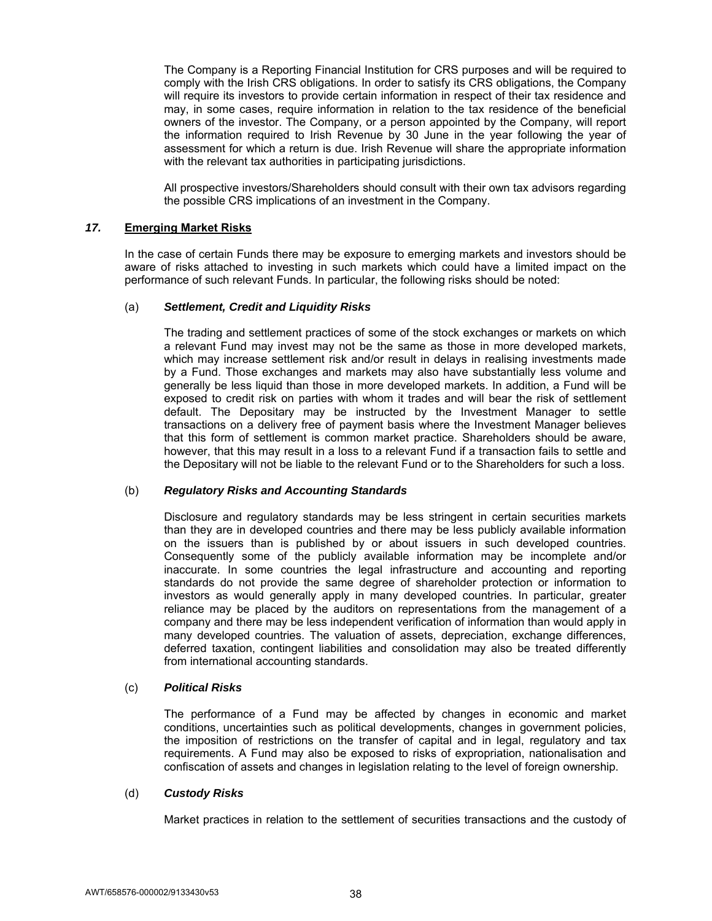The Company is a Reporting Financial Institution for CRS purposes and will be required to comply with the Irish CRS obligations. In order to satisfy its CRS obligations, the Company will require its investors to provide certain information in respect of their tax residence and may, in some cases, require information in relation to the tax residence of the beneficial owners of the investor. The Company, or a person appointed by the Company, will report the information required to Irish Revenue by 30 June in the year following the year of assessment for which a return is due. Irish Revenue will share the appropriate information with the relevant tax authorities in participating jurisdictions.

All prospective investors/Shareholders should consult with their own tax advisors regarding the possible CRS implications of an investment in the Company.

### *17.* **Emerging Market Risks**

In the case of certain Funds there may be exposure to emerging markets and investors should be aware of risks attached to investing in such markets which could have a limited impact on the performance of such relevant Funds. In particular, the following risks should be noted:

### (a) *Settlement, Credit and Liquidity Risks*

The trading and settlement practices of some of the stock exchanges or markets on which a relevant Fund may invest may not be the same as those in more developed markets, which may increase settlement risk and/or result in delays in realising investments made by a Fund. Those exchanges and markets may also have substantially less volume and generally be less liquid than those in more developed markets. In addition, a Fund will be exposed to credit risk on parties with whom it trades and will bear the risk of settlement default. The Depositary may be instructed by the Investment Manager to settle transactions on a delivery free of payment basis where the Investment Manager believes that this form of settlement is common market practice. Shareholders should be aware, however, that this may result in a loss to a relevant Fund if a transaction fails to settle and the Depositary will not be liable to the relevant Fund or to the Shareholders for such a loss.

## (b) *Regulatory Risks and Accounting Standards*

Disclosure and regulatory standards may be less stringent in certain securities markets than they are in developed countries and there may be less publicly available information on the issuers than is published by or about issuers in such developed countries. Consequently some of the publicly available information may be incomplete and/or inaccurate. In some countries the legal infrastructure and accounting and reporting standards do not provide the same degree of shareholder protection or information to investors as would generally apply in many developed countries. In particular, greater reliance may be placed by the auditors on representations from the management of a company and there may be less independent verification of information than would apply in many developed countries. The valuation of assets, depreciation, exchange differences, deferred taxation, contingent liabilities and consolidation may also be treated differently from international accounting standards.

## (c) *Political Risks*

The performance of a Fund may be affected by changes in economic and market conditions, uncertainties such as political developments, changes in government policies, the imposition of restrictions on the transfer of capital and in legal, regulatory and tax requirements. A Fund may also be exposed to risks of expropriation, nationalisation and confiscation of assets and changes in legislation relating to the level of foreign ownership.

#### (d) *Custody Risks*

Market practices in relation to the settlement of securities transactions and the custody of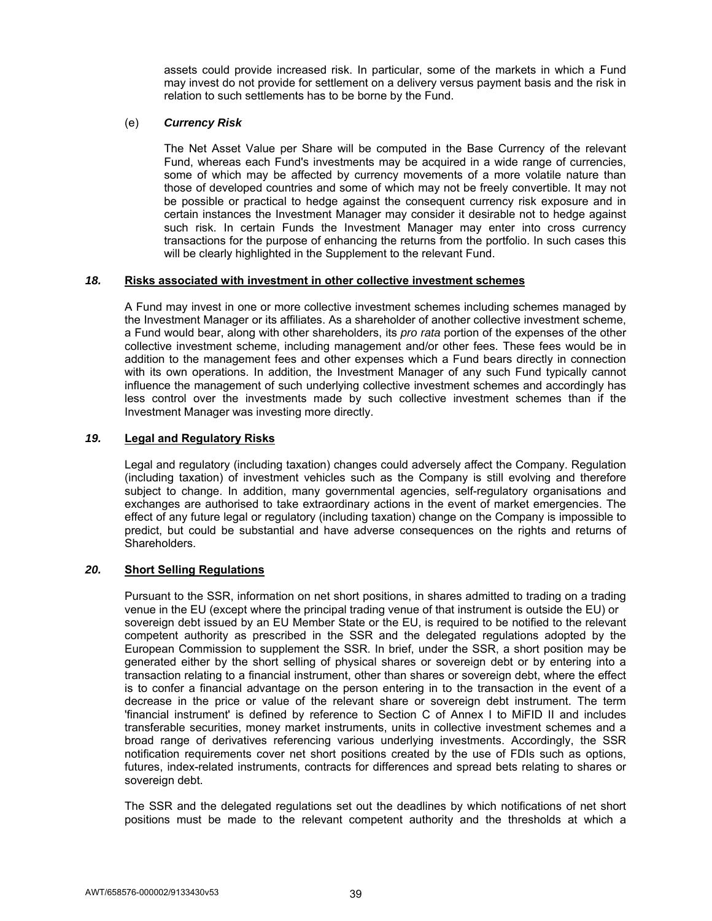assets could provide increased risk. In particular, some of the markets in which a Fund may invest do not provide for settlement on a delivery versus payment basis and the risk in relation to such settlements has to be borne by the Fund.

# (e) *Currency Risk*

The Net Asset Value per Share will be computed in the Base Currency of the relevant Fund, whereas each Fund's investments may be acquired in a wide range of currencies, some of which may be affected by currency movements of a more volatile nature than those of developed countries and some of which may not be freely convertible. It may not be possible or practical to hedge against the consequent currency risk exposure and in certain instances the Investment Manager may consider it desirable not to hedge against such risk. In certain Funds the Investment Manager may enter into cross currency transactions for the purpose of enhancing the returns from the portfolio. In such cases this will be clearly highlighted in the Supplement to the relevant Fund.

## *18.* **Risks associated with investment in other collective investment schemes**

A Fund may invest in one or more collective investment schemes including schemes managed by the Investment Manager or its affiliates. As a shareholder of another collective investment scheme, a Fund would bear, along with other shareholders, its *pro rata* portion of the expenses of the other collective investment scheme, including management and/or other fees. These fees would be in addition to the management fees and other expenses which a Fund bears directly in connection with its own operations. In addition, the Investment Manager of any such Fund typically cannot influence the management of such underlying collective investment schemes and accordingly has less control over the investments made by such collective investment schemes than if the Investment Manager was investing more directly.

# *19.* **Legal and Regulatory Risks**

Legal and regulatory (including taxation) changes could adversely affect the Company. Regulation (including taxation) of investment vehicles such as the Company is still evolving and therefore subject to change. In addition, many governmental agencies, self-regulatory organisations and exchanges are authorised to take extraordinary actions in the event of market emergencies. The effect of any future legal or regulatory (including taxation) change on the Company is impossible to predict, but could be substantial and have adverse consequences on the rights and returns of Shareholders.

# *20.* **Short Selling Regulations**

Pursuant to the SSR, information on net short positions, in shares admitted to trading on a trading venue in the EU (except where the principal trading venue of that instrument is outside the EU) or sovereign debt issued by an EU Member State or the EU, is required to be notified to the relevant competent authority as prescribed in the SSR and the delegated regulations adopted by the European Commission to supplement the SSR. In brief, under the SSR, a short position may be generated either by the short selling of physical shares or sovereign debt or by entering into a transaction relating to a financial instrument, other than shares or sovereign debt, where the effect is to confer a financial advantage on the person entering in to the transaction in the event of a decrease in the price or value of the relevant share or sovereign debt instrument. The term 'financial instrument' is defined by reference to Section C of Annex I to MiFID II and includes transferable securities, money market instruments, units in collective investment schemes and a broad range of derivatives referencing various underlying investments. Accordingly, the SSR notification requirements cover net short positions created by the use of FDIs such as options, futures, index-related instruments, contracts for differences and spread bets relating to shares or sovereign debt.

The SSR and the delegated regulations set out the deadlines by which notifications of net short positions must be made to the relevant competent authority and the thresholds at which a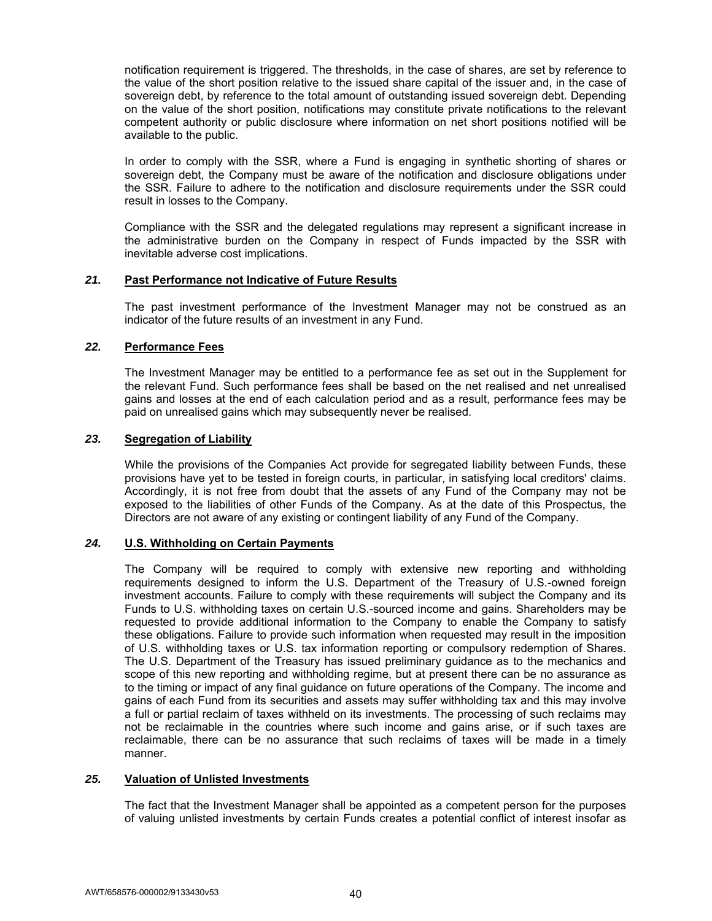notification requirement is triggered. The thresholds, in the case of shares, are set by reference to the value of the short position relative to the issued share capital of the issuer and, in the case of sovereign debt, by reference to the total amount of outstanding issued sovereign debt. Depending on the value of the short position, notifications may constitute private notifications to the relevant competent authority or public disclosure where information on net short positions notified will be available to the public.

In order to comply with the SSR, where a Fund is engaging in synthetic shorting of shares or sovereign debt, the Company must be aware of the notification and disclosure obligations under the SSR. Failure to adhere to the notification and disclosure requirements under the SSR could result in losses to the Company.

Compliance with the SSR and the delegated regulations may represent a significant increase in the administrative burden on the Company in respect of Funds impacted by the SSR with inevitable adverse cost implications.

### *21.* **Past Performance not Indicative of Future Results**

The past investment performance of the Investment Manager may not be construed as an indicator of the future results of an investment in any Fund.

### *22.* **Performance Fees**

The Investment Manager may be entitled to a performance fee as set out in the Supplement for the relevant Fund. Such performance fees shall be based on the net realised and net unrealised gains and losses at the end of each calculation period and as a result, performance fees may be paid on unrealised gains which may subsequently never be realised.

### *23.* **Segregation of Liability**

While the provisions of the Companies Act provide for segregated liability between Funds, these provisions have yet to be tested in foreign courts, in particular, in satisfying local creditors' claims. Accordingly, it is not free from doubt that the assets of any Fund of the Company may not be exposed to the liabilities of other Funds of the Company. As at the date of this Prospectus, the Directors are not aware of any existing or contingent liability of any Fund of the Company.

## *24.* **U.S. Withholding on Certain Payments**

The Company will be required to comply with extensive new reporting and withholding requirements designed to inform the U.S. Department of the Treasury of U.S.-owned foreign investment accounts. Failure to comply with these requirements will subject the Company and its Funds to U.S. withholding taxes on certain U.S.-sourced income and gains. Shareholders may be requested to provide additional information to the Company to enable the Company to satisfy these obligations. Failure to provide such information when requested may result in the imposition of U.S. withholding taxes or U.S. tax information reporting or compulsory redemption of Shares. The U.S. Department of the Treasury has issued preliminary guidance as to the mechanics and scope of this new reporting and withholding regime, but at present there can be no assurance as to the timing or impact of any final guidance on future operations of the Company. The income and gains of each Fund from its securities and assets may suffer withholding tax and this may involve a full or partial reclaim of taxes withheld on its investments. The processing of such reclaims may not be reclaimable in the countries where such income and gains arise, or if such taxes are reclaimable, there can be no assurance that such reclaims of taxes will be made in a timely manner.

#### *25.* **Valuation of Unlisted Investments**

 The fact that the Investment Manager shall be appointed as a competent person for the purposes of valuing unlisted investments by certain Funds creates a potential conflict of interest insofar as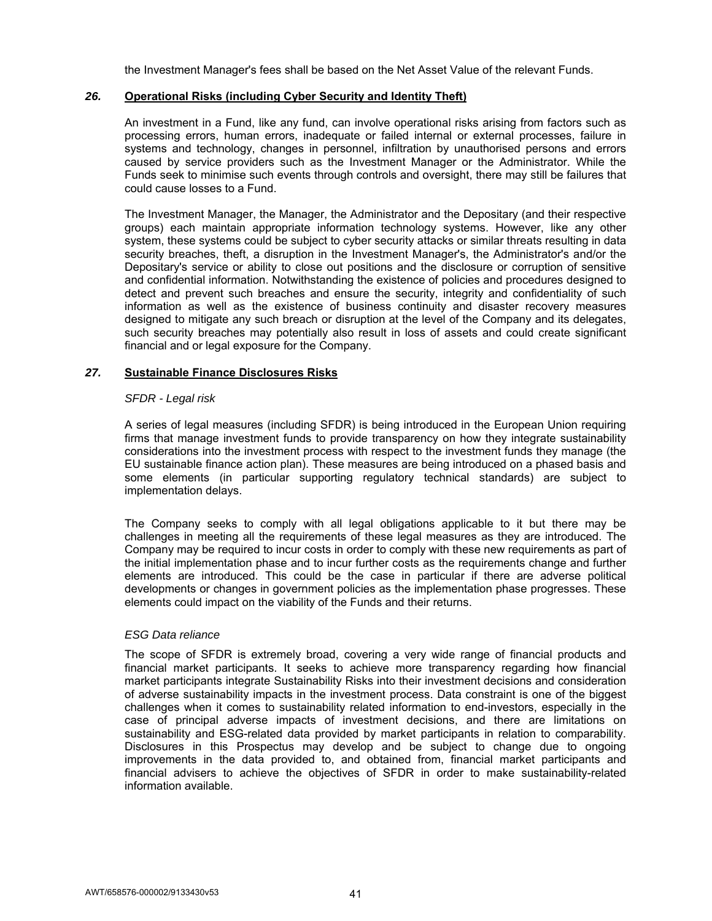the Investment Manager's fees shall be based on the Net Asset Value of the relevant Funds.

# *26.* **Operational Risks (including Cyber Security and Identity Theft)**

 An investment in a Fund, like any fund, can involve operational risks arising from factors such as processing errors, human errors, inadequate or failed internal or external processes, failure in systems and technology, changes in personnel, infiltration by unauthorised persons and errors caused by service providers such as the Investment Manager or the Administrator. While the Funds seek to minimise such events through controls and oversight, there may still be failures that could cause losses to a Fund.

The Investment Manager, the Manager, the Administrator and the Depositary (and their respective groups) each maintain appropriate information technology systems. However, like any other system, these systems could be subject to cyber security attacks or similar threats resulting in data security breaches, theft, a disruption in the Investment Manager's, the Administrator's and/or the Depositary's service or ability to close out positions and the disclosure or corruption of sensitive and confidential information. Notwithstanding the existence of policies and procedures designed to detect and prevent such breaches and ensure the security, integrity and confidentiality of such information as well as the existence of business continuity and disaster recovery measures designed to mitigate any such breach or disruption at the level of the Company and its delegates, such security breaches may potentially also result in loss of assets and could create significant financial and or legal exposure for the Company.

## *27.* **Sustainable Finance Disclosures Risks**

### *SFDR - Legal risk*

A series of legal measures (including SFDR) is being introduced in the European Union requiring firms that manage investment funds to provide transparency on how they integrate sustainability considerations into the investment process with respect to the investment funds they manage (the EU sustainable finance action plan). These measures are being introduced on a phased basis and some elements (in particular supporting regulatory technical standards) are subject to implementation delays.

The Company seeks to comply with all legal obligations applicable to it but there may be challenges in meeting all the requirements of these legal measures as they are introduced. The Company may be required to incur costs in order to comply with these new requirements as part of the initial implementation phase and to incur further costs as the requirements change and further elements are introduced. This could be the case in particular if there are adverse political developments or changes in government policies as the implementation phase progresses. These elements could impact on the viability of the Funds and their returns.

#### *ESG Data reliance*

 The scope of SFDR is extremely broad, covering a very wide range of financial products and financial market participants. It seeks to achieve more transparency regarding how financial market participants integrate Sustainability Risks into their investment decisions and consideration of adverse sustainability impacts in the investment process. Data constraint is one of the biggest challenges when it comes to sustainability related information to end-investors, especially in the case of principal adverse impacts of investment decisions, and there are limitations on sustainability and ESG-related data provided by market participants in relation to comparability. Disclosures in this Prospectus may develop and be subject to change due to ongoing improvements in the data provided to, and obtained from, financial market participants and financial advisers to achieve the objectives of SFDR in order to make sustainability-related information available.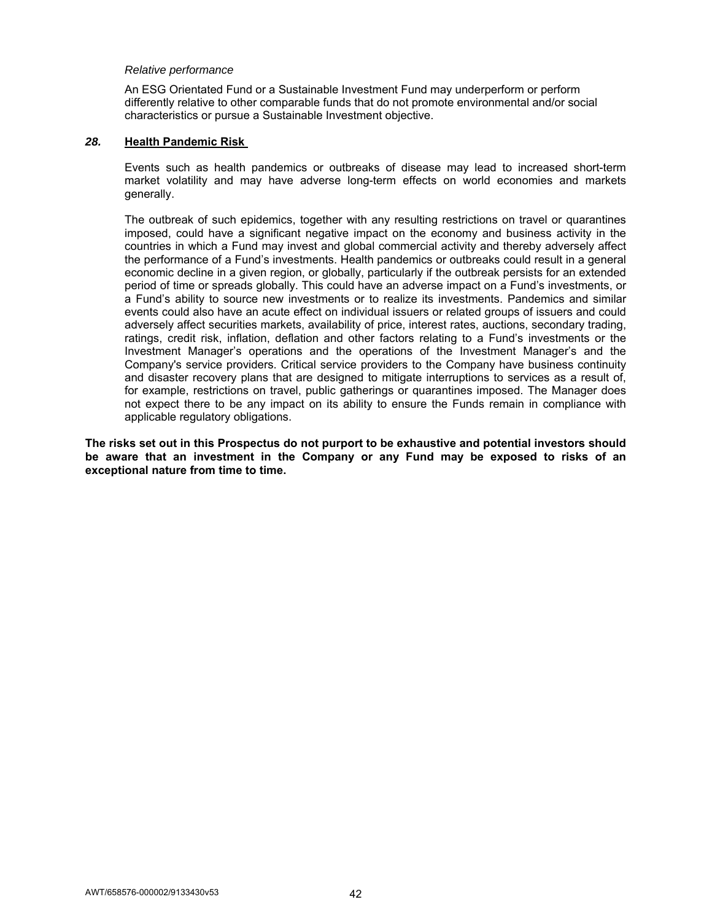#### *Relative performance*

An ESG Orientated Fund or a Sustainable Investment Fund may underperform or perform differently relative to other comparable funds that do not promote environmental and/or social characteristics or pursue a Sustainable Investment objective.

# *28.* **Health Pandemic Risk**

Events such as health pandemics or outbreaks of disease may lead to increased short-term market volatility and may have adverse long-term effects on world economies and markets generally.

The outbreak of such epidemics, together with any resulting restrictions on travel or quarantines imposed, could have a significant negative impact on the economy and business activity in the countries in which a Fund may invest and global commercial activity and thereby adversely affect the performance of a Fund's investments. Health pandemics or outbreaks could result in a general economic decline in a given region, or globally, particularly if the outbreak persists for an extended period of time or spreads globally. This could have an adverse impact on a Fund's investments, or a Fund's ability to source new investments or to realize its investments. Pandemics and similar events could also have an acute effect on individual issuers or related groups of issuers and could adversely affect securities markets, availability of price, interest rates, auctions, secondary trading, ratings, credit risk, inflation, deflation and other factors relating to a Fund's investments or the Investment Manager's operations and the operations of the Investment Manager's and the Company's service providers. Critical service providers to the Company have business continuity and disaster recovery plans that are designed to mitigate interruptions to services as a result of, for example, restrictions on travel, public gatherings or quarantines imposed. The Manager does not expect there to be any impact on its ability to ensure the Funds remain in compliance with applicable regulatory obligations.

**The risks set out in this Prospectus do not purport to be exhaustive and potential investors should be aware that an investment in the Company or any Fund may be exposed to risks of an exceptional nature from time to time.**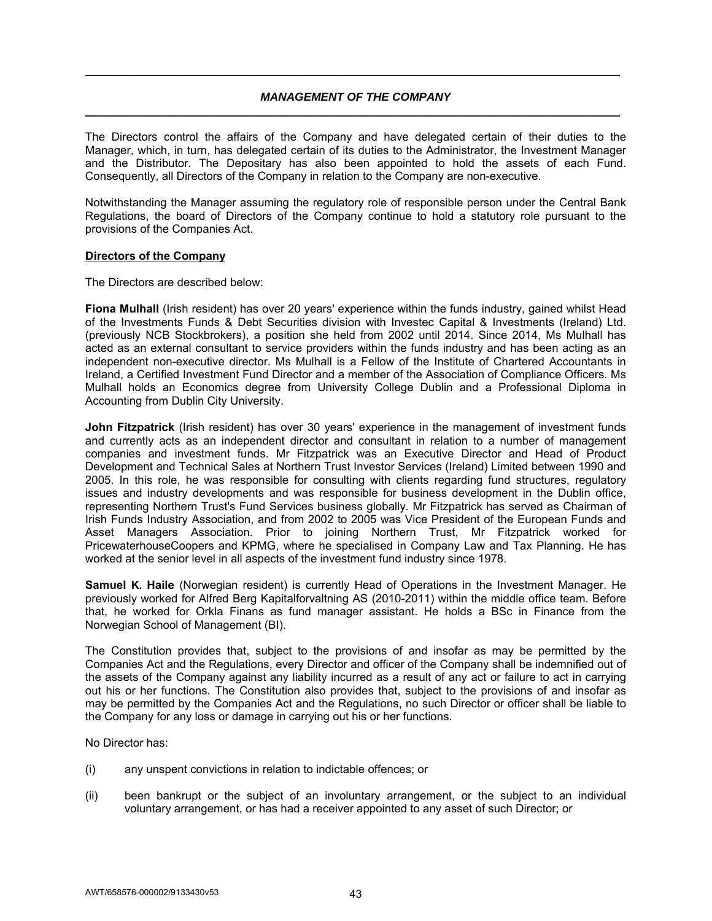## *MANAGEMENT OF THE COMPANY*  **\_\_\_\_\_\_\_\_\_\_\_\_\_\_\_\_\_\_\_\_\_\_\_\_\_\_\_\_\_\_\_\_\_\_\_\_\_\_\_\_\_\_\_\_\_\_\_\_\_\_\_\_\_\_\_\_\_\_\_\_\_\_\_\_\_\_\_\_\_\_\_\_\_\_\_\_\_\_\_\_\_\_\_\_**

**\_\_\_\_\_\_\_\_\_\_\_\_\_\_\_\_\_\_\_\_\_\_\_\_\_\_\_\_\_\_\_\_\_\_\_\_\_\_\_\_\_\_\_\_\_\_\_\_\_\_\_\_\_\_\_\_\_\_\_\_\_\_\_\_\_\_\_\_\_\_\_\_\_\_\_\_\_\_\_\_\_\_\_\_** 

The Directors control the affairs of the Company and have delegated certain of their duties to the Manager, which, in turn, has delegated certain of its duties to the Administrator, the Investment Manager and the Distributor. The Depositary has also been appointed to hold the assets of each Fund. Consequently, all Directors of the Company in relation to the Company are non-executive.

Notwithstanding the Manager assuming the regulatory role of responsible person under the Central Bank Regulations, the board of Directors of the Company continue to hold a statutory role pursuant to the provisions of the Companies Act.

### **Directors of the Company**

The Directors are described below:

**Fiona Mulhall** (Irish resident) has over 20 years' experience within the funds industry, gained whilst Head of the Investments Funds & Debt Securities division with Investec Capital & Investments (Ireland) Ltd. (previously NCB Stockbrokers), a position she held from 2002 until 2014. Since 2014, Ms Mulhall has acted as an external consultant to service providers within the funds industry and has been acting as an independent non-executive director. Ms Mulhall is a Fellow of the Institute of Chartered Accountants in Ireland, a Certified Investment Fund Director and a member of the Association of Compliance Officers. Ms Mulhall holds an Economics degree from University College Dublin and a Professional Diploma in Accounting from Dublin City University.

**John Fitzpatrick** (Irish resident) has over 30 years' experience in the management of investment funds and currently acts as an independent director and consultant in relation to a number of management companies and investment funds. Mr Fitzpatrick was an Executive Director and Head of Product Development and Technical Sales at Northern Trust Investor Services (Ireland) Limited between 1990 and 2005. In this role, he was responsible for consulting with clients regarding fund structures, regulatory issues and industry developments and was responsible for business development in the Dublin office, representing Northern Trust's Fund Services business globally. Mr Fitzpatrick has served as Chairman of Irish Funds Industry Association, and from 2002 to 2005 was Vice President of the European Funds and Asset Managers Association. Prior to joining Northern Trust, Mr Fitzpatrick worked for PricewaterhouseCoopers and KPMG, where he specialised in Company Law and Tax Planning. He has worked at the senior level in all aspects of the investment fund industry since 1978.

**Samuel K. Haile** (Norwegian resident) is currently Head of Operations in the Investment Manager. He previously worked for Alfred Berg Kapitalforvaltning AS (2010-2011) within the middle office team. Before that, he worked for Orkla Finans as fund manager assistant. He holds a BSc in Finance from the Norwegian School of Management (BI).

The Constitution provides that, subject to the provisions of and insofar as may be permitted by the Companies Act and the Regulations, every Director and officer of the Company shall be indemnified out of the assets of the Company against any liability incurred as a result of any act or failure to act in carrying out his or her functions. The Constitution also provides that, subject to the provisions of and insofar as may be permitted by the Companies Act and the Regulations, no such Director or officer shall be liable to the Company for any loss or damage in carrying out his or her functions.

No Director has:

- (i) any unspent convictions in relation to indictable offences; or
- (ii) been bankrupt or the subject of an involuntary arrangement, or the subject to an individual voluntary arrangement, or has had a receiver appointed to any asset of such Director; or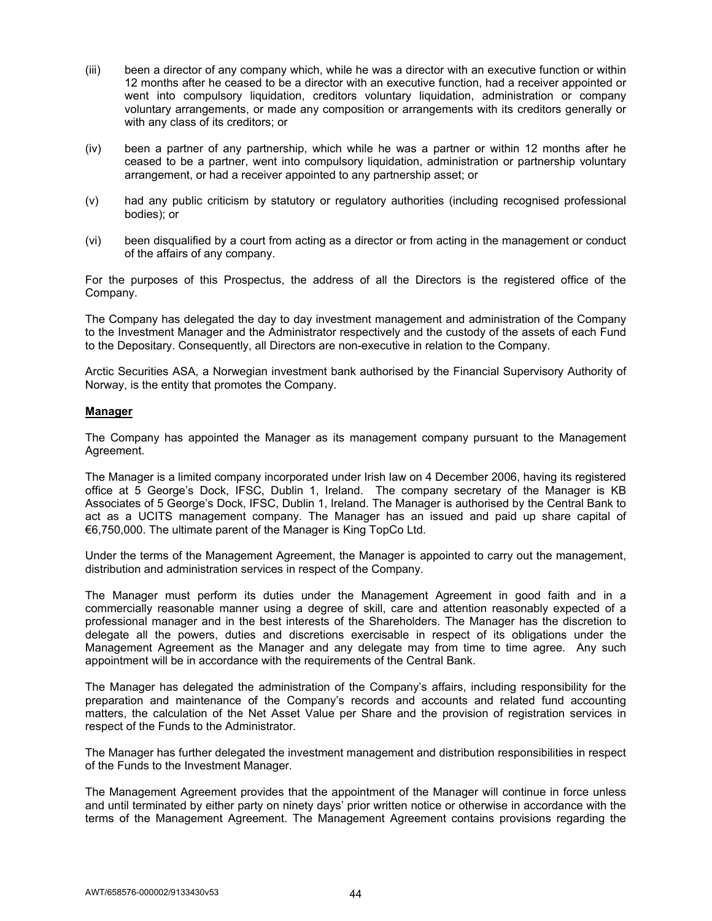- (iii) been a director of any company which, while he was a director with an executive function or within 12 months after he ceased to be a director with an executive function, had a receiver appointed or went into compulsory liquidation, creditors voluntary liquidation, administration or company voluntary arrangements, or made any composition or arrangements with its creditors generally or with any class of its creditors; or
- (iv) been a partner of any partnership, which while he was a partner or within 12 months after he ceased to be a partner, went into compulsory liquidation, administration or partnership voluntary arrangement, or had a receiver appointed to any partnership asset; or
- (v) had any public criticism by statutory or regulatory authorities (including recognised professional bodies); or
- (vi) been disqualified by a court from acting as a director or from acting in the management or conduct of the affairs of any company.

For the purposes of this Prospectus, the address of all the Directors is the registered office of the Company.

The Company has delegated the day to day investment management and administration of the Company to the Investment Manager and the Administrator respectively and the custody of the assets of each Fund to the Depositary. Consequently, all Directors are non-executive in relation to the Company.

Arctic Securities ASA, a Norwegian investment bank authorised by the Financial Supervisory Authority of Norway, is the entity that promotes the Company.

### **Manager**

The Company has appointed the Manager as its management company pursuant to the Management Agreement.

The Manager is a limited company incorporated under Irish law on 4 December 2006, having its registered office at 5 George's Dock, IFSC, Dublin 1, Ireland. The company secretary of the Manager is KB Associates of 5 George's Dock, IFSC, Dublin 1, Ireland. The Manager is authorised by the Central Bank to act as a UCITS management company. The Manager has an issued and paid up share capital of €6,750,000. The ultimate parent of the Manager is King TopCo Ltd.

Under the terms of the Management Agreement, the Manager is appointed to carry out the management, distribution and administration services in respect of the Company.

The Manager must perform its duties under the Management Agreement in good faith and in a commercially reasonable manner using a degree of skill, care and attention reasonably expected of a professional manager and in the best interests of the Shareholders. The Manager has the discretion to delegate all the powers, duties and discretions exercisable in respect of its obligations under the Management Agreement as the Manager and any delegate may from time to time agree. Any such appointment will be in accordance with the requirements of the Central Bank.

The Manager has delegated the administration of the Company's affairs, including responsibility for the preparation and maintenance of the Company's records and accounts and related fund accounting matters, the calculation of the Net Asset Value per Share and the provision of registration services in respect of the Funds to the Administrator.

The Manager has further delegated the investment management and distribution responsibilities in respect of the Funds to the Investment Manager.

The Management Agreement provides that the appointment of the Manager will continue in force unless and until terminated by either party on ninety days' prior written notice or otherwise in accordance with the terms of the Management Agreement. The Management Agreement contains provisions regarding the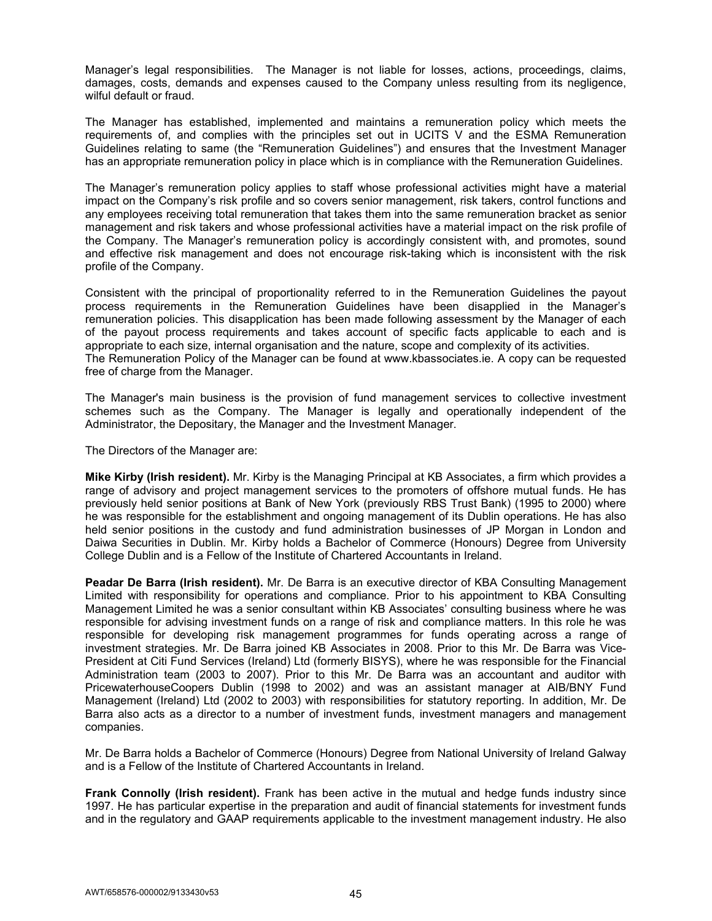Manager's legal responsibilities. The Manager is not liable for losses, actions, proceedings, claims, damages, costs, demands and expenses caused to the Company unless resulting from its negligence, wilful default or fraud.

The Manager has established, implemented and maintains a remuneration policy which meets the requirements of, and complies with the principles set out in UCITS V and the ESMA Remuneration Guidelines relating to same (the "Remuneration Guidelines") and ensures that the Investment Manager has an appropriate remuneration policy in place which is in compliance with the Remuneration Guidelines.

The Manager's remuneration policy applies to staff whose professional activities might have a material impact on the Company's risk profile and so covers senior management, risk takers, control functions and any employees receiving total remuneration that takes them into the same remuneration bracket as senior management and risk takers and whose professional activities have a material impact on the risk profile of the Company. The Manager's remuneration policy is accordingly consistent with, and promotes, sound and effective risk management and does not encourage risk-taking which is inconsistent with the risk profile of the Company.

Consistent with the principal of proportionality referred to in the Remuneration Guidelines the payout process requirements in the Remuneration Guidelines have been disapplied in the Manager's remuneration policies. This disapplication has been made following assessment by the Manager of each of the payout process requirements and takes account of specific facts applicable to each and is appropriate to each size, internal organisation and the nature, scope and complexity of its activities. The Remuneration Policy of the Manager can be found at www.kbassociates.ie. A copy can be requested free of charge from the Manager.

The Manager's main business is the provision of fund management services to collective investment schemes such as the Company. The Manager is legally and operationally independent of the Administrator, the Depositary, the Manager and the Investment Manager.

The Directors of the Manager are:

**Mike Kirby (Irish resident).** Mr. Kirby is the Managing Principal at KB Associates, a firm which provides a range of advisory and project management services to the promoters of offshore mutual funds. He has previously held senior positions at Bank of New York (previously RBS Trust Bank) (1995 to 2000) where he was responsible for the establishment and ongoing management of its Dublin operations. He has also held senior positions in the custody and fund administration businesses of JP Morgan in London and Daiwa Securities in Dublin. Mr. Kirby holds a Bachelor of Commerce (Honours) Degree from University College Dublin and is a Fellow of the Institute of Chartered Accountants in Ireland.

**Peadar De Barra (Irish resident).** Mr. De Barra is an executive director of KBA Consulting Management Limited with responsibility for operations and compliance. Prior to his appointment to KBA Consulting Management Limited he was a senior consultant within KB Associates' consulting business where he was responsible for advising investment funds on a range of risk and compliance matters. In this role he was responsible for developing risk management programmes for funds operating across a range of investment strategies. Mr. De Barra joined KB Associates in 2008. Prior to this Mr. De Barra was Vice-President at Citi Fund Services (Ireland) Ltd (formerly BISYS), where he was responsible for the Financial Administration team (2003 to 2007). Prior to this Mr. De Barra was an accountant and auditor with PricewaterhouseCoopers Dublin (1998 to 2002) and was an assistant manager at AIB/BNY Fund Management (Ireland) Ltd (2002 to 2003) with responsibilities for statutory reporting. In addition, Mr. De Barra also acts as a director to a number of investment funds, investment managers and management companies.

Mr. De Barra holds a Bachelor of Commerce (Honours) Degree from National University of Ireland Galway and is a Fellow of the Institute of Chartered Accountants in Ireland.

**Frank Connolly (Irish resident).** Frank has been active in the mutual and hedge funds industry since 1997. He has particular expertise in the preparation and audit of financial statements for investment funds and in the regulatory and GAAP requirements applicable to the investment management industry. He also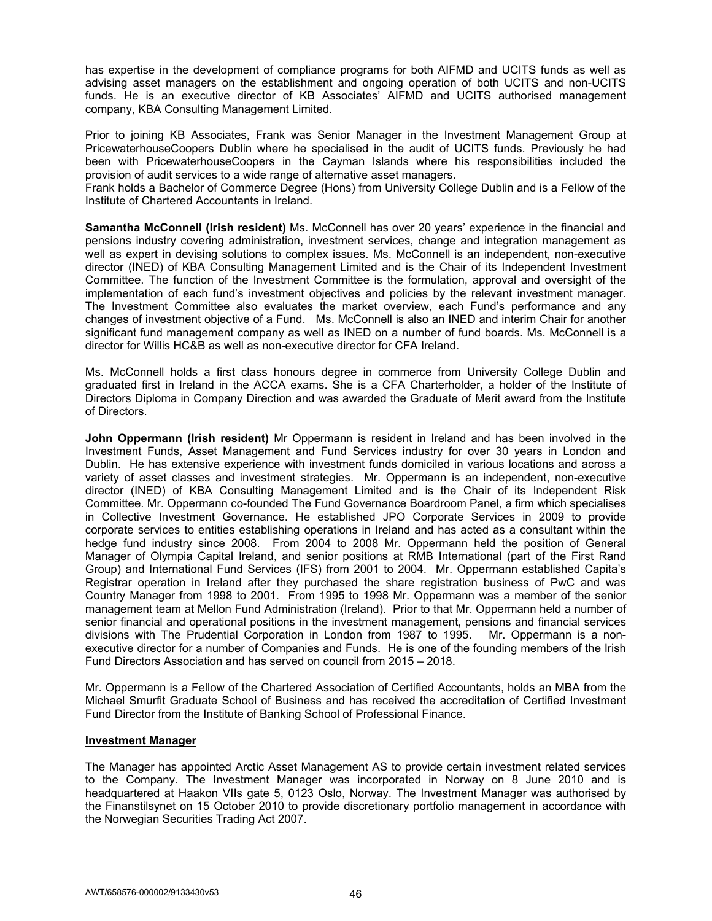has expertise in the development of compliance programs for both AIFMD and UCITS funds as well as advising asset managers on the establishment and ongoing operation of both UCITS and non-UCITS funds. He is an executive director of KB Associates' AIFMD and UCITS authorised management company, KBA Consulting Management Limited.

Prior to joining KB Associates, Frank was Senior Manager in the Investment Management Group at PricewaterhouseCoopers Dublin where he specialised in the audit of UCITS funds. Previously he had been with PricewaterhouseCoopers in the Cayman Islands where his responsibilities included the provision of audit services to a wide range of alternative asset managers.

Frank holds a Bachelor of Commerce Degree (Hons) from University College Dublin and is a Fellow of the Institute of Chartered Accountants in Ireland.

**Samantha McConnell (Irish resident)** Ms. McConnell has over 20 years' experience in the financial and pensions industry covering administration, investment services, change and integration management as well as expert in devising solutions to complex issues. Ms. McConnell is an independent, non-executive director (INED) of KBA Consulting Management Limited and is the Chair of its Independent Investment Committee. The function of the Investment Committee is the formulation, approval and oversight of the implementation of each fund's investment objectives and policies by the relevant investment manager. The Investment Committee also evaluates the market overview, each Fund's performance and any changes of investment objective of a Fund. Ms. McConnell is also an INED and interim Chair for another significant fund management company as well as INED on a number of fund boards. Ms. McConnell is a director for Willis HC&B as well as non-executive director for CFA Ireland.

Ms. McConnell holds a first class honours degree in commerce from University College Dublin and graduated first in Ireland in the ACCA exams. She is a CFA Charterholder, a holder of the Institute of Directors Diploma in Company Direction and was awarded the Graduate of Merit award from the Institute of Directors.

**John Oppermann (Irish resident)** Mr Oppermann is resident in Ireland and has been involved in the Investment Funds, Asset Management and Fund Services industry for over 30 years in London and Dublin. He has extensive experience with investment funds domiciled in various locations and across a variety of asset classes and investment strategies. Mr. Oppermann is an independent, non-executive director (INED) of KBA Consulting Management Limited and is the Chair of its Independent Risk Committee. Mr. Oppermann co-founded The Fund Governance Boardroom Panel, a firm which specialises in Collective Investment Governance. He established JPO Corporate Services in 2009 to provide corporate services to entities establishing operations in Ireland and has acted as a consultant within the hedge fund industry since 2008. From 2004 to 2008 Mr. Oppermann held the position of General Manager of Olympia Capital Ireland, and senior positions at RMB International (part of the First Rand Group) and International Fund Services (IFS) from 2001 to 2004. Mr. Oppermann established Capita's Registrar operation in Ireland after they purchased the share registration business of PwC and was Country Manager from 1998 to 2001. From 1995 to 1998 Mr. Oppermann was a member of the senior management team at Mellon Fund Administration (Ireland). Prior to that Mr. Oppermann held a number of senior financial and operational positions in the investment management, pensions and financial services divisions with The Prudential Corporation in London from 1987 to 1995. Mr. Oppermann is a nonexecutive director for a number of Companies and Funds. He is one of the founding members of the Irish Fund Directors Association and has served on council from 2015 – 2018.

Mr. Oppermann is a Fellow of the Chartered Association of Certified Accountants, holds an MBA from the Michael Smurfit Graduate School of Business and has received the accreditation of Certified Investment Fund Director from the Institute of Banking School of Professional Finance.

## **Investment Manager**

The Manager has appointed Arctic Asset Management AS to provide certain investment related services to the Company. The Investment Manager was incorporated in Norway on 8 June 2010 and is headquartered at Haakon VIIs gate 5, 0123 Oslo, Norway. The Investment Manager was authorised by the Finanstilsynet on 15 October 2010 to provide discretionary portfolio management in accordance with the Norwegian Securities Trading Act 2007.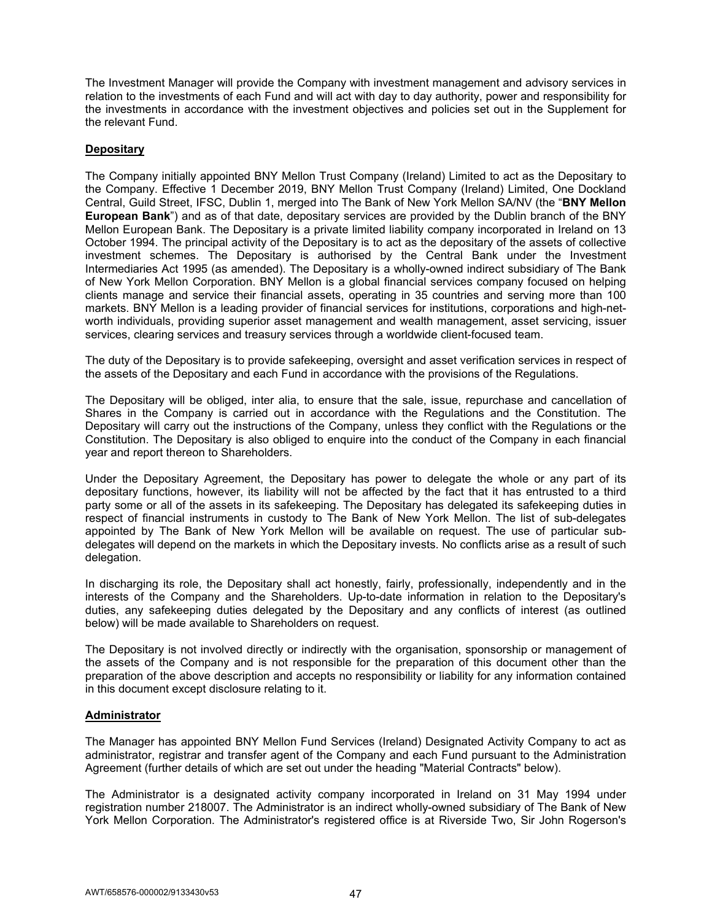The Investment Manager will provide the Company with investment management and advisory services in relation to the investments of each Fund and will act with day to day authority, power and responsibility for the investments in accordance with the investment objectives and policies set out in the Supplement for the relevant Fund.

# **Depositary**

The Company initially appointed BNY Mellon Trust Company (Ireland) Limited to act as the Depositary to the Company. Effective 1 December 2019, BNY Mellon Trust Company (Ireland) Limited, One Dockland Central, Guild Street, IFSC, Dublin 1, merged into The Bank of New York Mellon SA/NV (the "**BNY Mellon European Bank**") and as of that date, depositary services are provided by the Dublin branch of the BNY Mellon European Bank. The Depositary is a private limited liability company incorporated in Ireland on 13 October 1994. The principal activity of the Depositary is to act as the depositary of the assets of collective investment schemes. The Depositary is authorised by the Central Bank under the Investment Intermediaries Act 1995 (as amended). The Depositary is a wholly-owned indirect subsidiary of The Bank of New York Mellon Corporation. BNY Mellon is a global financial services company focused on helping clients manage and service their financial assets, operating in 35 countries and serving more than 100 markets. BNY Mellon is a leading provider of financial services for institutions, corporations and high-networth individuals, providing superior asset management and wealth management, asset servicing, issuer services, clearing services and treasury services through a worldwide client-focused team.

The duty of the Depositary is to provide safekeeping, oversight and asset verification services in respect of the assets of the Depositary and each Fund in accordance with the provisions of the Regulations.

The Depositary will be obliged, inter alia, to ensure that the sale, issue, repurchase and cancellation of Shares in the Company is carried out in accordance with the Regulations and the Constitution. The Depositary will carry out the instructions of the Company, unless they conflict with the Regulations or the Constitution. The Depositary is also obliged to enquire into the conduct of the Company in each financial year and report thereon to Shareholders.

Under the Depositary Agreement, the Depositary has power to delegate the whole or any part of its depositary functions, however, its liability will not be affected by the fact that it has entrusted to a third party some or all of the assets in its safekeeping. The Depositary has delegated its safekeeping duties in respect of financial instruments in custody to The Bank of New York Mellon. The list of sub-delegates appointed by The Bank of New York Mellon will be available on request. The use of particular subdelegates will depend on the markets in which the Depositary invests. No conflicts arise as a result of such delegation.

In discharging its role, the Depositary shall act honestly, fairly, professionally, independently and in the interests of the Company and the Shareholders. Up-to-date information in relation to the Depositary's duties, any safekeeping duties delegated by the Depositary and any conflicts of interest (as outlined below) will be made available to Shareholders on request.

The Depositary is not involved directly or indirectly with the organisation, sponsorship or management of the assets of the Company and is not responsible for the preparation of this document other than the preparation of the above description and accepts no responsibility or liability for any information contained in this document except disclosure relating to it.

## **Administrator**

The Manager has appointed BNY Mellon Fund Services (Ireland) Designated Activity Company to act as administrator, registrar and transfer agent of the Company and each Fund pursuant to the Administration Agreement (further details of which are set out under the heading "Material Contracts" below).

The Administrator is a designated activity company incorporated in Ireland on 31 May 1994 under registration number 218007. The Administrator is an indirect wholly-owned subsidiary of The Bank of New York Mellon Corporation. The Administrator's registered office is at Riverside Two, Sir John Rogerson's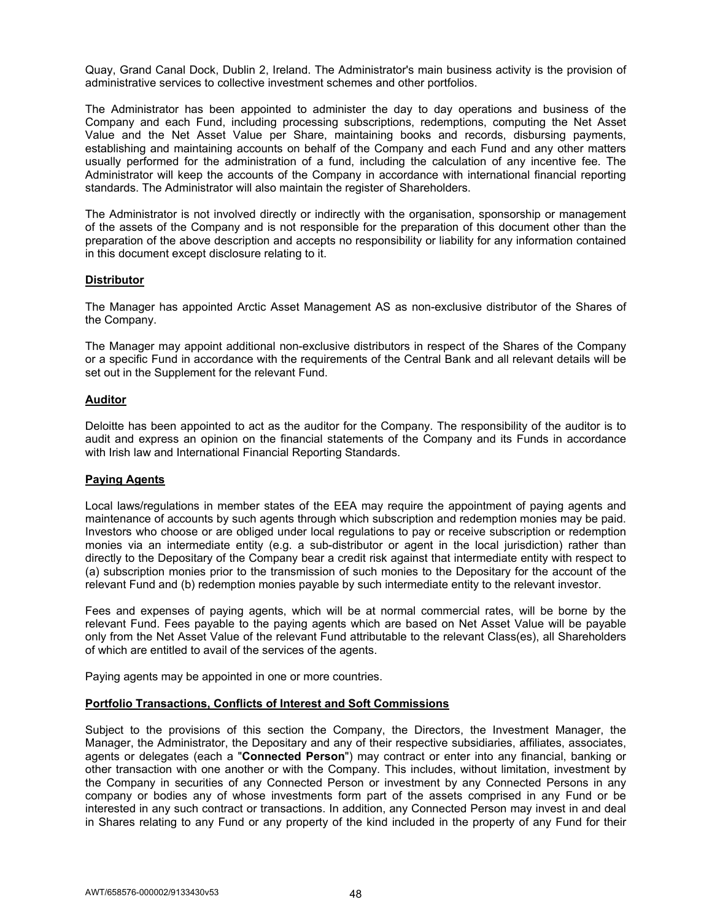Quay, Grand Canal Dock, Dublin 2, Ireland. The Administrator's main business activity is the provision of administrative services to collective investment schemes and other portfolios.

The Administrator has been appointed to administer the day to day operations and business of the Company and each Fund, including processing subscriptions, redemptions, computing the Net Asset Value and the Net Asset Value per Share, maintaining books and records, disbursing payments, establishing and maintaining accounts on behalf of the Company and each Fund and any other matters usually performed for the administration of a fund, including the calculation of any incentive fee. The Administrator will keep the accounts of the Company in accordance with international financial reporting standards. The Administrator will also maintain the register of Shareholders.

The Administrator is not involved directly or indirectly with the organisation, sponsorship or management of the assets of the Company and is not responsible for the preparation of this document other than the preparation of the above description and accepts no responsibility or liability for any information contained in this document except disclosure relating to it.

### **Distributor**

The Manager has appointed Arctic Asset Management AS as non-exclusive distributor of the Shares of the Company.

The Manager may appoint additional non-exclusive distributors in respect of the Shares of the Company or a specific Fund in accordance with the requirements of the Central Bank and all relevant details will be set out in the Supplement for the relevant Fund.

### **Auditor**

Deloitte has been appointed to act as the auditor for the Company. The responsibility of the auditor is to audit and express an opinion on the financial statements of the Company and its Funds in accordance with Irish law and International Financial Reporting Standards.

## **Paying Agents**

Local laws/regulations in member states of the EEA may require the appointment of paying agents and maintenance of accounts by such agents through which subscription and redemption monies may be paid. Investors who choose or are obliged under local regulations to pay or receive subscription or redemption monies via an intermediate entity (e.g. a sub-distributor or agent in the local jurisdiction) rather than directly to the Depositary of the Company bear a credit risk against that intermediate entity with respect to (a) subscription monies prior to the transmission of such monies to the Depositary for the account of the relevant Fund and (b) redemption monies payable by such intermediate entity to the relevant investor.

Fees and expenses of paying agents, which will be at normal commercial rates, will be borne by the relevant Fund. Fees payable to the paying agents which are based on Net Asset Value will be payable only from the Net Asset Value of the relevant Fund attributable to the relevant Class(es), all Shareholders of which are entitled to avail of the services of the agents.

Paying agents may be appointed in one or more countries.

#### **Portfolio Transactions, Conflicts of Interest and Soft Commissions**

Subject to the provisions of this section the Company, the Directors, the Investment Manager, the Manager, the Administrator, the Depositary and any of their respective subsidiaries, affiliates, associates, agents or delegates (each a "**Connected Person**") may contract or enter into any financial, banking or other transaction with one another or with the Company. This includes, without limitation, investment by the Company in securities of any Connected Person or investment by any Connected Persons in any company or bodies any of whose investments form part of the assets comprised in any Fund or be interested in any such contract or transactions. In addition, any Connected Person may invest in and deal in Shares relating to any Fund or any property of the kind included in the property of any Fund for their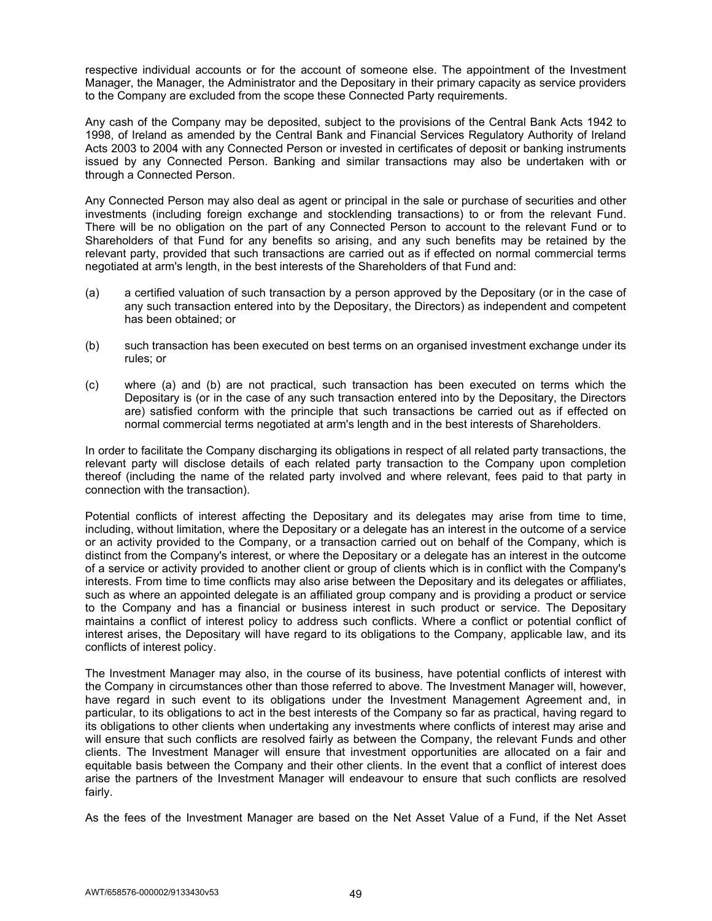respective individual accounts or for the account of someone else. The appointment of the Investment Manager, the Manager, the Administrator and the Depositary in their primary capacity as service providers to the Company are excluded from the scope these Connected Party requirements.

Any cash of the Company may be deposited, subject to the provisions of the Central Bank Acts 1942 to 1998, of Ireland as amended by the Central Bank and Financial Services Regulatory Authority of Ireland Acts 2003 to 2004 with any Connected Person or invested in certificates of deposit or banking instruments issued by any Connected Person. Banking and similar transactions may also be undertaken with or through a Connected Person.

Any Connected Person may also deal as agent or principal in the sale or purchase of securities and other investments (including foreign exchange and stocklending transactions) to or from the relevant Fund. There will be no obligation on the part of any Connected Person to account to the relevant Fund or to Shareholders of that Fund for any benefits so arising, and any such benefits may be retained by the relevant party, provided that such transactions are carried out as if effected on normal commercial terms negotiated at arm's length, in the best interests of the Shareholders of that Fund and:

- (a) a certified valuation of such transaction by a person approved by the Depositary (or in the case of any such transaction entered into by the Depositary, the Directors) as independent and competent has been obtained; or
- (b) such transaction has been executed on best terms on an organised investment exchange under its rules; or
- (c) where (a) and (b) are not practical, such transaction has been executed on terms which the Depositary is (or in the case of any such transaction entered into by the Depositary, the Directors are) satisfied conform with the principle that such transactions be carried out as if effected on normal commercial terms negotiated at arm's length and in the best interests of Shareholders.

In order to facilitate the Company discharging its obligations in respect of all related party transactions, the relevant party will disclose details of each related party transaction to the Company upon completion thereof (including the name of the related party involved and where relevant, fees paid to that party in connection with the transaction).

Potential conflicts of interest affecting the Depositary and its delegates may arise from time to time, including, without limitation, where the Depositary or a delegate has an interest in the outcome of a service or an activity provided to the Company, or a transaction carried out on behalf of the Company, which is distinct from the Company's interest, or where the Depositary or a delegate has an interest in the outcome of a service or activity provided to another client or group of clients which is in conflict with the Company's interests. From time to time conflicts may also arise between the Depositary and its delegates or affiliates, such as where an appointed delegate is an affiliated group company and is providing a product or service to the Company and has a financial or business interest in such product or service. The Depositary maintains a conflict of interest policy to address such conflicts. Where a conflict or potential conflict of interest arises, the Depositary will have regard to its obligations to the Company, applicable law, and its conflicts of interest policy.

The Investment Manager may also, in the course of its business, have potential conflicts of interest with the Company in circumstances other than those referred to above. The Investment Manager will, however, have regard in such event to its obligations under the Investment Management Agreement and, in particular, to its obligations to act in the best interests of the Company so far as practical, having regard to its obligations to other clients when undertaking any investments where conflicts of interest may arise and will ensure that such conflicts are resolved fairly as between the Company, the relevant Funds and other clients. The Investment Manager will ensure that investment opportunities are allocated on a fair and equitable basis between the Company and their other clients. In the event that a conflict of interest does arise the partners of the Investment Manager will endeavour to ensure that such conflicts are resolved fairly.

As the fees of the Investment Manager are based on the Net Asset Value of a Fund, if the Net Asset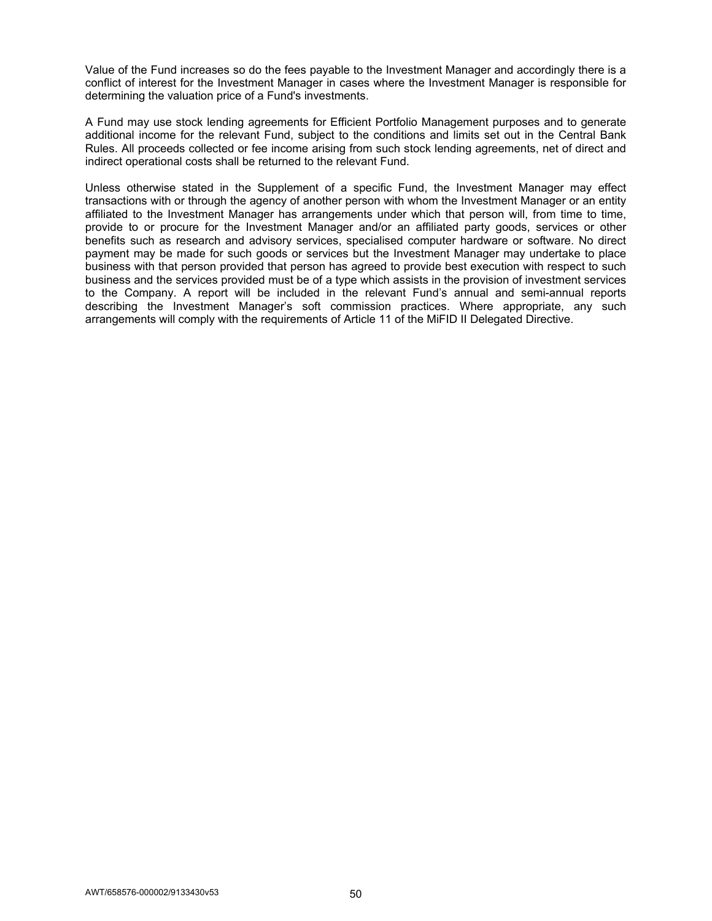Value of the Fund increases so do the fees payable to the Investment Manager and accordingly there is a conflict of interest for the Investment Manager in cases where the Investment Manager is responsible for determining the valuation price of a Fund's investments.

A Fund may use stock lending agreements for Efficient Portfolio Management purposes and to generate additional income for the relevant Fund, subject to the conditions and limits set out in the Central Bank Rules. All proceeds collected or fee income arising from such stock lending agreements, net of direct and indirect operational costs shall be returned to the relevant Fund.

Unless otherwise stated in the Supplement of a specific Fund, the Investment Manager may effect transactions with or through the agency of another person with whom the Investment Manager or an entity affiliated to the Investment Manager has arrangements under which that person will, from time to time, provide to or procure for the Investment Manager and/or an affiliated party goods, services or other benefits such as research and advisory services, specialised computer hardware or software. No direct payment may be made for such goods or services but the Investment Manager may undertake to place business with that person provided that person has agreed to provide best execution with respect to such business and the services provided must be of a type which assists in the provision of investment services to the Company. A report will be included in the relevant Fund's annual and semi-annual reports describing the Investment Manager's soft commission practices. Where appropriate, any such arrangements will comply with the requirements of Article 11 of the MiFID II Delegated Directive.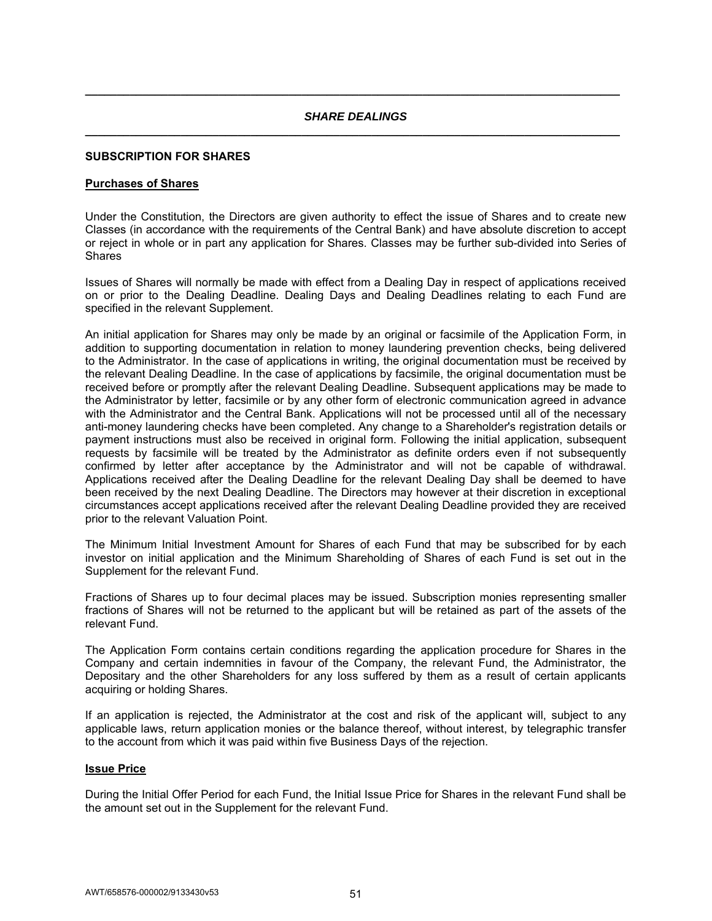# *SHARE DEALINGS*  **\_\_\_\_\_\_\_\_\_\_\_\_\_\_\_\_\_\_\_\_\_\_\_\_\_\_\_\_\_\_\_\_\_\_\_\_\_\_\_\_\_\_\_\_\_\_\_\_\_\_\_\_\_\_\_\_\_\_\_\_\_\_\_\_\_\_\_\_\_\_\_\_\_\_\_\_\_\_\_\_\_\_\_\_**

**\_\_\_\_\_\_\_\_\_\_\_\_\_\_\_\_\_\_\_\_\_\_\_\_\_\_\_\_\_\_\_\_\_\_\_\_\_\_\_\_\_\_\_\_\_\_\_\_\_\_\_\_\_\_\_\_\_\_\_\_\_\_\_\_\_\_\_\_\_\_\_\_\_\_\_\_\_\_\_\_\_\_\_\_** 

### **SUBSCRIPTION FOR SHARES**

#### **Purchases of Shares**

Under the Constitution, the Directors are given authority to effect the issue of Shares and to create new Classes (in accordance with the requirements of the Central Bank) and have absolute discretion to accept or reject in whole or in part any application for Shares. Classes may be further sub-divided into Series of **Shares** 

Issues of Shares will normally be made with effect from a Dealing Day in respect of applications received on or prior to the Dealing Deadline. Dealing Days and Dealing Deadlines relating to each Fund are specified in the relevant Supplement.

An initial application for Shares may only be made by an original or facsimile of the Application Form, in addition to supporting documentation in relation to money laundering prevention checks, being delivered to the Administrator. In the case of applications in writing, the original documentation must be received by the relevant Dealing Deadline. In the case of applications by facsimile, the original documentation must be received before or promptly after the relevant Dealing Deadline. Subsequent applications may be made to the Administrator by letter, facsimile or by any other form of electronic communication agreed in advance with the Administrator and the Central Bank. Applications will not be processed until all of the necessary anti-money laundering checks have been completed. Any change to a Shareholder's registration details or payment instructions must also be received in original form. Following the initial application, subsequent requests by facsimile will be treated by the Administrator as definite orders even if not subsequently confirmed by letter after acceptance by the Administrator and will not be capable of withdrawal. Applications received after the Dealing Deadline for the relevant Dealing Day shall be deemed to have been received by the next Dealing Deadline. The Directors may however at their discretion in exceptional circumstances accept applications received after the relevant Dealing Deadline provided they are received prior to the relevant Valuation Point.

The Minimum Initial Investment Amount for Shares of each Fund that may be subscribed for by each investor on initial application and the Minimum Shareholding of Shares of each Fund is set out in the Supplement for the relevant Fund.

Fractions of Shares up to four decimal places may be issued. Subscription monies representing smaller fractions of Shares will not be returned to the applicant but will be retained as part of the assets of the relevant Fund.

The Application Form contains certain conditions regarding the application procedure for Shares in the Company and certain indemnities in favour of the Company, the relevant Fund, the Administrator, the Depositary and the other Shareholders for any loss suffered by them as a result of certain applicants acquiring or holding Shares.

If an application is rejected, the Administrator at the cost and risk of the applicant will, subject to any applicable laws, return application monies or the balance thereof, without interest, by telegraphic transfer to the account from which it was paid within five Business Days of the rejection.

### **Issue Price**

During the Initial Offer Period for each Fund, the Initial Issue Price for Shares in the relevant Fund shall be the amount set out in the Supplement for the relevant Fund.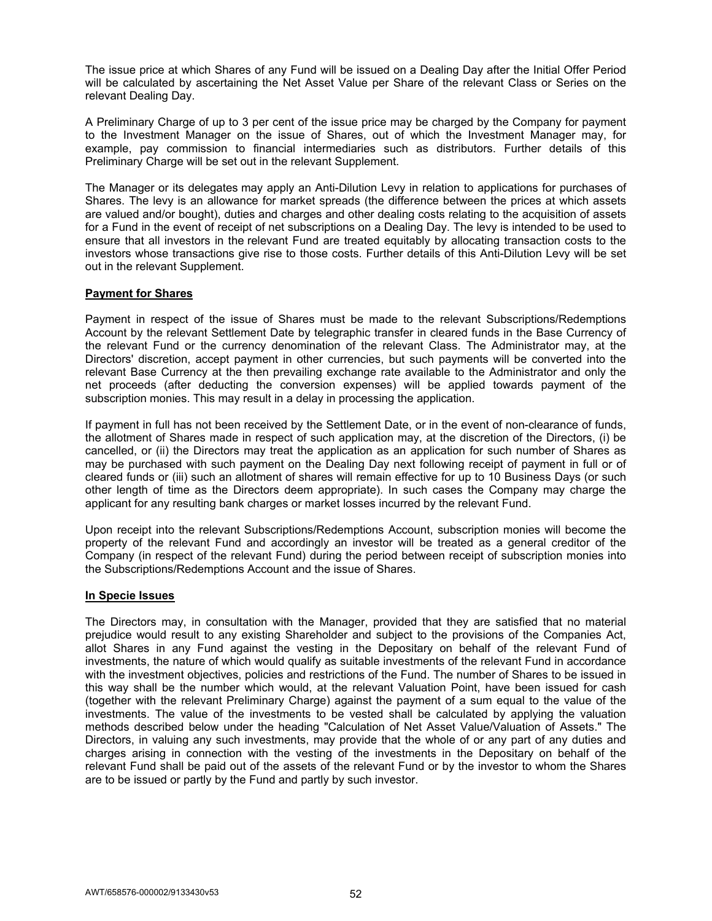The issue price at which Shares of any Fund will be issued on a Dealing Day after the Initial Offer Period will be calculated by ascertaining the Net Asset Value per Share of the relevant Class or Series on the relevant Dealing Day.

A Preliminary Charge of up to 3 per cent of the issue price may be charged by the Company for payment to the Investment Manager on the issue of Shares, out of which the Investment Manager may, for example, pay commission to financial intermediaries such as distributors. Further details of this Preliminary Charge will be set out in the relevant Supplement.

The Manager or its delegates may apply an Anti-Dilution Levy in relation to applications for purchases of Shares. The levy is an allowance for market spreads (the difference between the prices at which assets are valued and/or bought), duties and charges and other dealing costs relating to the acquisition of assets for a Fund in the event of receipt of net subscriptions on a Dealing Day. The levy is intended to be used to ensure that all investors in the relevant Fund are treated equitably by allocating transaction costs to the investors whose transactions give rise to those costs. Further details of this Anti-Dilution Levy will be set out in the relevant Supplement.

## **Payment for Shares**

Payment in respect of the issue of Shares must be made to the relevant Subscriptions/Redemptions Account by the relevant Settlement Date by telegraphic transfer in cleared funds in the Base Currency of the relevant Fund or the currency denomination of the relevant Class. The Administrator may, at the Directors' discretion, accept payment in other currencies, but such payments will be converted into the relevant Base Currency at the then prevailing exchange rate available to the Administrator and only the net proceeds (after deducting the conversion expenses) will be applied towards payment of the subscription monies. This may result in a delay in processing the application.

If payment in full has not been received by the Settlement Date, or in the event of non-clearance of funds, the allotment of Shares made in respect of such application may, at the discretion of the Directors, (i) be cancelled, or (ii) the Directors may treat the application as an application for such number of Shares as may be purchased with such payment on the Dealing Day next following receipt of payment in full or of cleared funds or (iii) such an allotment of shares will remain effective for up to 10 Business Days (or such other length of time as the Directors deem appropriate). In such cases the Company may charge the applicant for any resulting bank charges or market losses incurred by the relevant Fund.

Upon receipt into the relevant Subscriptions/Redemptions Account, subscription monies will become the property of the relevant Fund and accordingly an investor will be treated as a general creditor of the Company (in respect of the relevant Fund) during the period between receipt of subscription monies into the Subscriptions/Redemptions Account and the issue of Shares.

#### **In Specie Issues**

The Directors may, in consultation with the Manager, provided that they are satisfied that no material prejudice would result to any existing Shareholder and subject to the provisions of the Companies Act, allot Shares in any Fund against the vesting in the Depositary on behalf of the relevant Fund of investments, the nature of which would qualify as suitable investments of the relevant Fund in accordance with the investment objectives, policies and restrictions of the Fund. The number of Shares to be issued in this way shall be the number which would, at the relevant Valuation Point, have been issued for cash (together with the relevant Preliminary Charge) against the payment of a sum equal to the value of the investments. The value of the investments to be vested shall be calculated by applying the valuation methods described below under the heading "Calculation of Net Asset Value/Valuation of Assets." The Directors, in valuing any such investments, may provide that the whole of or any part of any duties and charges arising in connection with the vesting of the investments in the Depositary on behalf of the relevant Fund shall be paid out of the assets of the relevant Fund or by the investor to whom the Shares are to be issued or partly by the Fund and partly by such investor.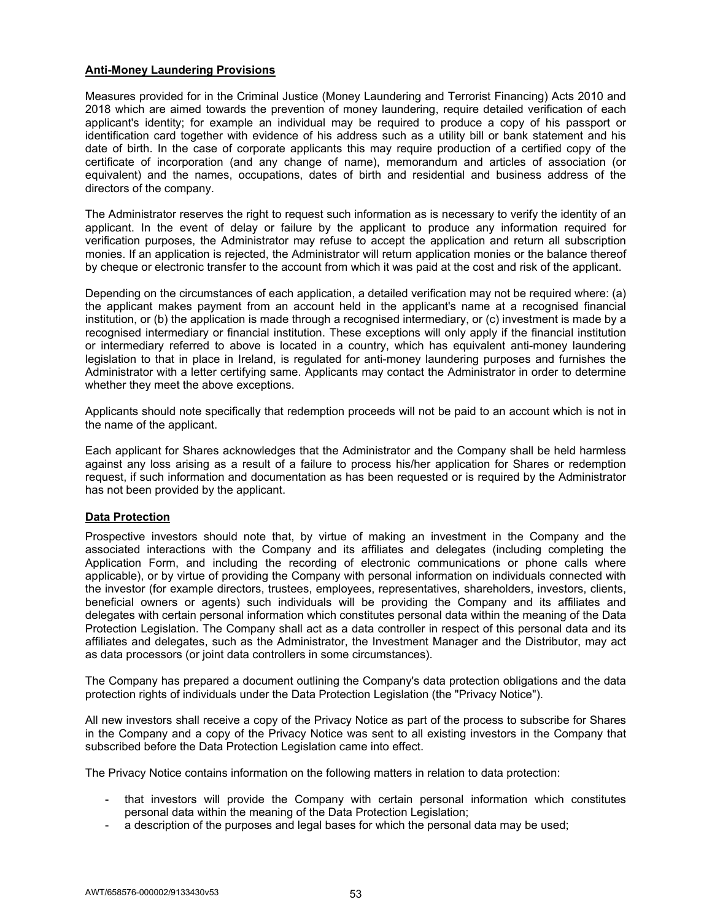# **Anti-Money Laundering Provisions**

Measures provided for in the Criminal Justice (Money Laundering and Terrorist Financing) Acts 2010 and 2018 which are aimed towards the prevention of money laundering, require detailed verification of each applicant's identity; for example an individual may be required to produce a copy of his passport or identification card together with evidence of his address such as a utility bill or bank statement and his date of birth. In the case of corporate applicants this may require production of a certified copy of the certificate of incorporation (and any change of name), memorandum and articles of association (or equivalent) and the names, occupations, dates of birth and residential and business address of the directors of the company.

The Administrator reserves the right to request such information as is necessary to verify the identity of an applicant. In the event of delay or failure by the applicant to produce any information required for verification purposes, the Administrator may refuse to accept the application and return all subscription monies. If an application is rejected, the Administrator will return application monies or the balance thereof by cheque or electronic transfer to the account from which it was paid at the cost and risk of the applicant.

Depending on the circumstances of each application, a detailed verification may not be required where: (a) the applicant makes payment from an account held in the applicant's name at a recognised financial institution, or (b) the application is made through a recognised intermediary, or (c) investment is made by a recognised intermediary or financial institution. These exceptions will only apply if the financial institution or intermediary referred to above is located in a country, which has equivalent anti-money laundering legislation to that in place in Ireland, is regulated for anti-money laundering purposes and furnishes the Administrator with a letter certifying same. Applicants may contact the Administrator in order to determine whether they meet the above exceptions.

Applicants should note specifically that redemption proceeds will not be paid to an account which is not in the name of the applicant.

Each applicant for Shares acknowledges that the Administrator and the Company shall be held harmless against any loss arising as a result of a failure to process his/her application for Shares or redemption request, if such information and documentation as has been requested or is required by the Administrator has not been provided by the applicant.

## **Data Protection**

Prospective investors should note that, by virtue of making an investment in the Company and the associated interactions with the Company and its affiliates and delegates (including completing the Application Form, and including the recording of electronic communications or phone calls where applicable), or by virtue of providing the Company with personal information on individuals connected with the investor (for example directors, trustees, employees, representatives, shareholders, investors, clients, beneficial owners or agents) such individuals will be providing the Company and its affiliates and delegates with certain personal information which constitutes personal data within the meaning of the Data Protection Legislation. The Company shall act as a data controller in respect of this personal data and its affiliates and delegates, such as the Administrator, the Investment Manager and the Distributor, may act as data processors (or joint data controllers in some circumstances).

The Company has prepared a document outlining the Company's data protection obligations and the data protection rights of individuals under the Data Protection Legislation (the "Privacy Notice").

All new investors shall receive a copy of the Privacy Notice as part of the process to subscribe for Shares in the Company and a copy of the Privacy Notice was sent to all existing investors in the Company that subscribed before the Data Protection Legislation came into effect.

The Privacy Notice contains information on the following matters in relation to data protection:

- that investors will provide the Company with certain personal information which constitutes personal data within the meaning of the Data Protection Legislation;
- a description of the purposes and legal bases for which the personal data may be used;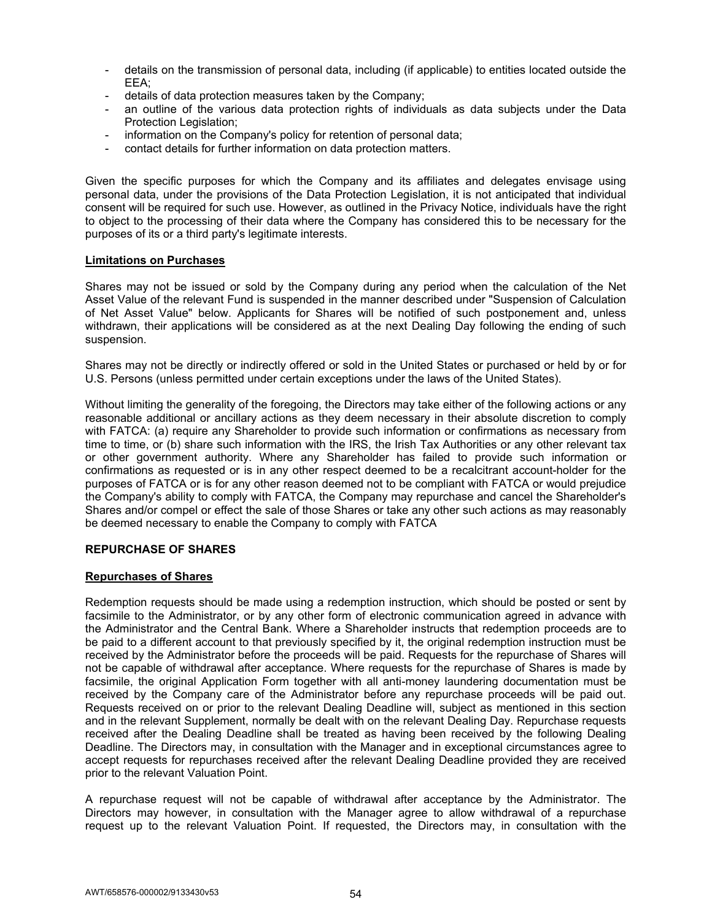- details on the transmission of personal data, including (if applicable) to entities located outside the EEA;
- details of data protection measures taken by the Company;
- an outline of the various data protection rights of individuals as data subjects under the Data Protection Legislation;
- information on the Company's policy for retention of personal data;
- contact details for further information on data protection matters.

Given the specific purposes for which the Company and its affiliates and delegates envisage using personal data, under the provisions of the Data Protection Legislation, it is not anticipated that individual consent will be required for such use. However, as outlined in the Privacy Notice, individuals have the right to object to the processing of their data where the Company has considered this to be necessary for the purposes of its or a third party's legitimate interests.

#### **Limitations on Purchases**

Shares may not be issued or sold by the Company during any period when the calculation of the Net Asset Value of the relevant Fund is suspended in the manner described under "Suspension of Calculation of Net Asset Value" below. Applicants for Shares will be notified of such postponement and, unless withdrawn, their applications will be considered as at the next Dealing Day following the ending of such suspension.

Shares may not be directly or indirectly offered or sold in the United States or purchased or held by or for U.S. Persons (unless permitted under certain exceptions under the laws of the United States).

Without limiting the generality of the foregoing, the Directors may take either of the following actions or any reasonable additional or ancillary actions as they deem necessary in their absolute discretion to comply with FATCA: (a) require any Shareholder to provide such information or confirmations as necessary from time to time, or (b) share such information with the IRS, the Irish Tax Authorities or any other relevant tax or other government authority. Where any Shareholder has failed to provide such information or confirmations as requested or is in any other respect deemed to be a recalcitrant account-holder for the purposes of FATCA or is for any other reason deemed not to be compliant with FATCA or would prejudice the Company's ability to comply with FATCA, the Company may repurchase and cancel the Shareholder's Shares and/or compel or effect the sale of those Shares or take any other such actions as may reasonably be deemed necessary to enable the Company to comply with FATCA

## **REPURCHASE OF SHARES**

#### **Repurchases of Shares**

Redemption requests should be made using a redemption instruction, which should be posted or sent by facsimile to the Administrator, or by any other form of electronic communication agreed in advance with the Administrator and the Central Bank. Where a Shareholder instructs that redemption proceeds are to be paid to a different account to that previously specified by it, the original redemption instruction must be received by the Administrator before the proceeds will be paid. Requests for the repurchase of Shares will not be capable of withdrawal after acceptance. Where requests for the repurchase of Shares is made by facsimile, the original Application Form together with all anti-money laundering documentation must be received by the Company care of the Administrator before any repurchase proceeds will be paid out. Requests received on or prior to the relevant Dealing Deadline will, subject as mentioned in this section and in the relevant Supplement, normally be dealt with on the relevant Dealing Day. Repurchase requests received after the Dealing Deadline shall be treated as having been received by the following Dealing Deadline. The Directors may, in consultation with the Manager and in exceptional circumstances agree to accept requests for repurchases received after the relevant Dealing Deadline provided they are received prior to the relevant Valuation Point.

A repurchase request will not be capable of withdrawal after acceptance by the Administrator. The Directors may however, in consultation with the Manager agree to allow withdrawal of a repurchase request up to the relevant Valuation Point. If requested, the Directors may, in consultation with the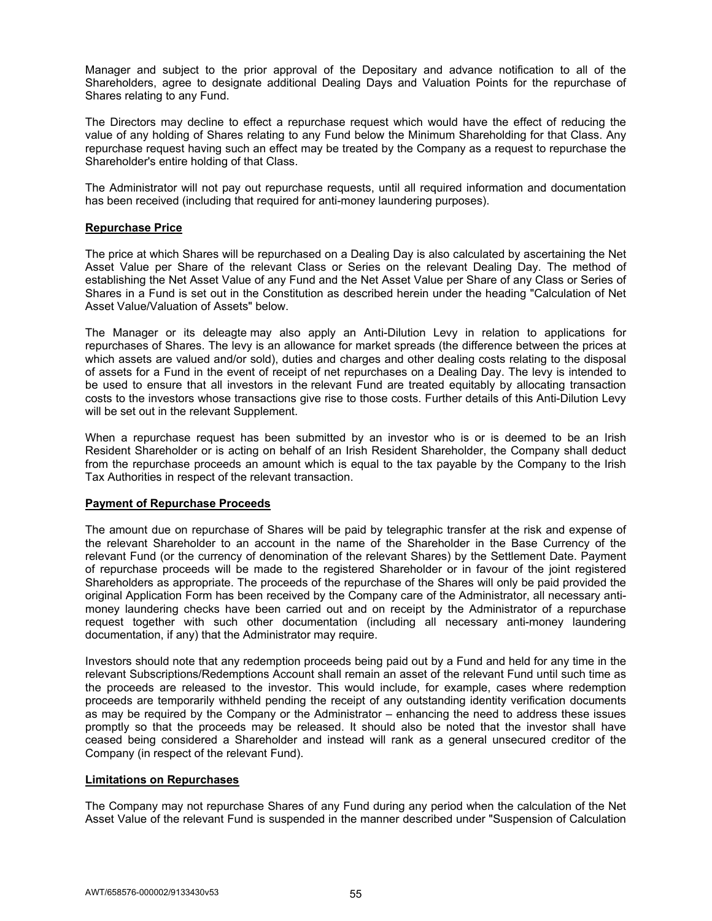Manager and subject to the prior approval of the Depositary and advance notification to all of the Shareholders, agree to designate additional Dealing Days and Valuation Points for the repurchase of Shares relating to any Fund.

The Directors may decline to effect a repurchase request which would have the effect of reducing the value of any holding of Shares relating to any Fund below the Minimum Shareholding for that Class. Any repurchase request having such an effect may be treated by the Company as a request to repurchase the Shareholder's entire holding of that Class.

The Administrator will not pay out repurchase requests, until all required information and documentation has been received (including that required for anti-money laundering purposes).

### **Repurchase Price**

The price at which Shares will be repurchased on a Dealing Day is also calculated by ascertaining the Net Asset Value per Share of the relevant Class or Series on the relevant Dealing Day. The method of establishing the Net Asset Value of any Fund and the Net Asset Value per Share of any Class or Series of Shares in a Fund is set out in the Constitution as described herein under the heading "Calculation of Net Asset Value/Valuation of Assets" below.

The Manager or its deleagte may also apply an Anti-Dilution Levy in relation to applications for repurchases of Shares. The levy is an allowance for market spreads (the difference between the prices at which assets are valued and/or sold), duties and charges and other dealing costs relating to the disposal of assets for a Fund in the event of receipt of net repurchases on a Dealing Day. The levy is intended to be used to ensure that all investors in the relevant Fund are treated equitably by allocating transaction costs to the investors whose transactions give rise to those costs. Further details of this Anti-Dilution Levy will be set out in the relevant Supplement.

When a repurchase request has been submitted by an investor who is or is deemed to be an Irish Resident Shareholder or is acting on behalf of an Irish Resident Shareholder, the Company shall deduct from the repurchase proceeds an amount which is equal to the tax payable by the Company to the Irish Tax Authorities in respect of the relevant transaction.

## **Payment of Repurchase Proceeds**

The amount due on repurchase of Shares will be paid by telegraphic transfer at the risk and expense of the relevant Shareholder to an account in the name of the Shareholder in the Base Currency of the relevant Fund (or the currency of denomination of the relevant Shares) by the Settlement Date. Payment of repurchase proceeds will be made to the registered Shareholder or in favour of the joint registered Shareholders as appropriate. The proceeds of the repurchase of the Shares will only be paid provided the original Application Form has been received by the Company care of the Administrator, all necessary antimoney laundering checks have been carried out and on receipt by the Administrator of a repurchase request together with such other documentation (including all necessary anti-money laundering documentation, if any) that the Administrator may require.

Investors should note that any redemption proceeds being paid out by a Fund and held for any time in the relevant Subscriptions/Redemptions Account shall remain an asset of the relevant Fund until such time as the proceeds are released to the investor. This would include, for example, cases where redemption proceeds are temporarily withheld pending the receipt of any outstanding identity verification documents as may be required by the Company or the Administrator – enhancing the need to address these issues promptly so that the proceeds may be released. It should also be noted that the investor shall have ceased being considered a Shareholder and instead will rank as a general unsecured creditor of the Company (in respect of the relevant Fund).

# **Limitations on Repurchases**

The Company may not repurchase Shares of any Fund during any period when the calculation of the Net Asset Value of the relevant Fund is suspended in the manner described under "Suspension of Calculation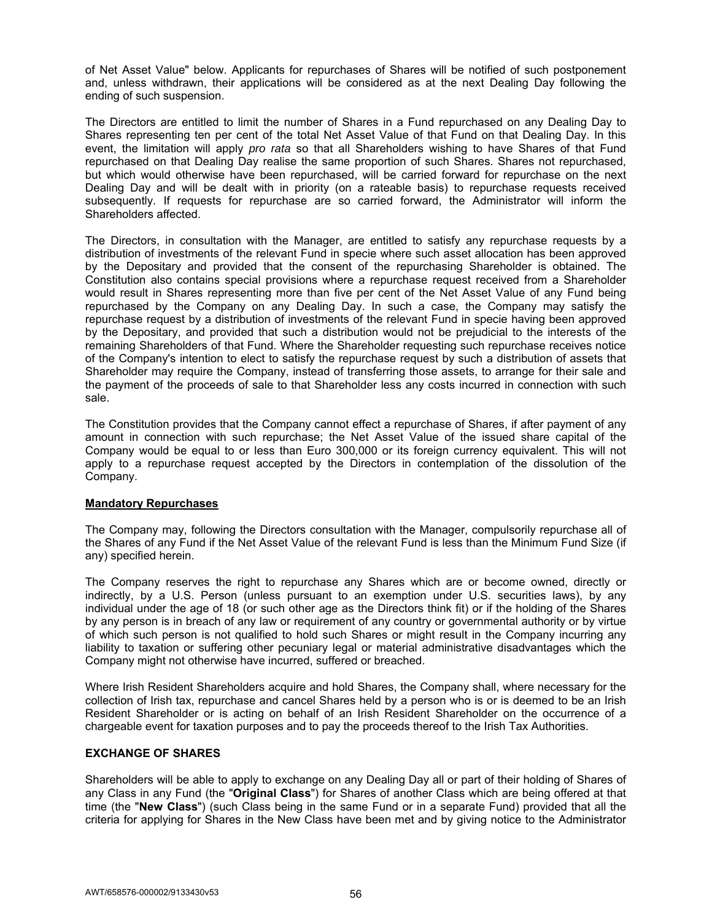of Net Asset Value" below. Applicants for repurchases of Shares will be notified of such postponement and, unless withdrawn, their applications will be considered as at the next Dealing Day following the ending of such suspension.

The Directors are entitled to limit the number of Shares in a Fund repurchased on any Dealing Day to Shares representing ten per cent of the total Net Asset Value of that Fund on that Dealing Day. In this event, the limitation will apply *pro rata* so that all Shareholders wishing to have Shares of that Fund repurchased on that Dealing Day realise the same proportion of such Shares. Shares not repurchased, but which would otherwise have been repurchased, will be carried forward for repurchase on the next Dealing Day and will be dealt with in priority (on a rateable basis) to repurchase requests received subsequently. If requests for repurchase are so carried forward, the Administrator will inform the Shareholders affected.

The Directors, in consultation with the Manager, are entitled to satisfy any repurchase requests by a distribution of investments of the relevant Fund in specie where such asset allocation has been approved by the Depositary and provided that the consent of the repurchasing Shareholder is obtained. The Constitution also contains special provisions where a repurchase request received from a Shareholder would result in Shares representing more than five per cent of the Net Asset Value of any Fund being repurchased by the Company on any Dealing Day. In such a case, the Company may satisfy the repurchase request by a distribution of investments of the relevant Fund in specie having been approved by the Depositary, and provided that such a distribution would not be prejudicial to the interests of the remaining Shareholders of that Fund. Where the Shareholder requesting such repurchase receives notice of the Company's intention to elect to satisfy the repurchase request by such a distribution of assets that Shareholder may require the Company, instead of transferring those assets, to arrange for their sale and the payment of the proceeds of sale to that Shareholder less any costs incurred in connection with such sale.

The Constitution provides that the Company cannot effect a repurchase of Shares, if after payment of any amount in connection with such repurchase; the Net Asset Value of the issued share capital of the Company would be equal to or less than Euro 300,000 or its foreign currency equivalent. This will not apply to a repurchase request accepted by the Directors in contemplation of the dissolution of the Company.

## **Mandatory Repurchases**

The Company may, following the Directors consultation with the Manager, compulsorily repurchase all of the Shares of any Fund if the Net Asset Value of the relevant Fund is less than the Minimum Fund Size (if any) specified herein.

The Company reserves the right to repurchase any Shares which are or become owned, directly or indirectly, by a U.S. Person (unless pursuant to an exemption under U.S. securities laws), by any individual under the age of 18 (or such other age as the Directors think fit) or if the holding of the Shares by any person is in breach of any law or requirement of any country or governmental authority or by virtue of which such person is not qualified to hold such Shares or might result in the Company incurring any liability to taxation or suffering other pecuniary legal or material administrative disadvantages which the Company might not otherwise have incurred, suffered or breached.

Where Irish Resident Shareholders acquire and hold Shares, the Company shall, where necessary for the collection of Irish tax, repurchase and cancel Shares held by a person who is or is deemed to be an Irish Resident Shareholder or is acting on behalf of an Irish Resident Shareholder on the occurrence of a chargeable event for taxation purposes and to pay the proceeds thereof to the Irish Tax Authorities.

## **EXCHANGE OF SHARES**

Shareholders will be able to apply to exchange on any Dealing Day all or part of their holding of Shares of any Class in any Fund (the "**Original Class**") for Shares of another Class which are being offered at that time (the "**New Class**") (such Class being in the same Fund or in a separate Fund) provided that all the criteria for applying for Shares in the New Class have been met and by giving notice to the Administrator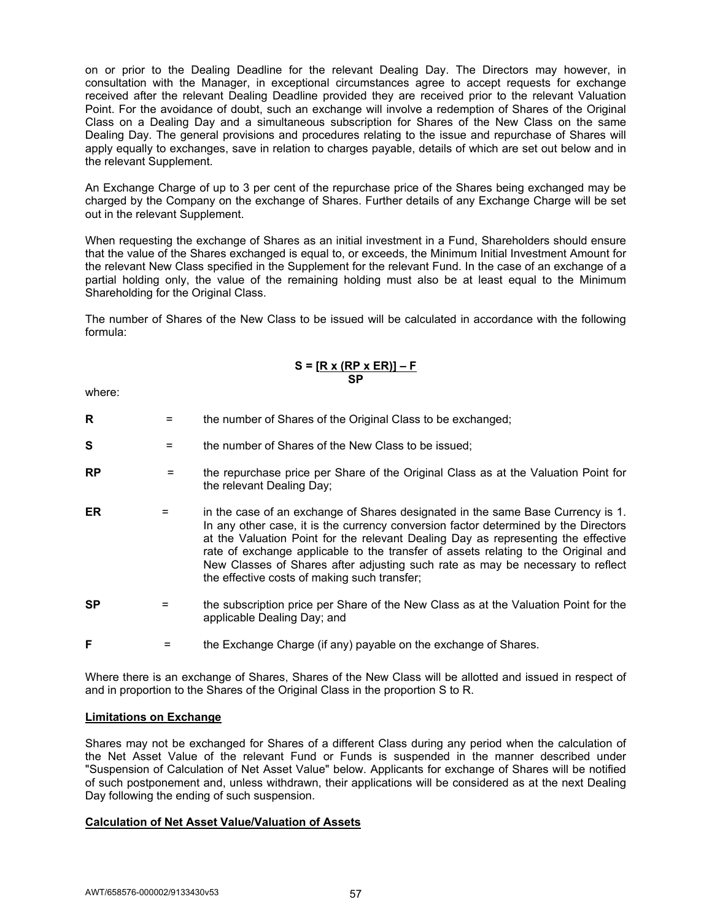on or prior to the Dealing Deadline for the relevant Dealing Day. The Directors may however, in consultation with the Manager, in exceptional circumstances agree to accept requests for exchange received after the relevant Dealing Deadline provided they are received prior to the relevant Valuation Point. For the avoidance of doubt, such an exchange will involve a redemption of Shares of the Original Class on a Dealing Day and a simultaneous subscription for Shares of the New Class on the same Dealing Day. The general provisions and procedures relating to the issue and repurchase of Shares will apply equally to exchanges, save in relation to charges payable, details of which are set out below and in the relevant Supplement.

An Exchange Charge of up to 3 per cent of the repurchase price of the Shares being exchanged may be charged by the Company on the exchange of Shares. Further details of any Exchange Charge will be set out in the relevant Supplement.

When requesting the exchange of Shares as an initial investment in a Fund, Shareholders should ensure that the value of the Shares exchanged is equal to, or exceeds, the Minimum Initial Investment Amount for the relevant New Class specified in the Supplement for the relevant Fund. In the case of an exchange of a partial holding only, the value of the remaining holding must also be at least equal to the Minimum Shareholding for the Original Class.

The number of Shares of the New Class to be issued will be calculated in accordance with the following formula:

## **S = [R x (RP x ER)] – F SP**

where:

- **R**  $=$  the number of Shares of the Original Class to be exchanged;
- **S** = the number of Shares of the New Class to be issued;
- **RP** = the repurchase price per Share of the Original Class as at the Valuation Point for the relevant Dealing Day;
- **ER** = in the case of an exchange of Shares designated in the same Base Currency is 1. In any other case, it is the currency conversion factor determined by the Directors at the Valuation Point for the relevant Dealing Day as representing the effective rate of exchange applicable to the transfer of assets relating to the Original and New Classes of Shares after adjusting such rate as may be necessary to reflect the effective costs of making such transfer;
- **SP** = the subscription price per Share of the New Class as at the Valuation Point for the applicable Dealing Day; and
- **F**  $=$  the Exchange Charge (if any) payable on the exchange of Shares.

Where there is an exchange of Shares, Shares of the New Class will be allotted and issued in respect of and in proportion to the Shares of the Original Class in the proportion S to R.

## **Limitations on Exchange**

Shares may not be exchanged for Shares of a different Class during any period when the calculation of the Net Asset Value of the relevant Fund or Funds is suspended in the manner described under "Suspension of Calculation of Net Asset Value" below. Applicants for exchange of Shares will be notified of such postponement and, unless withdrawn, their applications will be considered as at the next Dealing Day following the ending of such suspension.

## **Calculation of Net Asset Value/Valuation of Assets**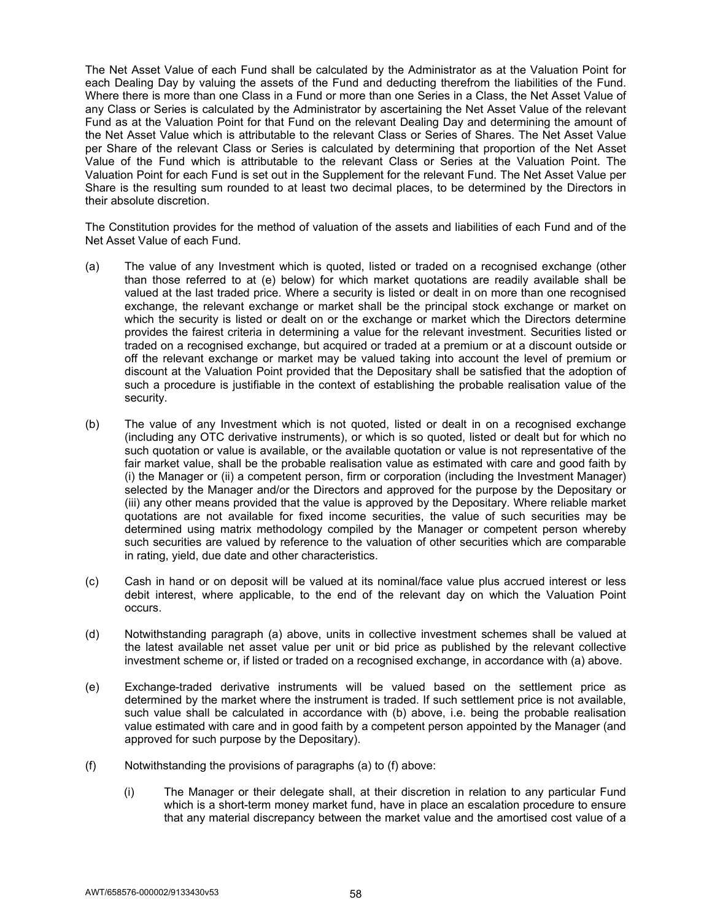The Net Asset Value of each Fund shall be calculated by the Administrator as at the Valuation Point for each Dealing Day by valuing the assets of the Fund and deducting therefrom the liabilities of the Fund. Where there is more than one Class in a Fund or more than one Series in a Class, the Net Asset Value of any Class or Series is calculated by the Administrator by ascertaining the Net Asset Value of the relevant Fund as at the Valuation Point for that Fund on the relevant Dealing Day and determining the amount of the Net Asset Value which is attributable to the relevant Class or Series of Shares. The Net Asset Value per Share of the relevant Class or Series is calculated by determining that proportion of the Net Asset Value of the Fund which is attributable to the relevant Class or Series at the Valuation Point. The Valuation Point for each Fund is set out in the Supplement for the relevant Fund. The Net Asset Value per Share is the resulting sum rounded to at least two decimal places, to be determined by the Directors in their absolute discretion.

The Constitution provides for the method of valuation of the assets and liabilities of each Fund and of the Net Asset Value of each Fund.

- (a) The value of any Investment which is quoted, listed or traded on a recognised exchange (other than those referred to at (e) below) for which market quotations are readily available shall be valued at the last traded price. Where a security is listed or dealt in on more than one recognised exchange, the relevant exchange or market shall be the principal stock exchange or market on which the security is listed or dealt on or the exchange or market which the Directors determine provides the fairest criteria in determining a value for the relevant investment. Securities listed or traded on a recognised exchange, but acquired or traded at a premium or at a discount outside or off the relevant exchange or market may be valued taking into account the level of premium or discount at the Valuation Point provided that the Depositary shall be satisfied that the adoption of such a procedure is justifiable in the context of establishing the probable realisation value of the security.
- (b) The value of any Investment which is not quoted, listed or dealt in on a recognised exchange (including any OTC derivative instruments), or which is so quoted, listed or dealt but for which no such quotation or value is available, or the available quotation or value is not representative of the fair market value, shall be the probable realisation value as estimated with care and good faith by (i) the Manager or (ii) a competent person, firm or corporation (including the Investment Manager) selected by the Manager and/or the Directors and approved for the purpose by the Depositary or (iii) any other means provided that the value is approved by the Depositary. Where reliable market quotations are not available for fixed income securities, the value of such securities may be determined using matrix methodology compiled by the Manager or competent person whereby such securities are valued by reference to the valuation of other securities which are comparable in rating, yield, due date and other characteristics.
- (c) Cash in hand or on deposit will be valued at its nominal/face value plus accrued interest or less debit interest, where applicable, to the end of the relevant day on which the Valuation Point occurs.
- (d) Notwithstanding paragraph (a) above, units in collective investment schemes shall be valued at the latest available net asset value per unit or bid price as published by the relevant collective investment scheme or, if listed or traded on a recognised exchange, in accordance with (a) above.
- (e) Exchange-traded derivative instruments will be valued based on the settlement price as determined by the market where the instrument is traded. If such settlement price is not available, such value shall be calculated in accordance with (b) above, i.e. being the probable realisation value estimated with care and in good faith by a competent person appointed by the Manager (and approved for such purpose by the Depositary).
- (f) Notwithstanding the provisions of paragraphs (a) to (f) above:
	- (i) The Manager or their delegate shall, at their discretion in relation to any particular Fund which is a short-term money market fund, have in place an escalation procedure to ensure that any material discrepancy between the market value and the amortised cost value of a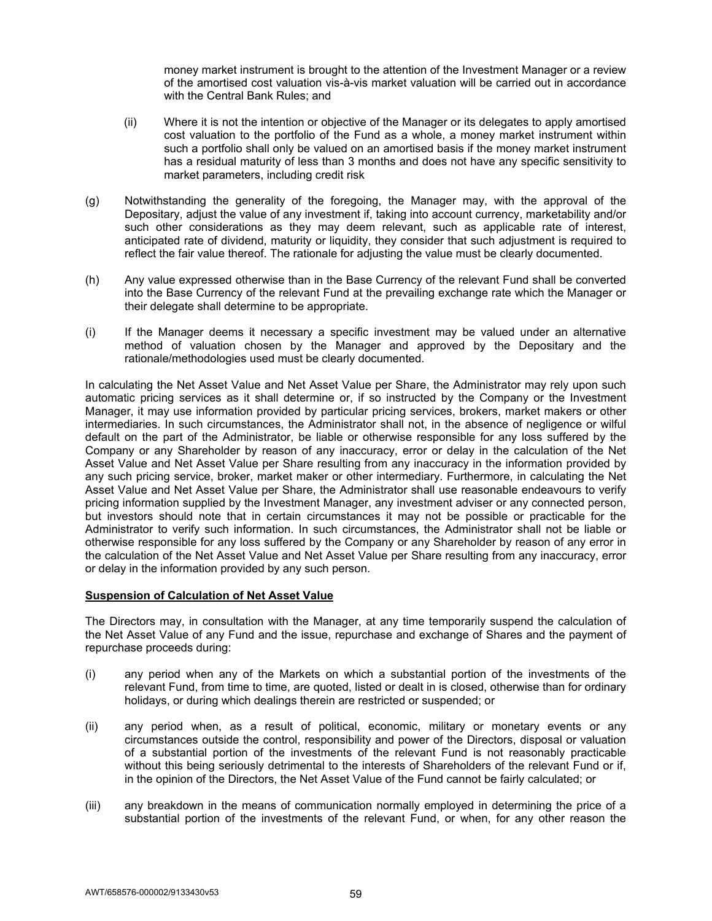money market instrument is brought to the attention of the Investment Manager or a review of the amortised cost valuation vis-à-vis market valuation will be carried out in accordance with the Central Bank Rules; and

- (ii) Where it is not the intention or objective of the Manager or its delegates to apply amortised cost valuation to the portfolio of the Fund as a whole, a money market instrument within such a portfolio shall only be valued on an amortised basis if the money market instrument has a residual maturity of less than 3 months and does not have any specific sensitivity to market parameters, including credit risk
- (g) Notwithstanding the generality of the foregoing, the Manager may, with the approval of the Depositary, adjust the value of any investment if, taking into account currency, marketability and/or such other considerations as they may deem relevant, such as applicable rate of interest, anticipated rate of dividend, maturity or liquidity, they consider that such adjustment is required to reflect the fair value thereof. The rationale for adjusting the value must be clearly documented.
- (h) Any value expressed otherwise than in the Base Currency of the relevant Fund shall be converted into the Base Currency of the relevant Fund at the prevailing exchange rate which the Manager or their delegate shall determine to be appropriate.
- (i) If the Manager deems it necessary a specific investment may be valued under an alternative method of valuation chosen by the Manager and approved by the Depositary and the rationale/methodologies used must be clearly documented.

In calculating the Net Asset Value and Net Asset Value per Share, the Administrator may rely upon such automatic pricing services as it shall determine or, if so instructed by the Company or the Investment Manager, it may use information provided by particular pricing services, brokers, market makers or other intermediaries. In such circumstances, the Administrator shall not, in the absence of negligence or wilful default on the part of the Administrator, be liable or otherwise responsible for any loss suffered by the Company or any Shareholder by reason of any inaccuracy, error or delay in the calculation of the Net Asset Value and Net Asset Value per Share resulting from any inaccuracy in the information provided by any such pricing service, broker, market maker or other intermediary. Furthermore, in calculating the Net Asset Value and Net Asset Value per Share, the Administrator shall use reasonable endeavours to verify pricing information supplied by the Investment Manager, any investment adviser or any connected person, but investors should note that in certain circumstances it may not be possible or practicable for the Administrator to verify such information. In such circumstances, the Administrator shall not be liable or otherwise responsible for any loss suffered by the Company or any Shareholder by reason of any error in the calculation of the Net Asset Value and Net Asset Value per Share resulting from any inaccuracy, error or delay in the information provided by any such person.

## **Suspension of Calculation of Net Asset Value**

The Directors may, in consultation with the Manager, at any time temporarily suspend the calculation of the Net Asset Value of any Fund and the issue, repurchase and exchange of Shares and the payment of repurchase proceeds during:

- (i) any period when any of the Markets on which a substantial portion of the investments of the relevant Fund, from time to time, are quoted, listed or dealt in is closed, otherwise than for ordinary holidays, or during which dealings therein are restricted or suspended; or
- (ii) any period when, as a result of political, economic, military or monetary events or any circumstances outside the control, responsibility and power of the Directors, disposal or valuation of a substantial portion of the investments of the relevant Fund is not reasonably practicable without this being seriously detrimental to the interests of Shareholders of the relevant Fund or if, in the opinion of the Directors, the Net Asset Value of the Fund cannot be fairly calculated; or
- (iii) any breakdown in the means of communication normally employed in determining the price of a substantial portion of the investments of the relevant Fund, or when, for any other reason the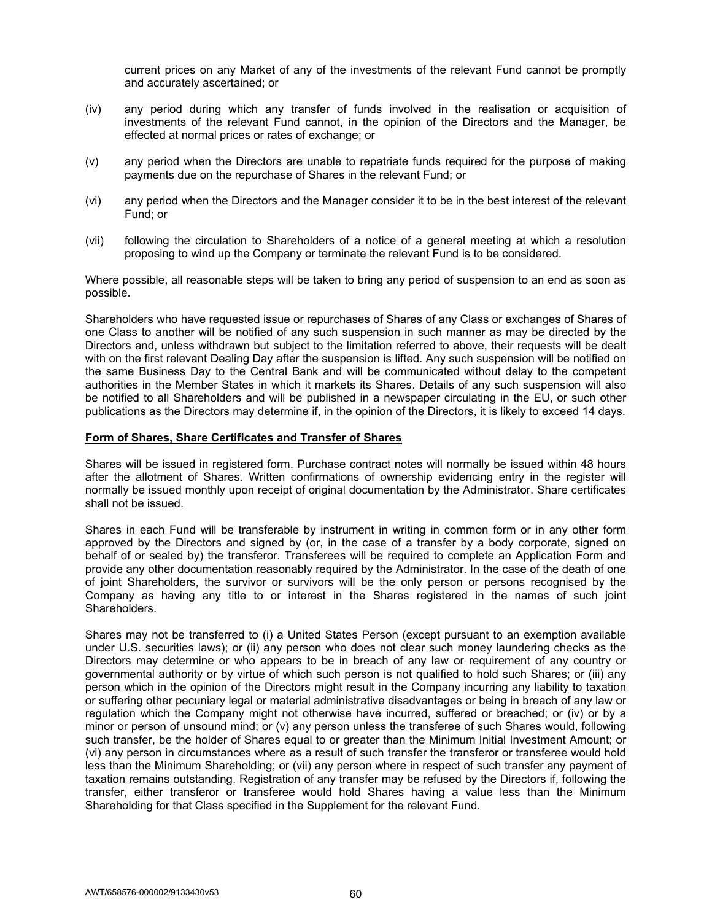current prices on any Market of any of the investments of the relevant Fund cannot be promptly and accurately ascertained; or

- (iv) any period during which any transfer of funds involved in the realisation or acquisition of investments of the relevant Fund cannot, in the opinion of the Directors and the Manager, be effected at normal prices or rates of exchange; or
- (v) any period when the Directors are unable to repatriate funds required for the purpose of making payments due on the repurchase of Shares in the relevant Fund; or
- (vi) any period when the Directors and the Manager consider it to be in the best interest of the relevant Fund; or
- (vii) following the circulation to Shareholders of a notice of a general meeting at which a resolution proposing to wind up the Company or terminate the relevant Fund is to be considered.

Where possible, all reasonable steps will be taken to bring any period of suspension to an end as soon as possible.

Shareholders who have requested issue or repurchases of Shares of any Class or exchanges of Shares of one Class to another will be notified of any such suspension in such manner as may be directed by the Directors and, unless withdrawn but subject to the limitation referred to above, their requests will be dealt with on the first relevant Dealing Day after the suspension is lifted. Any such suspension will be notified on the same Business Day to the Central Bank and will be communicated without delay to the competent authorities in the Member States in which it markets its Shares. Details of any such suspension will also be notified to all Shareholders and will be published in a newspaper circulating in the EU, or such other publications as the Directors may determine if, in the opinion of the Directors, it is likely to exceed 14 days.

### **Form of Shares, Share Certificates and Transfer of Shares**

Shares will be issued in registered form. Purchase contract notes will normally be issued within 48 hours after the allotment of Shares. Written confirmations of ownership evidencing entry in the register will normally be issued monthly upon receipt of original documentation by the Administrator. Share certificates shall not be issued.

Shares in each Fund will be transferable by instrument in writing in common form or in any other form approved by the Directors and signed by (or, in the case of a transfer by a body corporate, signed on behalf of or sealed by) the transferor. Transferees will be required to complete an Application Form and provide any other documentation reasonably required by the Administrator. In the case of the death of one of joint Shareholders, the survivor or survivors will be the only person or persons recognised by the Company as having any title to or interest in the Shares registered in the names of such joint Shareholders.

Shares may not be transferred to (i) a United States Person (except pursuant to an exemption available under U.S. securities laws); or (ii) any person who does not clear such money laundering checks as the Directors may determine or who appears to be in breach of any law or requirement of any country or governmental authority or by virtue of which such person is not qualified to hold such Shares; or (iii) any person which in the opinion of the Directors might result in the Company incurring any liability to taxation or suffering other pecuniary legal or material administrative disadvantages or being in breach of any law or regulation which the Company might not otherwise have incurred, suffered or breached; or (iv) or by a minor or person of unsound mind; or (v) any person unless the transferee of such Shares would, following such transfer, be the holder of Shares equal to or greater than the Minimum Initial Investment Amount; or (vi) any person in circumstances where as a result of such transfer the transferor or transferee would hold less than the Minimum Shareholding; or (vii) any person where in respect of such transfer any payment of taxation remains outstanding. Registration of any transfer may be refused by the Directors if, following the transfer, either transferor or transferee would hold Shares having a value less than the Minimum Shareholding for that Class specified in the Supplement for the relevant Fund.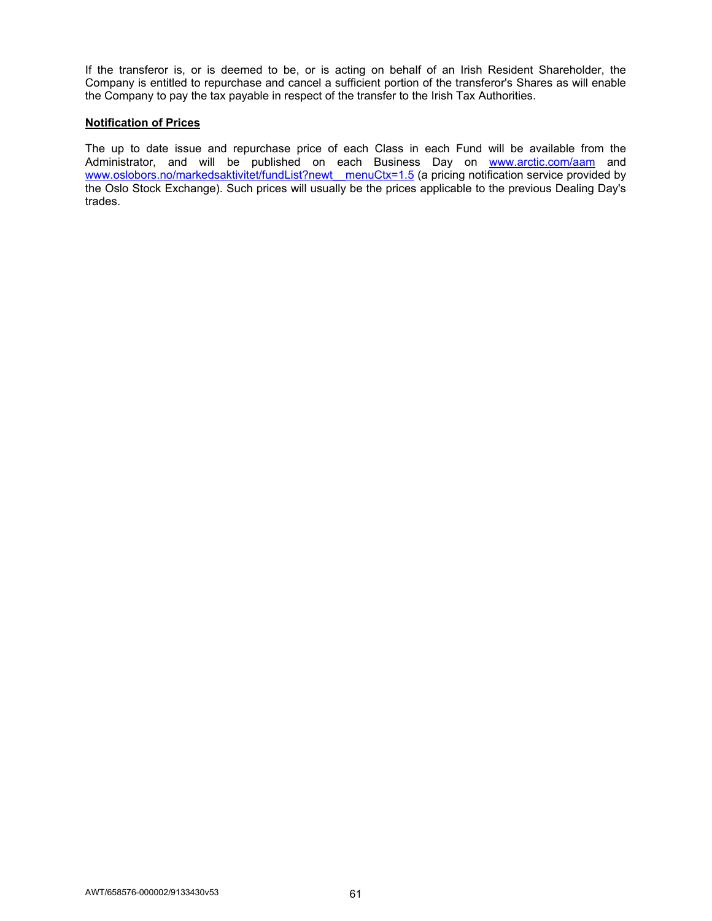If the transferor is, or is deemed to be, or is acting on behalf of an Irish Resident Shareholder, the Company is entitled to repurchase and cancel a sufficient portion of the transferor's Shares as will enable the Company to pay the tax payable in respect of the transfer to the Irish Tax Authorities.

### **Notification of Prices**

The up to date issue and repurchase price of each Class in each Fund will be available from the Administrator, and will be published on each Business Day on www.arctic.com/aam and www.oslobors.no/markedsaktivitet/fundList?newt\_\_menuCtx=1.5 (a pricing notification service provided by the Oslo Stock Exchange). Such prices will usually be the prices applicable to the previous Dealing Day's trades.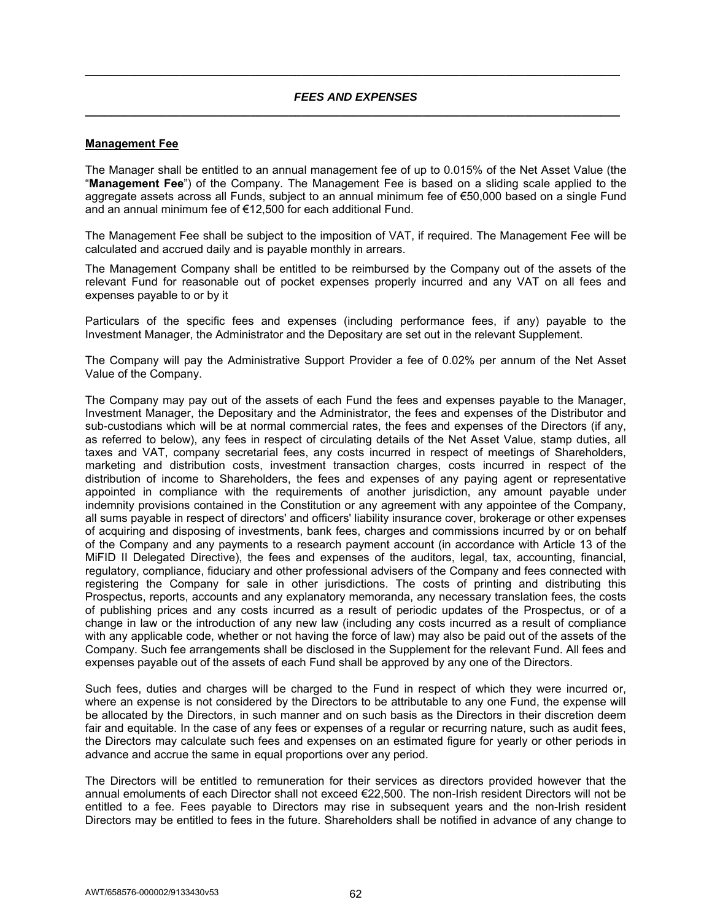## *FEES AND EXPENSES*  **\_\_\_\_\_\_\_\_\_\_\_\_\_\_\_\_\_\_\_\_\_\_\_\_\_\_\_\_\_\_\_\_\_\_\_\_\_\_\_\_\_\_\_\_\_\_\_\_\_\_\_\_\_\_\_\_\_\_\_\_\_\_\_\_\_\_\_\_\_\_\_\_\_\_\_\_\_\_\_\_\_\_\_\_**

**\_\_\_\_\_\_\_\_\_\_\_\_\_\_\_\_\_\_\_\_\_\_\_\_\_\_\_\_\_\_\_\_\_\_\_\_\_\_\_\_\_\_\_\_\_\_\_\_\_\_\_\_\_\_\_\_\_\_\_\_\_\_\_\_\_\_\_\_\_\_\_\_\_\_\_\_\_\_\_\_\_\_\_\_** 

## **Management Fee**

The Manager shall be entitled to an annual management fee of up to 0.015% of the Net Asset Value (the "**Management Fee**") of the Company. The Management Fee is based on a sliding scale applied to the aggregate assets across all Funds, subject to an annual minimum fee of €50,000 based on a single Fund and an annual minimum fee of €12,500 for each additional Fund.

The Management Fee shall be subject to the imposition of VAT, if required. The Management Fee will be calculated and accrued daily and is payable monthly in arrears.

The Management Company shall be entitled to be reimbursed by the Company out of the assets of the relevant Fund for reasonable out of pocket expenses properly incurred and any VAT on all fees and expenses payable to or by it

Particulars of the specific fees and expenses (including performance fees, if any) payable to the Investment Manager, the Administrator and the Depositary are set out in the relevant Supplement.

The Company will pay the Administrative Support Provider a fee of 0.02% per annum of the Net Asset Value of the Company.

The Company may pay out of the assets of each Fund the fees and expenses payable to the Manager, Investment Manager, the Depositary and the Administrator, the fees and expenses of the Distributor and sub-custodians which will be at normal commercial rates, the fees and expenses of the Directors (if any, as referred to below), any fees in respect of circulating details of the Net Asset Value, stamp duties, all taxes and VAT, company secretarial fees, any costs incurred in respect of meetings of Shareholders, marketing and distribution costs, investment transaction charges, costs incurred in respect of the distribution of income to Shareholders, the fees and expenses of any paying agent or representative appointed in compliance with the requirements of another jurisdiction, any amount payable under indemnity provisions contained in the Constitution or any agreement with any appointee of the Company, all sums payable in respect of directors' and officers' liability insurance cover, brokerage or other expenses of acquiring and disposing of investments, bank fees, charges and commissions incurred by or on behalf of the Company and any payments to a research payment account (in accordance with Article 13 of the MiFID II Delegated Directive), the fees and expenses of the auditors, legal, tax, accounting, financial, regulatory, compliance, fiduciary and other professional advisers of the Company and fees connected with registering the Company for sale in other jurisdictions. The costs of printing and distributing this Prospectus, reports, accounts and any explanatory memoranda, any necessary translation fees, the costs of publishing prices and any costs incurred as a result of periodic updates of the Prospectus, or of a change in law or the introduction of any new law (including any costs incurred as a result of compliance with any applicable code, whether or not having the force of law) may also be paid out of the assets of the Company. Such fee arrangements shall be disclosed in the Supplement for the relevant Fund. All fees and expenses payable out of the assets of each Fund shall be approved by any one of the Directors.

Such fees, duties and charges will be charged to the Fund in respect of which they were incurred or, where an expense is not considered by the Directors to be attributable to any one Fund, the expense will be allocated by the Directors, in such manner and on such basis as the Directors in their discretion deem fair and equitable. In the case of any fees or expenses of a regular or recurring nature, such as audit fees, the Directors may calculate such fees and expenses on an estimated figure for yearly or other periods in advance and accrue the same in equal proportions over any period.

The Directors will be entitled to remuneration for their services as directors provided however that the annual emoluments of each Director shall not exceed €22,500. The non-Irish resident Directors will not be entitled to a fee. Fees payable to Directors may rise in subsequent years and the non-Irish resident Directors may be entitled to fees in the future. Shareholders shall be notified in advance of any change to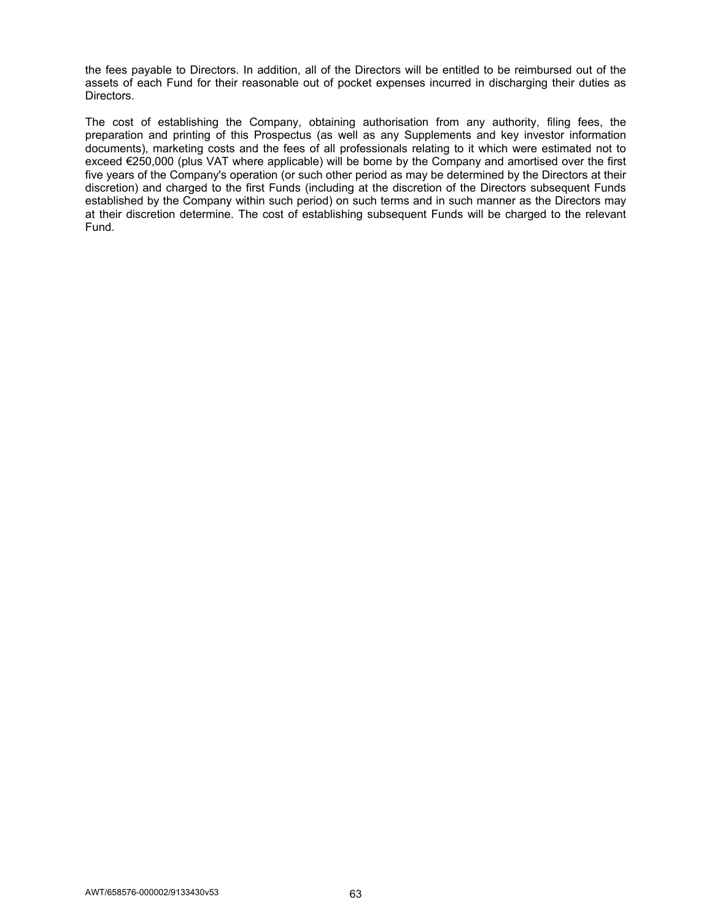the fees payable to Directors. In addition, all of the Directors will be entitled to be reimbursed out of the assets of each Fund for their reasonable out of pocket expenses incurred in discharging their duties as Directors.

The cost of establishing the Company, obtaining authorisation from any authority, filing fees, the preparation and printing of this Prospectus (as well as any Supplements and key investor information documents), marketing costs and the fees of all professionals relating to it which were estimated not to exceed €250,000 (plus VAT where applicable) will be borne by the Company and amortised over the first five years of the Company's operation (or such other period as may be determined by the Directors at their discretion) and charged to the first Funds (including at the discretion of the Directors subsequent Funds established by the Company within such period) on such terms and in such manner as the Directors may at their discretion determine. The cost of establishing subsequent Funds will be charged to the relevant Fund.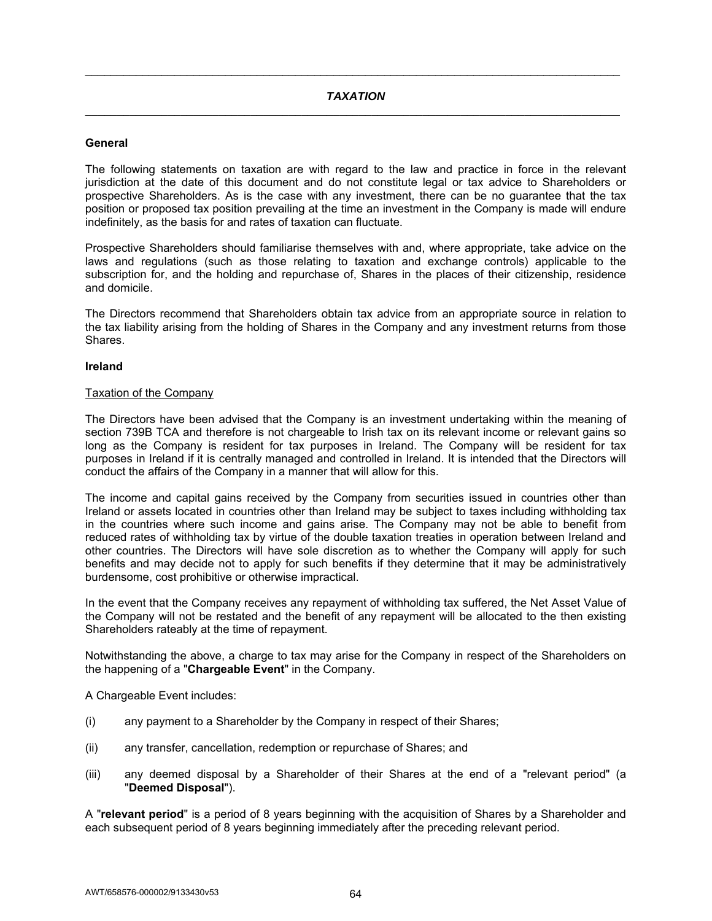## **General**

The following statements on taxation are with regard to the law and practice in force in the relevant jurisdiction at the date of this document and do not constitute legal or tax advice to Shareholders or prospective Shareholders. As is the case with any investment, there can be no guarantee that the tax position or proposed tax position prevailing at the time an investment in the Company is made will endure indefinitely, as the basis for and rates of taxation can fluctuate.

Prospective Shareholders should familiarise themselves with and, where appropriate, take advice on the laws and regulations (such as those relating to taxation and exchange controls) applicable to the subscription for, and the holding and repurchase of, Shares in the places of their citizenship, residence and domicile.

The Directors recommend that Shareholders obtain tax advice from an appropriate source in relation to the tax liability arising from the holding of Shares in the Company and any investment returns from those Shares.

## **Ireland**

### Taxation of the Company

The Directors have been advised that the Company is an investment undertaking within the meaning of section 739B TCA and therefore is not chargeable to Irish tax on its relevant income or relevant gains so long as the Company is resident for tax purposes in Ireland. The Company will be resident for tax purposes in Ireland if it is centrally managed and controlled in Ireland. It is intended that the Directors will conduct the affairs of the Company in a manner that will allow for this.

The income and capital gains received by the Company from securities issued in countries other than Ireland or assets located in countries other than Ireland may be subject to taxes including withholding tax in the countries where such income and gains arise. The Company may not be able to benefit from reduced rates of withholding tax by virtue of the double taxation treaties in operation between Ireland and other countries. The Directors will have sole discretion as to whether the Company will apply for such benefits and may decide not to apply for such benefits if they determine that it may be administratively burdensome, cost prohibitive or otherwise impractical.

In the event that the Company receives any repayment of withholding tax suffered, the Net Asset Value of the Company will not be restated and the benefit of any repayment will be allocated to the then existing Shareholders rateably at the time of repayment.

Notwithstanding the above, a charge to tax may arise for the Company in respect of the Shareholders on the happening of a "**Chargeable Event**" in the Company.

A Chargeable Event includes:

- (i) any payment to a Shareholder by the Company in respect of their Shares;
- (ii) any transfer, cancellation, redemption or repurchase of Shares; and
- (iii) any deemed disposal by a Shareholder of their Shares at the end of a "relevant period" (a "**Deemed Disposal**").

A "**relevant period**" is a period of 8 years beginning with the acquisition of Shares by a Shareholder and each subsequent period of 8 years beginning immediately after the preceding relevant period.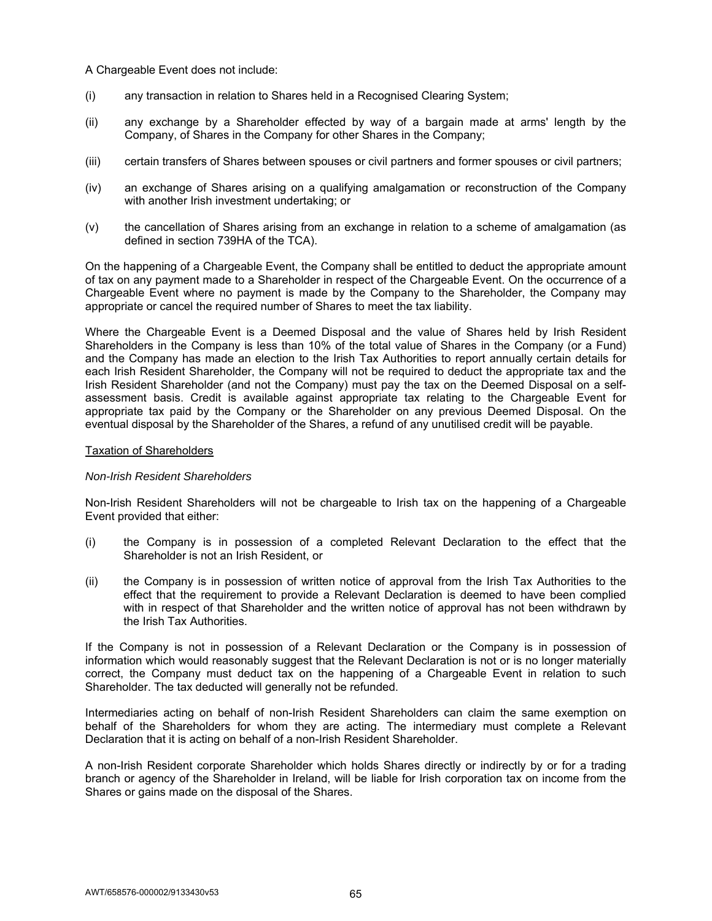A Chargeable Event does not include:

- (i) any transaction in relation to Shares held in a Recognised Clearing System;
- (ii) any exchange by a Shareholder effected by way of a bargain made at arms' length by the Company, of Shares in the Company for other Shares in the Company;
- (iii) certain transfers of Shares between spouses or civil partners and former spouses or civil partners;
- (iv) an exchange of Shares arising on a qualifying amalgamation or reconstruction of the Company with another Irish investment undertaking; or
- (v) the cancellation of Shares arising from an exchange in relation to a scheme of amalgamation (as defined in section 739HA of the TCA).

On the happening of a Chargeable Event, the Company shall be entitled to deduct the appropriate amount of tax on any payment made to a Shareholder in respect of the Chargeable Event. On the occurrence of a Chargeable Event where no payment is made by the Company to the Shareholder, the Company may appropriate or cancel the required number of Shares to meet the tax liability.

Where the Chargeable Event is a Deemed Disposal and the value of Shares held by Irish Resident Shareholders in the Company is less than 10% of the total value of Shares in the Company (or a Fund) and the Company has made an election to the Irish Tax Authorities to report annually certain details for each Irish Resident Shareholder, the Company will not be required to deduct the appropriate tax and the Irish Resident Shareholder (and not the Company) must pay the tax on the Deemed Disposal on a selfassessment basis. Credit is available against appropriate tax relating to the Chargeable Event for appropriate tax paid by the Company or the Shareholder on any previous Deemed Disposal. On the eventual disposal by the Shareholder of the Shares, a refund of any unutilised credit will be payable.

## Taxation of Shareholders

## *Non-Irish Resident Shareholders*

Non-Irish Resident Shareholders will not be chargeable to Irish tax on the happening of a Chargeable Event provided that either:

- (i) the Company is in possession of a completed Relevant Declaration to the effect that the Shareholder is not an Irish Resident, or
- (ii) the Company is in possession of written notice of approval from the Irish Tax Authorities to the effect that the requirement to provide a Relevant Declaration is deemed to have been complied with in respect of that Shareholder and the written notice of approval has not been withdrawn by the Irish Tax Authorities.

If the Company is not in possession of a Relevant Declaration or the Company is in possession of information which would reasonably suggest that the Relevant Declaration is not or is no longer materially correct, the Company must deduct tax on the happening of a Chargeable Event in relation to such Shareholder. The tax deducted will generally not be refunded.

Intermediaries acting on behalf of non-Irish Resident Shareholders can claim the same exemption on behalf of the Shareholders for whom they are acting. The intermediary must complete a Relevant Declaration that it is acting on behalf of a non-Irish Resident Shareholder.

A non-Irish Resident corporate Shareholder which holds Shares directly or indirectly by or for a trading branch or agency of the Shareholder in Ireland, will be liable for Irish corporation tax on income from the Shares or gains made on the disposal of the Shares.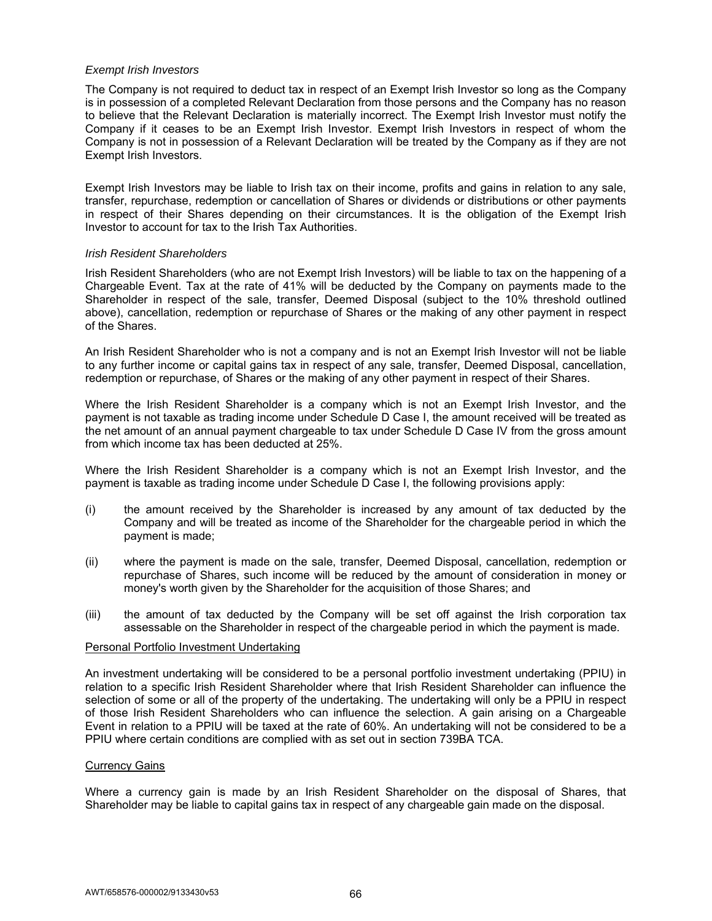## *Exempt Irish Investors*

The Company is not required to deduct tax in respect of an Exempt Irish Investor so long as the Company is in possession of a completed Relevant Declaration from those persons and the Company has no reason to believe that the Relevant Declaration is materially incorrect. The Exempt Irish Investor must notify the Company if it ceases to be an Exempt Irish Investor. Exempt Irish Investors in respect of whom the Company is not in possession of a Relevant Declaration will be treated by the Company as if they are not Exempt Irish Investors.

Exempt Irish Investors may be liable to Irish tax on their income, profits and gains in relation to any sale, transfer, repurchase, redemption or cancellation of Shares or dividends or distributions or other payments in respect of their Shares depending on their circumstances. It is the obligation of the Exempt Irish Investor to account for tax to the Irish Tax Authorities.

### *Irish Resident Shareholders*

Irish Resident Shareholders (who are not Exempt Irish Investors) will be liable to tax on the happening of a Chargeable Event. Tax at the rate of 41% will be deducted by the Company on payments made to the Shareholder in respect of the sale, transfer, Deemed Disposal (subject to the 10% threshold outlined above), cancellation, redemption or repurchase of Shares or the making of any other payment in respect of the Shares.

An Irish Resident Shareholder who is not a company and is not an Exempt Irish Investor will not be liable to any further income or capital gains tax in respect of any sale, transfer, Deemed Disposal, cancellation, redemption or repurchase, of Shares or the making of any other payment in respect of their Shares.

Where the Irish Resident Shareholder is a company which is not an Exempt Irish Investor, and the payment is not taxable as trading income under Schedule D Case I, the amount received will be treated as the net amount of an annual payment chargeable to tax under Schedule D Case IV from the gross amount from which income tax has been deducted at 25%.

Where the Irish Resident Shareholder is a company which is not an Exempt Irish Investor, and the payment is taxable as trading income under Schedule D Case I, the following provisions apply:

- (i) the amount received by the Shareholder is increased by any amount of tax deducted by the Company and will be treated as income of the Shareholder for the chargeable period in which the payment is made;
- (ii) where the payment is made on the sale, transfer, Deemed Disposal, cancellation, redemption or repurchase of Shares, such income will be reduced by the amount of consideration in money or money's worth given by the Shareholder for the acquisition of those Shares; and
- (iii) the amount of tax deducted by the Company will be set off against the Irish corporation tax assessable on the Shareholder in respect of the chargeable period in which the payment is made.

#### Personal Portfolio Investment Undertaking

An investment undertaking will be considered to be a personal portfolio investment undertaking (PPIU) in relation to a specific Irish Resident Shareholder where that Irish Resident Shareholder can influence the selection of some or all of the property of the undertaking. The undertaking will only be a PPIU in respect of those Irish Resident Shareholders who can influence the selection. A gain arising on a Chargeable Event in relation to a PPIU will be taxed at the rate of 60%. An undertaking will not be considered to be a PPIU where certain conditions are complied with as set out in section 739BA TCA.

#### Currency Gains

Where a currency gain is made by an Irish Resident Shareholder on the disposal of Shares, that Shareholder may be liable to capital gains tax in respect of any chargeable gain made on the disposal.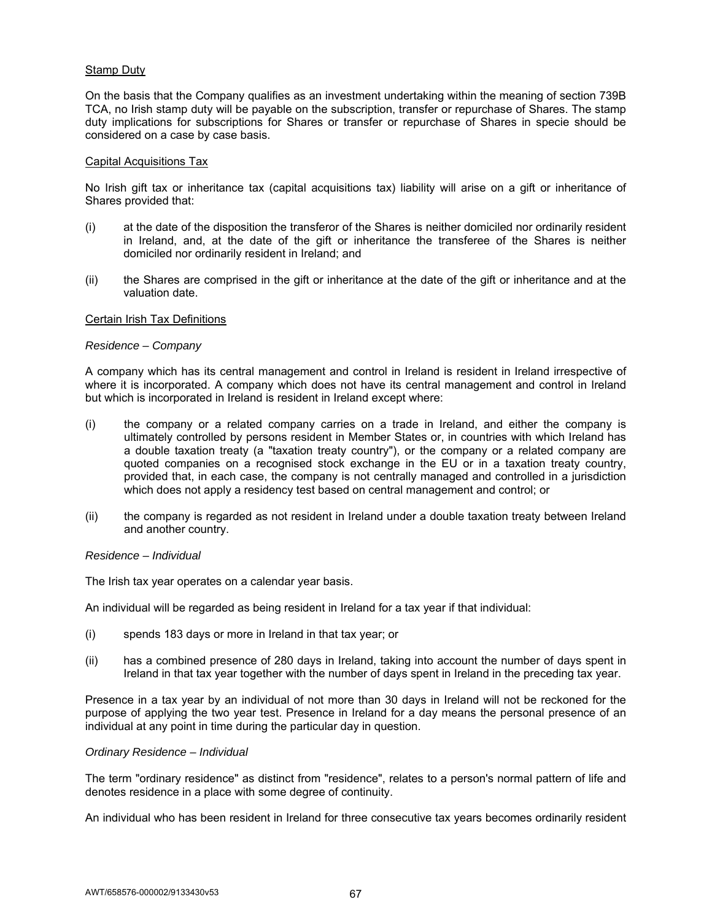## **Stamp Duty**

On the basis that the Company qualifies as an investment undertaking within the meaning of section 739B TCA, no Irish stamp duty will be payable on the subscription, transfer or repurchase of Shares. The stamp duty implications for subscriptions for Shares or transfer or repurchase of Shares in specie should be considered on a case by case basis.

#### Capital Acquisitions Tax

No Irish gift tax or inheritance tax (capital acquisitions tax) liability will arise on a gift or inheritance of Shares provided that:

- (i) at the date of the disposition the transferor of the Shares is neither domiciled nor ordinarily resident in Ireland, and, at the date of the gift or inheritance the transferee of the Shares is neither domiciled nor ordinarily resident in Ireland; and
- (ii) the Shares are comprised in the gift or inheritance at the date of the gift or inheritance and at the valuation date.

#### Certain Irish Tax Definitions

#### *Residence – Company*

A company which has its central management and control in Ireland is resident in Ireland irrespective of where it is incorporated. A company which does not have its central management and control in Ireland but which is incorporated in Ireland is resident in Ireland except where:

- (i) the company or a related company carries on a trade in Ireland, and either the company is ultimately controlled by persons resident in Member States or, in countries with which Ireland has a double taxation treaty (a "taxation treaty country"), or the company or a related company are quoted companies on a recognised stock exchange in the EU or in a taxation treaty country, provided that, in each case, the company is not centrally managed and controlled in a jurisdiction which does not apply a residency test based on central management and control; or
- (ii) the company is regarded as not resident in Ireland under a double taxation treaty between Ireland and another country.

#### *Residence – Individual*

The Irish tax year operates on a calendar year basis.

An individual will be regarded as being resident in Ireland for a tax year if that individual:

- (i) spends 183 days or more in Ireland in that tax year; or
- (ii) has a combined presence of 280 days in Ireland, taking into account the number of days spent in Ireland in that tax year together with the number of days spent in Ireland in the preceding tax year.

Presence in a tax year by an individual of not more than 30 days in Ireland will not be reckoned for the purpose of applying the two year test. Presence in Ireland for a day means the personal presence of an individual at any point in time during the particular day in question.

#### *Ordinary Residence – Individual*

The term "ordinary residence" as distinct from "residence", relates to a person's normal pattern of life and denotes residence in a place with some degree of continuity.

An individual who has been resident in Ireland for three consecutive tax years becomes ordinarily resident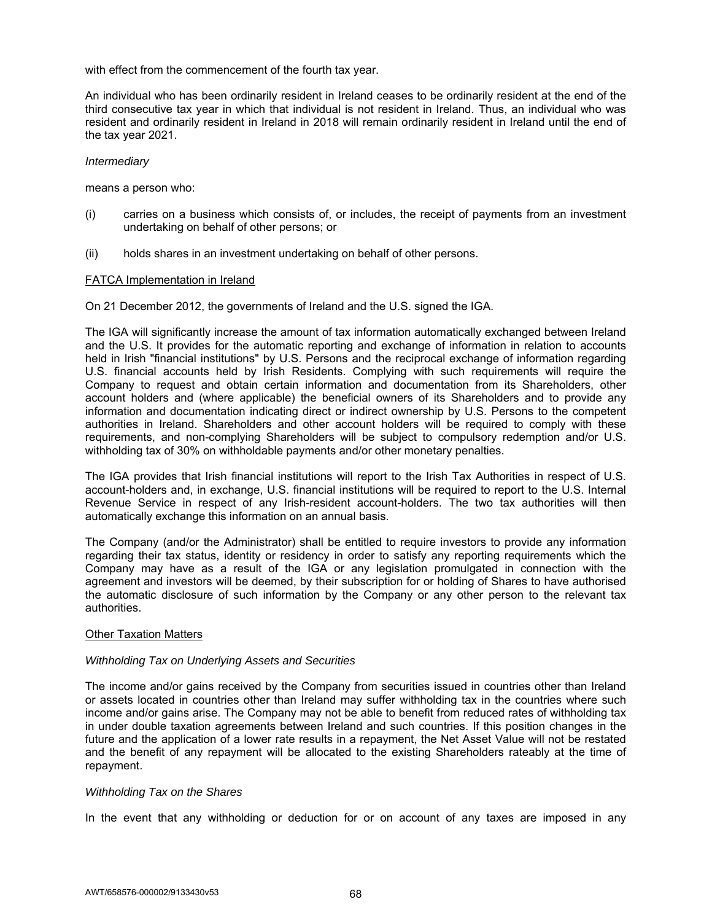with effect from the commencement of the fourth tax year.

An individual who has been ordinarily resident in Ireland ceases to be ordinarily resident at the end of the third consecutive tax year in which that individual is not resident in Ireland. Thus, an individual who was resident and ordinarily resident in Ireland in 2018 will remain ordinarily resident in Ireland until the end of the tax year 2021.

### *Intermediary*

means a person who:

- (i) carries on a business which consists of, or includes, the receipt of payments from an investment undertaking on behalf of other persons; or
- (ii) holds shares in an investment undertaking on behalf of other persons.

### FATCA Implementation in Ireland

On 21 December 2012, the governments of Ireland and the U.S. signed the IGA.

The IGA will significantly increase the amount of tax information automatically exchanged between Ireland and the U.S. It provides for the automatic reporting and exchange of information in relation to accounts held in Irish "financial institutions" by U.S. Persons and the reciprocal exchange of information regarding U.S. financial accounts held by Irish Residents. Complying with such requirements will require the Company to request and obtain certain information and documentation from its Shareholders, other account holders and (where applicable) the beneficial owners of its Shareholders and to provide any information and documentation indicating direct or indirect ownership by U.S. Persons to the competent authorities in Ireland. Shareholders and other account holders will be required to comply with these requirements, and non-complying Shareholders will be subject to compulsory redemption and/or U.S. withholding tax of 30% on withholdable payments and/or other monetary penalties.

The IGA provides that Irish financial institutions will report to the Irish Tax Authorities in respect of U.S. account-holders and, in exchange, U.S. financial institutions will be required to report to the U.S. Internal Revenue Service in respect of any Irish-resident account-holders. The two tax authorities will then automatically exchange this information on an annual basis.

The Company (and/or the Administrator) shall be entitled to require investors to provide any information regarding their tax status, identity or residency in order to satisfy any reporting requirements which the Company may have as a result of the IGA or any legislation promulgated in connection with the agreement and investors will be deemed, by their subscription for or holding of Shares to have authorised the automatic disclosure of such information by the Company or any other person to the relevant tax authorities.

#### Other Taxation Matters

#### *Withholding Tax on Underlying Assets and Securities*

The income and/or gains received by the Company from securities issued in countries other than Ireland or assets located in countries other than Ireland may suffer withholding tax in the countries where such income and/or gains arise. The Company may not be able to benefit from reduced rates of withholding tax in under double taxation agreements between Ireland and such countries. If this position changes in the future and the application of a lower rate results in a repayment, the Net Asset Value will not be restated and the benefit of any repayment will be allocated to the existing Shareholders rateably at the time of repayment.

#### *Withholding Tax on the Shares*

In the event that any withholding or deduction for or on account of any taxes are imposed in any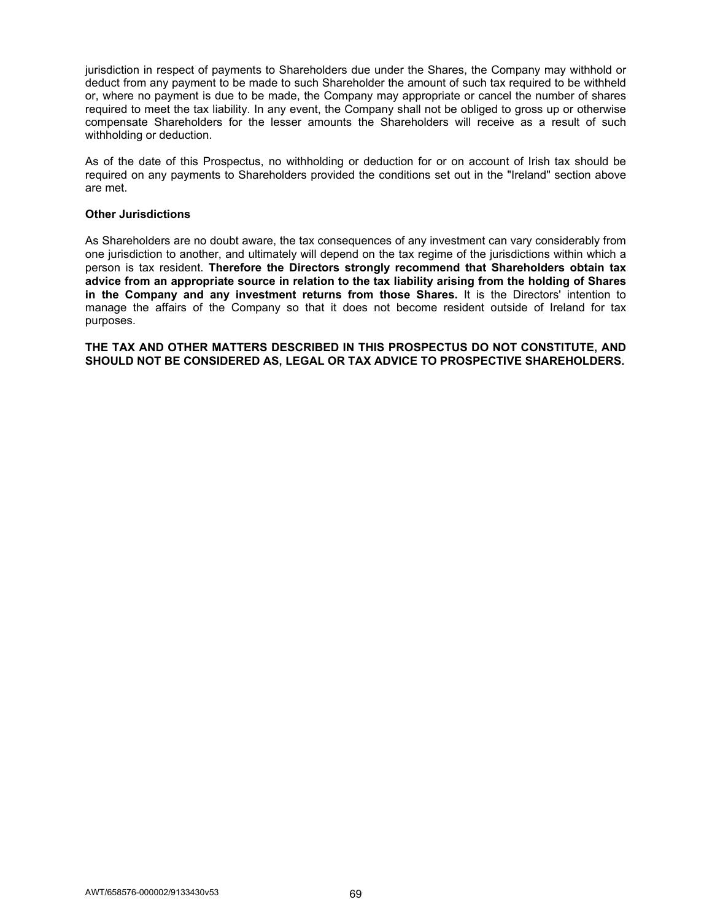jurisdiction in respect of payments to Shareholders due under the Shares, the Company may withhold or deduct from any payment to be made to such Shareholder the amount of such tax required to be withheld or, where no payment is due to be made, the Company may appropriate or cancel the number of shares required to meet the tax liability. In any event, the Company shall not be obliged to gross up or otherwise compensate Shareholders for the lesser amounts the Shareholders will receive as a result of such withholding or deduction.

As of the date of this Prospectus, no withholding or deduction for or on account of Irish tax should be required on any payments to Shareholders provided the conditions set out in the "Ireland" section above are met.

#### **Other Jurisdictions**

As Shareholders are no doubt aware, the tax consequences of any investment can vary considerably from one jurisdiction to another, and ultimately will depend on the tax regime of the jurisdictions within which a person is tax resident. **Therefore the Directors strongly recommend that Shareholders obtain tax advice from an appropriate source in relation to the tax liability arising from the holding of Shares in the Company and any investment returns from those Shares.** It is the Directors' intention to manage the affairs of the Company so that it does not become resident outside of Ireland for tax purposes.

**THE TAX AND OTHER MATTERS DESCRIBED IN THIS PROSPECTUS DO NOT CONSTITUTE, AND SHOULD NOT BE CONSIDERED AS, LEGAL OR TAX ADVICE TO PROSPECTIVE SHAREHOLDERS.**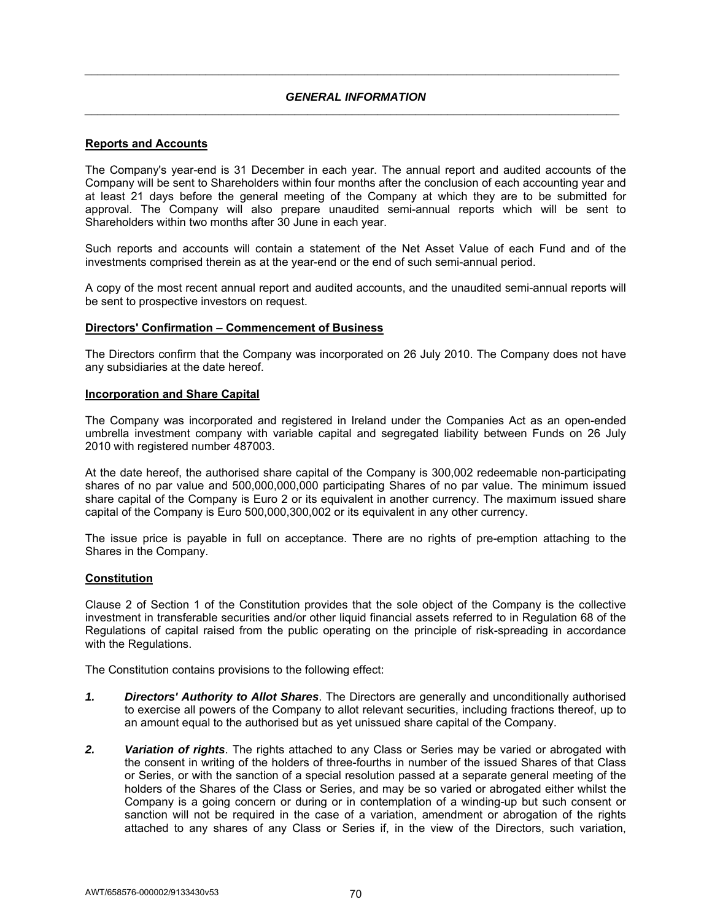## *GENERAL INFORMATION \_\_\_\_\_\_\_\_\_\_\_\_\_\_\_\_\_\_\_\_\_\_\_\_\_\_\_\_\_\_\_\_\_\_\_\_\_\_\_\_\_\_\_\_\_\_\_\_\_\_\_\_\_\_\_\_\_\_\_\_\_\_\_\_\_\_\_\_\_\_\_\_\_\_\_\_\_\_\_\_\_\_\_\_*

*\_\_\_\_\_\_\_\_\_\_\_\_\_\_\_\_\_\_\_\_\_\_\_\_\_\_\_\_\_\_\_\_\_\_\_\_\_\_\_\_\_\_\_\_\_\_\_\_\_\_\_\_\_\_\_\_\_\_\_\_\_\_\_\_\_\_\_\_\_\_\_\_\_\_\_\_\_\_\_\_\_\_\_\_* 

## **Reports and Accounts**

The Company's year-end is 31 December in each year. The annual report and audited accounts of the Company will be sent to Shareholders within four months after the conclusion of each accounting year and at least 21 days before the general meeting of the Company at which they are to be submitted for approval. The Company will also prepare unaudited semi-annual reports which will be sent to Shareholders within two months after 30 June in each year.

Such reports and accounts will contain a statement of the Net Asset Value of each Fund and of the investments comprised therein as at the year-end or the end of such semi-annual period.

A copy of the most recent annual report and audited accounts, and the unaudited semi-annual reports will be sent to prospective investors on request.

### **Directors' Confirmation – Commencement of Business**

The Directors confirm that the Company was incorporated on 26 July 2010. The Company does not have any subsidiaries at the date hereof.

### **Incorporation and Share Capital**

The Company was incorporated and registered in Ireland under the Companies Act as an open-ended umbrella investment company with variable capital and segregated liability between Funds on 26 July 2010 with registered number 487003.

At the date hereof, the authorised share capital of the Company is 300,002 redeemable non-participating shares of no par value and 500,000,000,000 participating Shares of no par value. The minimum issued share capital of the Company is Euro 2 or its equivalent in another currency. The maximum issued share capital of the Company is Euro 500,000,300,002 or its equivalent in any other currency.

The issue price is payable in full on acceptance. There are no rights of pre-emption attaching to the Shares in the Company.

## **Constitution**

Clause 2 of Section 1 of the Constitution provides that the sole object of the Company is the collective investment in transferable securities and/or other liquid financial assets referred to in Regulation 68 of the Regulations of capital raised from the public operating on the principle of risk-spreading in accordance with the Regulations.

The Constitution contains provisions to the following effect:

- *1. Directors' Authority to Allot Shares*. The Directors are generally and unconditionally authorised to exercise all powers of the Company to allot relevant securities, including fractions thereof, up to an amount equal to the authorised but as yet unissued share capital of the Company.
- *2. Variation of rights*. The rights attached to any Class or Series may be varied or abrogated with the consent in writing of the holders of three-fourths in number of the issued Shares of that Class or Series, or with the sanction of a special resolution passed at a separate general meeting of the holders of the Shares of the Class or Series, and may be so varied or abrogated either whilst the Company is a going concern or during or in contemplation of a winding-up but such consent or sanction will not be required in the case of a variation, amendment or abrogation of the rights attached to any shares of any Class or Series if, in the view of the Directors, such variation,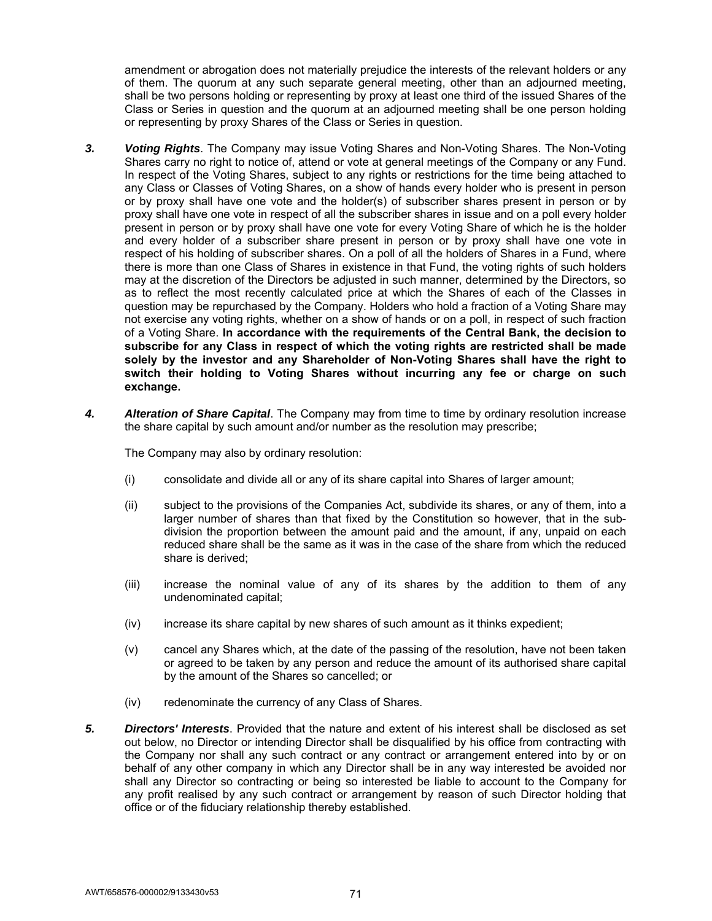amendment or abrogation does not materially prejudice the interests of the relevant holders or any of them. The quorum at any such separate general meeting, other than an adjourned meeting, shall be two persons holding or representing by proxy at least one third of the issued Shares of the Class or Series in question and the quorum at an adjourned meeting shall be one person holding or representing by proxy Shares of the Class or Series in question.

- *3. Voting Rights*. The Company may issue Voting Shares and Non-Voting Shares. The Non-Voting Shares carry no right to notice of, attend or vote at general meetings of the Company or any Fund. In respect of the Voting Shares, subject to any rights or restrictions for the time being attached to any Class or Classes of Voting Shares, on a show of hands every holder who is present in person or by proxy shall have one vote and the holder(s) of subscriber shares present in person or by proxy shall have one vote in respect of all the subscriber shares in issue and on a poll every holder present in person or by proxy shall have one vote for every Voting Share of which he is the holder and every holder of a subscriber share present in person or by proxy shall have one vote in respect of his holding of subscriber shares. On a poll of all the holders of Shares in a Fund, where there is more than one Class of Shares in existence in that Fund, the voting rights of such holders may at the discretion of the Directors be adjusted in such manner, determined by the Directors, so as to reflect the most recently calculated price at which the Shares of each of the Classes in question may be repurchased by the Company. Holders who hold a fraction of a Voting Share may not exercise any voting rights, whether on a show of hands or on a poll, in respect of such fraction of a Voting Share. **In accordance with the requirements of the Central Bank, the decision to subscribe for any Class in respect of which the voting rights are restricted shall be made solely by the investor and any Shareholder of Non-Voting Shares shall have the right to switch their holding to Voting Shares without incurring any fee or charge on such exchange.**
- *4. Alteration of Share Capital*. The Company may from time to time by ordinary resolution increase the share capital by such amount and/or number as the resolution may prescribe;

The Company may also by ordinary resolution:

- (i) consolidate and divide all or any of its share capital into Shares of larger amount;
- (ii) subject to the provisions of the Companies Act, subdivide its shares, or any of them, into a larger number of shares than that fixed by the Constitution so however, that in the subdivision the proportion between the amount paid and the amount, if any, unpaid on each reduced share shall be the same as it was in the case of the share from which the reduced share is derived;
- (iii) increase the nominal value of any of its shares by the addition to them of any undenominated capital;
- (iv) increase its share capital by new shares of such amount as it thinks expedient;
- (v) cancel any Shares which, at the date of the passing of the resolution, have not been taken or agreed to be taken by any person and reduce the amount of its authorised share capital by the amount of the Shares so cancelled; or
- (iv) redenominate the currency of any Class of Shares.
- *5. Directors' Interests*. Provided that the nature and extent of his interest shall be disclosed as set out below, no Director or intending Director shall be disqualified by his office from contracting with the Company nor shall any such contract or any contract or arrangement entered into by or on behalf of any other company in which any Director shall be in any way interested be avoided nor shall any Director so contracting or being so interested be liable to account to the Company for any profit realised by any such contract or arrangement by reason of such Director holding that office or of the fiduciary relationship thereby established.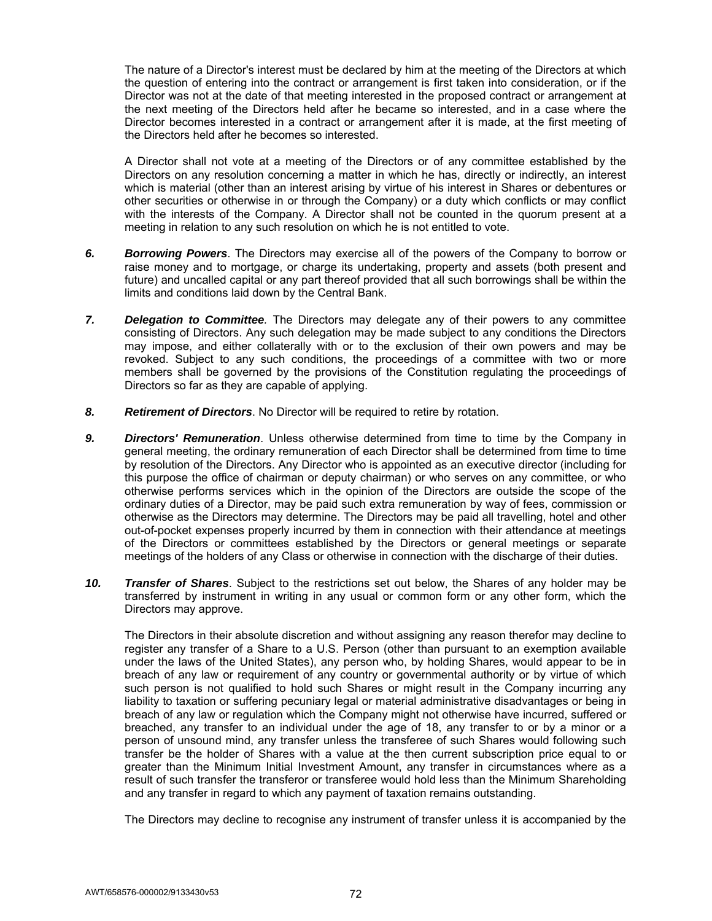The nature of a Director's interest must be declared by him at the meeting of the Directors at which the question of entering into the contract or arrangement is first taken into consideration, or if the Director was not at the date of that meeting interested in the proposed contract or arrangement at the next meeting of the Directors held after he became so interested, and in a case where the Director becomes interested in a contract or arrangement after it is made, at the first meeting of the Directors held after he becomes so interested.

A Director shall not vote at a meeting of the Directors or of any committee established by the Directors on any resolution concerning a matter in which he has, directly or indirectly, an interest which is material (other than an interest arising by virtue of his interest in Shares or debentures or other securities or otherwise in or through the Company) or a duty which conflicts or may conflict with the interests of the Company. A Director shall not be counted in the quorum present at a meeting in relation to any such resolution on which he is not entitled to vote.

- *6. Borrowing Powers*. The Directors may exercise all of the powers of the Company to borrow or raise money and to mortgage, or charge its undertaking, property and assets (both present and future) and uncalled capital or any part thereof provided that all such borrowings shall be within the limits and conditions laid down by the Central Bank.
- *7. Delegation to Committee.* The Directors may delegate any of their powers to any committee consisting of Directors. Any such delegation may be made subject to any conditions the Directors may impose, and either collaterally with or to the exclusion of their own powers and may be revoked. Subject to any such conditions, the proceedings of a committee with two or more members shall be governed by the provisions of the Constitution regulating the proceedings of Directors so far as they are capable of applying.
- *8. Retirement of Directors*. No Director will be required to retire by rotation.
- *9. Directors' Remuneration*. Unless otherwise determined from time to time by the Company in general meeting, the ordinary remuneration of each Director shall be determined from time to time by resolution of the Directors. Any Director who is appointed as an executive director (including for this purpose the office of chairman or deputy chairman) or who serves on any committee, or who otherwise performs services which in the opinion of the Directors are outside the scope of the ordinary duties of a Director, may be paid such extra remuneration by way of fees, commission or otherwise as the Directors may determine. The Directors may be paid all travelling, hotel and other out-of-pocket expenses properly incurred by them in connection with their attendance at meetings of the Directors or committees established by the Directors or general meetings or separate meetings of the holders of any Class or otherwise in connection with the discharge of their duties.
- *10. Transfer of Shares*. Subject to the restrictions set out below, the Shares of any holder may be transferred by instrument in writing in any usual or common form or any other form, which the Directors may approve.

 The Directors in their absolute discretion and without assigning any reason therefor may decline to register any transfer of a Share to a U.S. Person (other than pursuant to an exemption available under the laws of the United States), any person who, by holding Shares, would appear to be in breach of any law or requirement of any country or governmental authority or by virtue of which such person is not qualified to hold such Shares or might result in the Company incurring any liability to taxation or suffering pecuniary legal or material administrative disadvantages or being in breach of any law or regulation which the Company might not otherwise have incurred, suffered or breached, any transfer to an individual under the age of 18, any transfer to or by a minor or a person of unsound mind, any transfer unless the transferee of such Shares would following such transfer be the holder of Shares with a value at the then current subscription price equal to or greater than the Minimum Initial Investment Amount, any transfer in circumstances where as a result of such transfer the transferor or transferee would hold less than the Minimum Shareholding and any transfer in regard to which any payment of taxation remains outstanding.

The Directors may decline to recognise any instrument of transfer unless it is accompanied by the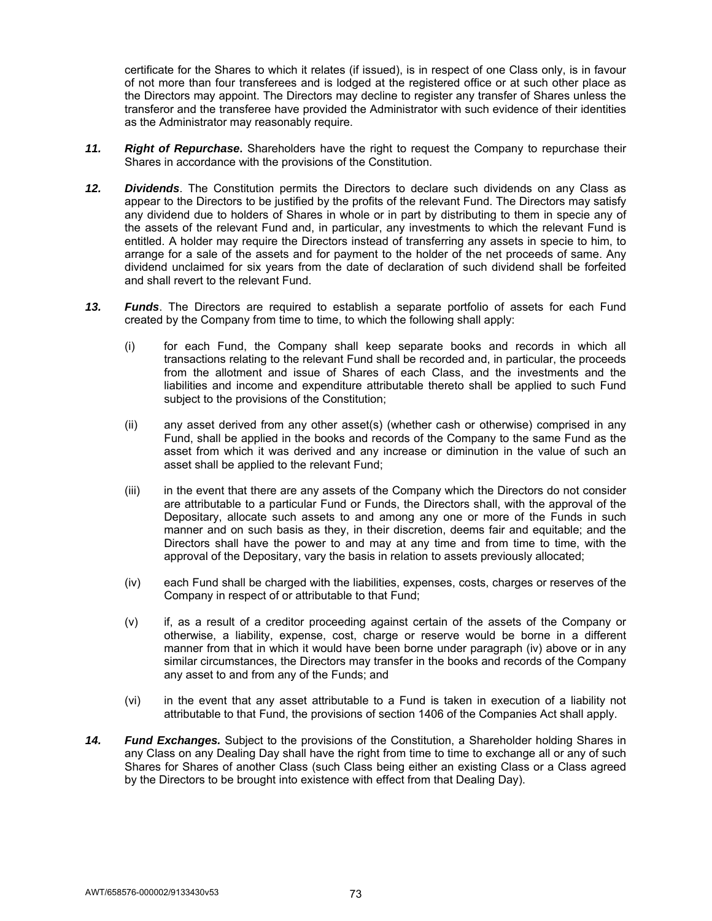certificate for the Shares to which it relates (if issued), is in respect of one Class only, is in favour of not more than four transferees and is lodged at the registered office or at such other place as the Directors may appoint. The Directors may decline to register any transfer of Shares unless the transferor and the transferee have provided the Administrator with such evidence of their identities as the Administrator may reasonably require.

- *11. Right of Repurchase***.** Shareholders have the right to request the Company to repurchase their Shares in accordance with the provisions of the Constitution.
- *12. Dividends*. The Constitution permits the Directors to declare such dividends on any Class as appear to the Directors to be justified by the profits of the relevant Fund. The Directors may satisfy any dividend due to holders of Shares in whole or in part by distributing to them in specie any of the assets of the relevant Fund and, in particular, any investments to which the relevant Fund is entitled. A holder may require the Directors instead of transferring any assets in specie to him, to arrange for a sale of the assets and for payment to the holder of the net proceeds of same. Any dividend unclaimed for six years from the date of declaration of such dividend shall be forfeited and shall revert to the relevant Fund.
- *13. Funds*. The Directors are required to establish a separate portfolio of assets for each Fund created by the Company from time to time, to which the following shall apply:
	- (i) for each Fund, the Company shall keep separate books and records in which all transactions relating to the relevant Fund shall be recorded and, in particular, the proceeds from the allotment and issue of Shares of each Class, and the investments and the liabilities and income and expenditure attributable thereto shall be applied to such Fund subject to the provisions of the Constitution;
	- (ii) any asset derived from any other asset(s) (whether cash or otherwise) comprised in any Fund, shall be applied in the books and records of the Company to the same Fund as the asset from which it was derived and any increase or diminution in the value of such an asset shall be applied to the relevant Fund;
	- (iii) in the event that there are any assets of the Company which the Directors do not consider are attributable to a particular Fund or Funds, the Directors shall, with the approval of the Depositary, allocate such assets to and among any one or more of the Funds in such manner and on such basis as they, in their discretion, deems fair and equitable; and the Directors shall have the power to and may at any time and from time to time, with the approval of the Depositary, vary the basis in relation to assets previously allocated;
	- (iv) each Fund shall be charged with the liabilities, expenses, costs, charges or reserves of the Company in respect of or attributable to that Fund;
	- (v) if, as a result of a creditor proceeding against certain of the assets of the Company or otherwise, a liability, expense, cost, charge or reserve would be borne in a different manner from that in which it would have been borne under paragraph (iv) above or in any similar circumstances, the Directors may transfer in the books and records of the Company any asset to and from any of the Funds; and
	- (vi) in the event that any asset attributable to a Fund is taken in execution of a liability not attributable to that Fund, the provisions of section 1406 of the Companies Act shall apply.
- *14. Fund Exchanges.* Subject to the provisions of the Constitution, a Shareholder holding Shares in any Class on any Dealing Day shall have the right from time to time to exchange all or any of such Shares for Shares of another Class (such Class being either an existing Class or a Class agreed by the Directors to be brought into existence with effect from that Dealing Day).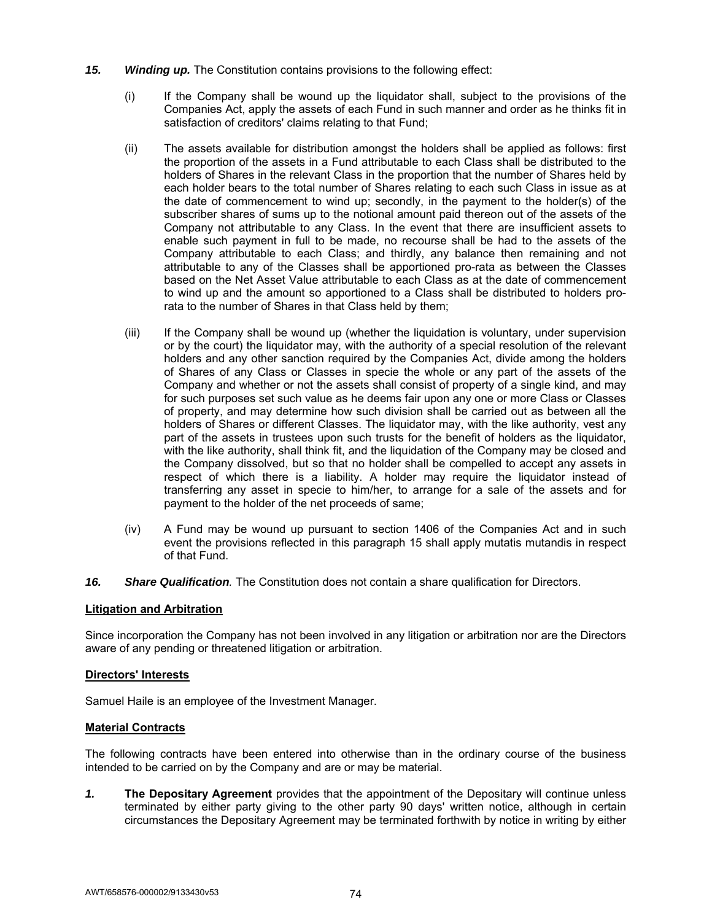- *15. Winding up.* The Constitution contains provisions to the following effect:
	- (i) If the Company shall be wound up the liquidator shall, subject to the provisions of the Companies Act, apply the assets of each Fund in such manner and order as he thinks fit in satisfaction of creditors' claims relating to that Fund;
	- (ii) The assets available for distribution amongst the holders shall be applied as follows: first the proportion of the assets in a Fund attributable to each Class shall be distributed to the holders of Shares in the relevant Class in the proportion that the number of Shares held by each holder bears to the total number of Shares relating to each such Class in issue as at the date of commencement to wind up; secondly, in the payment to the holder(s) of the subscriber shares of sums up to the notional amount paid thereon out of the assets of the Company not attributable to any Class. In the event that there are insufficient assets to enable such payment in full to be made, no recourse shall be had to the assets of the Company attributable to each Class; and thirdly, any balance then remaining and not attributable to any of the Classes shall be apportioned pro-rata as between the Classes based on the Net Asset Value attributable to each Class as at the date of commencement to wind up and the amount so apportioned to a Class shall be distributed to holders prorata to the number of Shares in that Class held by them;
	- (iii) If the Company shall be wound up (whether the liquidation is voluntary, under supervision or by the court) the liquidator may, with the authority of a special resolution of the relevant holders and any other sanction required by the Companies Act, divide among the holders of Shares of any Class or Classes in specie the whole or any part of the assets of the Company and whether or not the assets shall consist of property of a single kind, and may for such purposes set such value as he deems fair upon any one or more Class or Classes of property, and may determine how such division shall be carried out as between all the holders of Shares or different Classes. The liquidator may, with the like authority, vest any part of the assets in trustees upon such trusts for the benefit of holders as the liquidator, with the like authority, shall think fit, and the liquidation of the Company may be closed and the Company dissolved, but so that no holder shall be compelled to accept any assets in respect of which there is a liability. A holder may require the liquidator instead of transferring any asset in specie to him/her, to arrange for a sale of the assets and for payment to the holder of the net proceeds of same;
	- (iv) A Fund may be wound up pursuant to section 1406 of the Companies Act and in such event the provisions reflected in this paragraph 15 shall apply mutatis mutandis in respect of that Fund.
- *16. Share Qualification.* The Constitution does not contain a share qualification for Directors.

# **Litigation and Arbitration**

Since incorporation the Company has not been involved in any litigation or arbitration nor are the Directors aware of any pending or threatened litigation or arbitration.

# **Directors' Interests**

Samuel Haile is an employee of the Investment Manager.

# **Material Contracts**

The following contracts have been entered into otherwise than in the ordinary course of the business intended to be carried on by the Company and are or may be material.

*1.* **The Depositary Agreement** provides that the appointment of the Depositary will continue unless terminated by either party giving to the other party 90 days' written notice, although in certain circumstances the Depositary Agreement may be terminated forthwith by notice in writing by either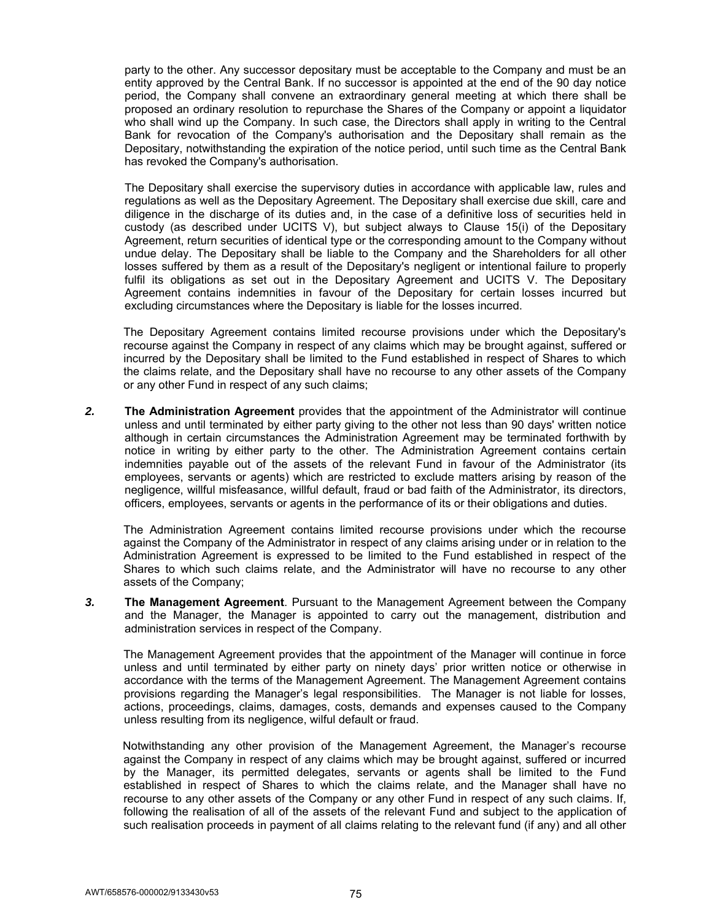party to the other. Any successor depositary must be acceptable to the Company and must be an entity approved by the Central Bank. If no successor is appointed at the end of the 90 day notice period, the Company shall convene an extraordinary general meeting at which there shall be proposed an ordinary resolution to repurchase the Shares of the Company or appoint a liquidator who shall wind up the Company. In such case, the Directors shall apply in writing to the Central Bank for revocation of the Company's authorisation and the Depositary shall remain as the Depositary, notwithstanding the expiration of the notice period, until such time as the Central Bank has revoked the Company's authorisation.

The Depositary shall exercise the supervisory duties in accordance with applicable law, rules and regulations as well as the Depositary Agreement. The Depositary shall exercise due skill, care and diligence in the discharge of its duties and, in the case of a definitive loss of securities held in custody (as described under UCITS V), but subject always to Clause 15(i) of the Depositary Agreement, return securities of identical type or the corresponding amount to the Company without undue delay. The Depositary shall be liable to the Company and the Shareholders for all other losses suffered by them as a result of the Depositary's negligent or intentional failure to properly fulfil its obligations as set out in the Depositary Agreement and UCITS V. The Depositary Agreement contains indemnities in favour of the Depositary for certain losses incurred but excluding circumstances where the Depositary is liable for the losses incurred.

The Depositary Agreement contains limited recourse provisions under which the Depositary's recourse against the Company in respect of any claims which may be brought against, suffered or incurred by the Depositary shall be limited to the Fund established in respect of Shares to which the claims relate, and the Depositary shall have no recourse to any other assets of the Company or any other Fund in respect of any such claims;

*2.* **The Administration Agreement** provides that the appointment of the Administrator will continue unless and until terminated by either party giving to the other not less than 90 days' written notice although in certain circumstances the Administration Agreement may be terminated forthwith by notice in writing by either party to the other. The Administration Agreement contains certain indemnities payable out of the assets of the relevant Fund in favour of the Administrator (its employees, servants or agents) which are restricted to exclude matters arising by reason of the negligence, willful misfeasance, willful default, fraud or bad faith of the Administrator, its directors, officers, employees, servants or agents in the performance of its or their obligations and duties.

The Administration Agreement contains limited recourse provisions under which the recourse against the Company of the Administrator in respect of any claims arising under or in relation to the Administration Agreement is expressed to be limited to the Fund established in respect of the Shares to which such claims relate, and the Administrator will have no recourse to any other assets of the Company;

*3.* **The Management Agreement**. Pursuant to the Management Agreement between the Company and the Manager, the Manager is appointed to carry out the management, distribution and administration services in respect of the Company.

The Management Agreement provides that the appointment of the Manager will continue in force unless and until terminated by either party on ninety days' prior written notice or otherwise in accordance with the terms of the Management Agreement. The Management Agreement contains provisions regarding the Manager's legal responsibilities. The Manager is not liable for losses, actions, proceedings, claims, damages, costs, demands and expenses caused to the Company unless resulting from its negligence, wilful default or fraud.

Notwithstanding any other provision of the Management Agreement, the Manager's recourse against the Company in respect of any claims which may be brought against, suffered or incurred by the Manager, its permitted delegates, servants or agents shall be limited to the Fund established in respect of Shares to which the claims relate, and the Manager shall have no recourse to any other assets of the Company or any other Fund in respect of any such claims. If, following the realisation of all of the assets of the relevant Fund and subject to the application of such realisation proceeds in payment of all claims relating to the relevant fund (if any) and all other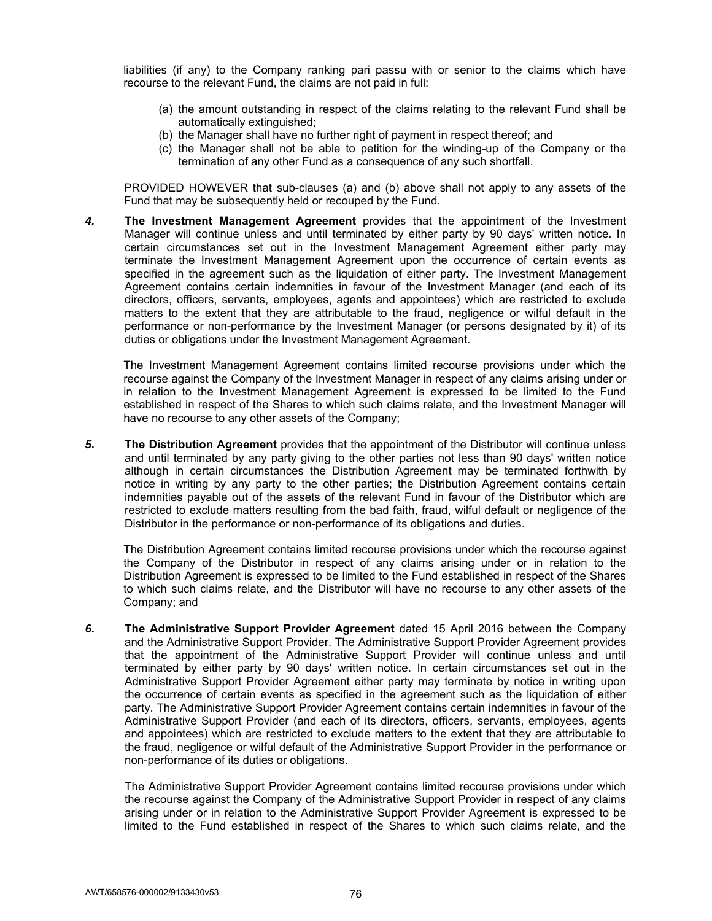liabilities (if any) to the Company ranking pari passu with or senior to the claims which have recourse to the relevant Fund, the claims are not paid in full:

- (a) the amount outstanding in respect of the claims relating to the relevant Fund shall be automatically extinguished;
- (b) the Manager shall have no further right of payment in respect thereof; and
- (c) the Manager shall not be able to petition for the winding-up of the Company or the termination of any other Fund as a consequence of any such shortfall.

 PROVIDED HOWEVER that sub-clauses (a) and (b) above shall not apply to any assets of the Fund that may be subsequently held or recouped by the Fund.

*4.* **The Investment Management Agreement** provides that the appointment of the Investment Manager will continue unless and until terminated by either party by 90 days' written notice. In certain circumstances set out in the Investment Management Agreement either party may terminate the Investment Management Agreement upon the occurrence of certain events as specified in the agreement such as the liquidation of either party. The Investment Management Agreement contains certain indemnities in favour of the Investment Manager (and each of its directors, officers, servants, employees, agents and appointees) which are restricted to exclude matters to the extent that they are attributable to the fraud, negligence or wilful default in the performance or non-performance by the Investment Manager (or persons designated by it) of its duties or obligations under the Investment Management Agreement.

 The Investment Management Agreement contains limited recourse provisions under which the recourse against the Company of the Investment Manager in respect of any claims arising under or in relation to the Investment Management Agreement is expressed to be limited to the Fund established in respect of the Shares to which such claims relate, and the Investment Manager will have no recourse to any other assets of the Company;

*5.* **The Distribution Agreement** provides that the appointment of the Distributor will continue unless and until terminated by any party giving to the other parties not less than 90 days' written notice although in certain circumstances the Distribution Agreement may be terminated forthwith by notice in writing by any party to the other parties; the Distribution Agreement contains certain indemnities payable out of the assets of the relevant Fund in favour of the Distributor which are restricted to exclude matters resulting from the bad faith, fraud, wilful default or negligence of the Distributor in the performance or non-performance of its obligations and duties.

The Distribution Agreement contains limited recourse provisions under which the recourse against the Company of the Distributor in respect of any claims arising under or in relation to the Distribution Agreement is expressed to be limited to the Fund established in respect of the Shares to which such claims relate, and the Distributor will have no recourse to any other assets of the Company; and

*6.* **The Administrative Support Provider Agreement** dated 15 April 2016 between the Company and the Administrative Support Provider. The Administrative Support Provider Agreement provides that the appointment of the Administrative Support Provider will continue unless and until terminated by either party by 90 days' written notice. In certain circumstances set out in the Administrative Support Provider Agreement either party may terminate by notice in writing upon the occurrence of certain events as specified in the agreement such as the liquidation of either party. The Administrative Support Provider Agreement contains certain indemnities in favour of the Administrative Support Provider (and each of its directors, officers, servants, employees, agents and appointees) which are restricted to exclude matters to the extent that they are attributable to the fraud, negligence or wilful default of the Administrative Support Provider in the performance or non-performance of its duties or obligations.

The Administrative Support Provider Agreement contains limited recourse provisions under which the recourse against the Company of the Administrative Support Provider in respect of any claims arising under or in relation to the Administrative Support Provider Agreement is expressed to be limited to the Fund established in respect of the Shares to which such claims relate, and the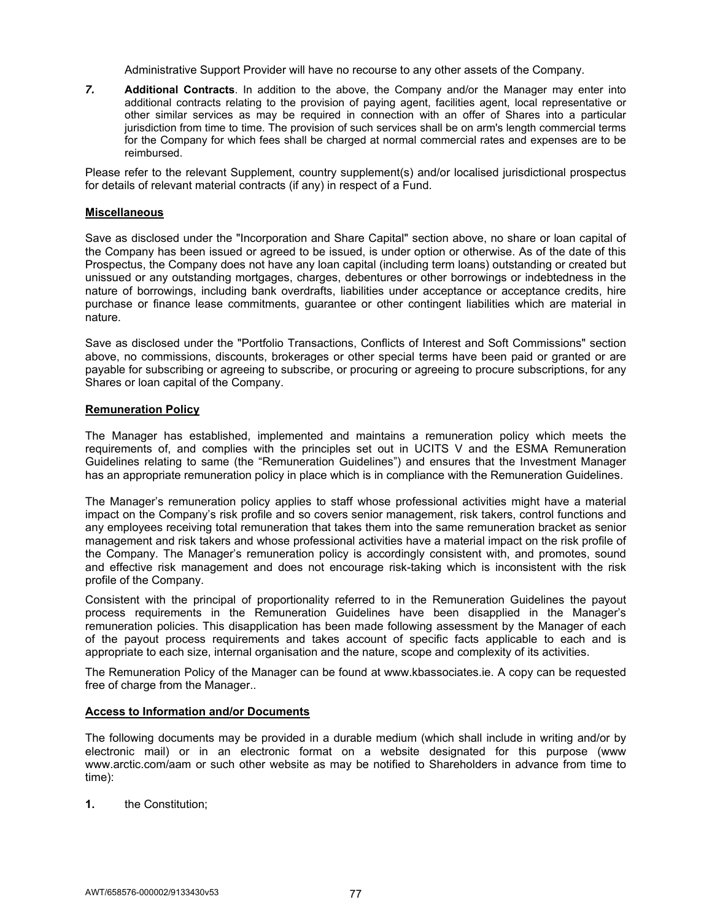Administrative Support Provider will have no recourse to any other assets of the Company.

*7.* **Additional Contracts**. In addition to the above, the Company and/or the Manager may enter into additional contracts relating to the provision of paying agent, facilities agent, local representative or other similar services as may be required in connection with an offer of Shares into a particular jurisdiction from time to time. The provision of such services shall be on arm's length commercial terms for the Company for which fees shall be charged at normal commercial rates and expenses are to be reimbursed.

Please refer to the relevant Supplement, country supplement(s) and/or localised jurisdictional prospectus for details of relevant material contracts (if any) in respect of a Fund.

# **Miscellaneous**

Save as disclosed under the "Incorporation and Share Capital" section above, no share or loan capital of the Company has been issued or agreed to be issued, is under option or otherwise. As of the date of this Prospectus, the Company does not have any loan capital (including term loans) outstanding or created but unissued or any outstanding mortgages, charges, debentures or other borrowings or indebtedness in the nature of borrowings, including bank overdrafts, liabilities under acceptance or acceptance credits, hire purchase or finance lease commitments, guarantee or other contingent liabilities which are material in nature.

Save as disclosed under the "Portfolio Transactions, Conflicts of Interest and Soft Commissions" section above, no commissions, discounts, brokerages or other special terms have been paid or granted or are payable for subscribing or agreeing to subscribe, or procuring or agreeing to procure subscriptions, for any Shares or loan capital of the Company.

# **Remuneration Policy**

The Manager has established, implemented and maintains a remuneration policy which meets the requirements of, and complies with the principles set out in UCITS V and the ESMA Remuneration Guidelines relating to same (the "Remuneration Guidelines") and ensures that the Investment Manager has an appropriate remuneration policy in place which is in compliance with the Remuneration Guidelines.

The Manager's remuneration policy applies to staff whose professional activities might have a material impact on the Company's risk profile and so covers senior management, risk takers, control functions and any employees receiving total remuneration that takes them into the same remuneration bracket as senior management and risk takers and whose professional activities have a material impact on the risk profile of the Company. The Manager's remuneration policy is accordingly consistent with, and promotes, sound and effective risk management and does not encourage risk-taking which is inconsistent with the risk profile of the Company.

Consistent with the principal of proportionality referred to in the Remuneration Guidelines the payout process requirements in the Remuneration Guidelines have been disapplied in the Manager's remuneration policies. This disapplication has been made following assessment by the Manager of each of the payout process requirements and takes account of specific facts applicable to each and is appropriate to each size, internal organisation and the nature, scope and complexity of its activities.

The Remuneration Policy of the Manager can be found at www.kbassociates.ie. A copy can be requested free of charge from the Manager..

# **Access to Information and/or Documents**

The following documents may be provided in a durable medium (which shall include in writing and/or by electronic mail) or in an electronic format on a website designated for this purpose (www www.arctic.com/aam or such other website as may be notified to Shareholders in advance from time to time):

**1.** the Constitution;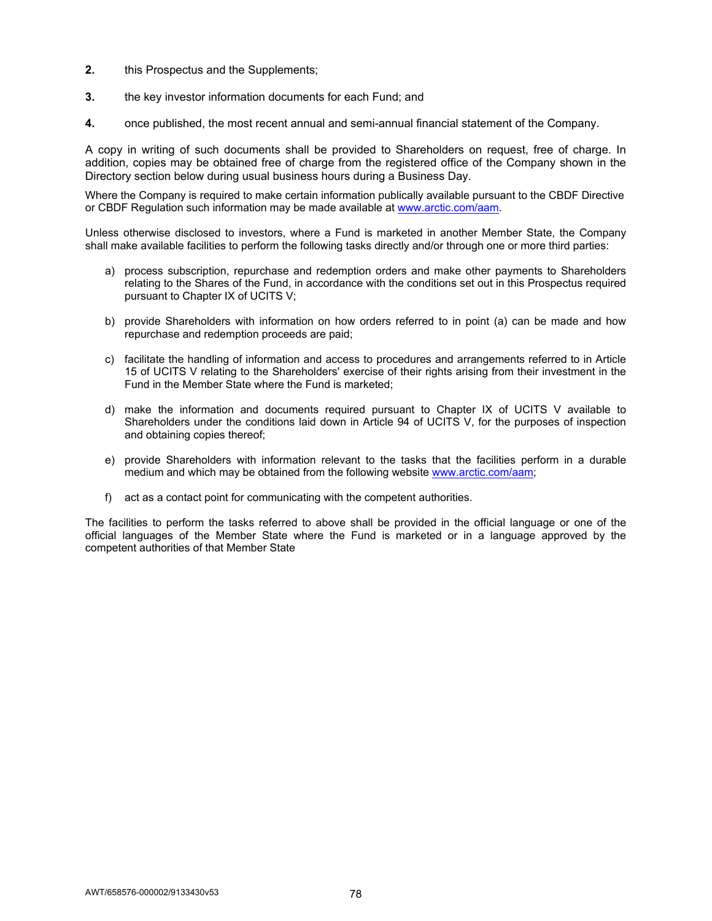- **2.** this Prospectus and the Supplements;
- **3.** the key investor information documents for each Fund; and
- **4.** once published, the most recent annual and semi-annual financial statement of the Company.

A copy in writing of such documents shall be provided to Shareholders on request, free of charge. In addition, copies may be obtained free of charge from the registered office of the Company shown in the Directory section below during usual business hours during a Business Day.

Where the Company is required to make certain information publically available pursuant to the CBDF Directive or CBDF Regulation such information may be made available at www.arctic.com/aam.

Unless otherwise disclosed to investors, where a Fund is marketed in another Member State, the Company shall make available facilities to perform the following tasks directly and/or through one or more third parties:

- a) process subscription, repurchase and redemption orders and make other payments to Shareholders relating to the Shares of the Fund, in accordance with the conditions set out in this Prospectus required pursuant to Chapter IX of UCITS V;
- b) provide Shareholders with information on how orders referred to in point (a) can be made and how repurchase and redemption proceeds are paid;
- c) facilitate the handling of information and access to procedures and arrangements referred to in Article 15 of UCITS V relating to the Shareholders' exercise of their rights arising from their investment in the Fund in the Member State where the Fund is marketed;
- d) make the information and documents required pursuant to Chapter IX of UCITS V available to Shareholders under the conditions laid down in Article 94 of UCITS V, for the purposes of inspection and obtaining copies thereof;
- e) provide Shareholders with information relevant to the tasks that the facilities perform in a durable medium and which may be obtained from the following website www.arctic.com/aam;
- f) act as a contact point for communicating with the competent authorities.

The facilities to perform the tasks referred to above shall be provided in the official language or one of the official languages of the Member State where the Fund is marketed or in a language approved by the competent authorities of that Member State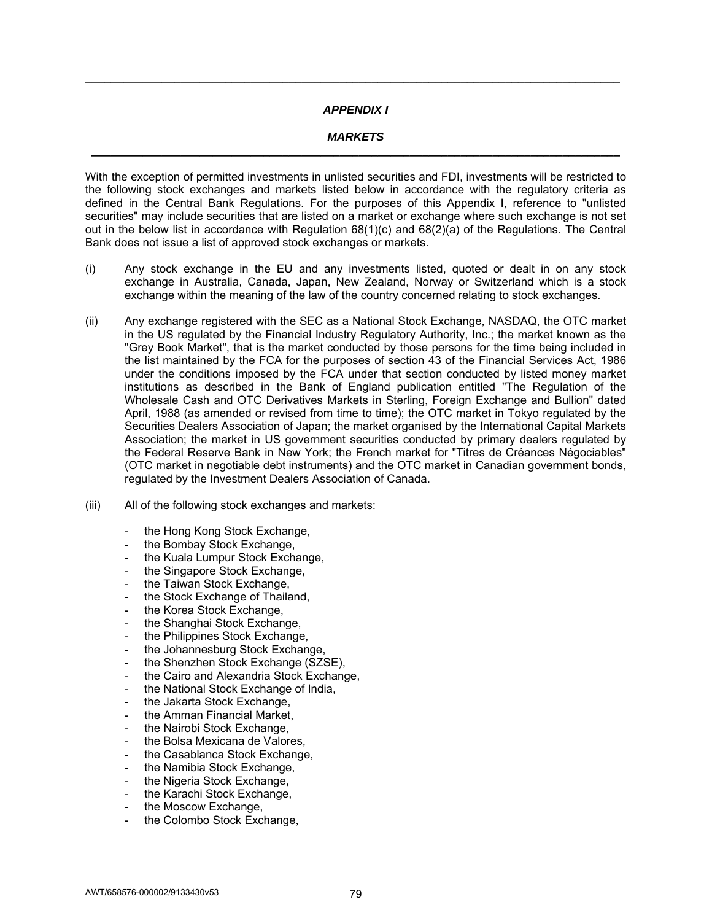# *APPENDIX I*

**\_\_\_\_\_\_\_\_\_\_\_\_\_\_\_\_\_\_\_\_\_\_\_\_\_\_\_\_\_\_\_\_\_\_\_\_\_\_\_\_\_\_\_\_\_\_\_\_\_\_\_\_\_\_\_\_\_\_\_\_\_\_\_\_\_\_\_\_\_\_\_\_\_\_\_\_\_\_\_\_\_\_\_\_** 

### *MARKETS*  **\_\_\_\_\_\_\_\_\_\_\_\_\_\_\_\_\_\_\_\_\_\_\_\_\_\_\_\_\_\_\_\_\_\_\_\_\_\_\_\_\_\_\_\_\_\_\_\_\_\_\_\_\_\_\_\_\_\_\_\_\_\_\_\_\_\_\_\_\_\_\_\_\_\_\_\_\_\_\_\_\_\_\_**

With the exception of permitted investments in unlisted securities and FDI, investments will be restricted to the following stock exchanges and markets listed below in accordance with the regulatory criteria as defined in the Central Bank Regulations. For the purposes of this Appendix I, reference to "unlisted securities" may include securities that are listed on a market or exchange where such exchange is not set out in the below list in accordance with Regulation 68(1)(c) and 68(2)(a) of the Regulations. The Central Bank does not issue a list of approved stock exchanges or markets.

- (i) Any stock exchange in the EU and any investments listed, quoted or dealt in on any stock exchange in Australia, Canada, Japan, New Zealand, Norway or Switzerland which is a stock exchange within the meaning of the law of the country concerned relating to stock exchanges.
- (ii) Any exchange registered with the SEC as a National Stock Exchange, NASDAQ, the OTC market in the US regulated by the Financial Industry Regulatory Authority, Inc.; the market known as the "Grey Book Market", that is the market conducted by those persons for the time being included in the list maintained by the FCA for the purposes of section 43 of the Financial Services Act, 1986 under the conditions imposed by the FCA under that section conducted by listed money market institutions as described in the Bank of England publication entitled "The Regulation of the Wholesale Cash and OTC Derivatives Markets in Sterling, Foreign Exchange and Bullion" dated April, 1988 (as amended or revised from time to time); the OTC market in Tokyo regulated by the Securities Dealers Association of Japan; the market organised by the International Capital Markets Association; the market in US government securities conducted by primary dealers regulated by the Federal Reserve Bank in New York; the French market for "Titres de Créances Négociables" (OTC market in negotiable debt instruments) and the OTC market in Canadian government bonds, regulated by the Investment Dealers Association of Canada.
- (iii) All of the following stock exchanges and markets:
	- the Hong Kong Stock Exchange,
	- the Bombay Stock Exchange,
	- the Kuala Lumpur Stock Exchange,
	- the Singapore Stock Exchange,
	- the Taiwan Stock Exchange.
	- the Stock Exchange of Thailand,
	- the Korea Stock Exchange,
	- the Shanghai Stock Exchange,
	- the Philippines Stock Exchange,
	- the Johannesburg Stock Exchange,
	- the Shenzhen Stock Exchange (SZSE),
	- the Cairo and Alexandria Stock Exchange,
	- the National Stock Exchange of India,
	- the Jakarta Stock Exchange,
	- the Amman Financial Market,
	- the Nairobi Stock Exchange,
	- the Bolsa Mexicana de Valores,
	- the Casablanca Stock Exchange,
	- the Namibia Stock Exchange,
	- the Nigeria Stock Exchange,
	- the Karachi Stock Exchange,
	- the Moscow Exchange,
	- the Colombo Stock Exchange,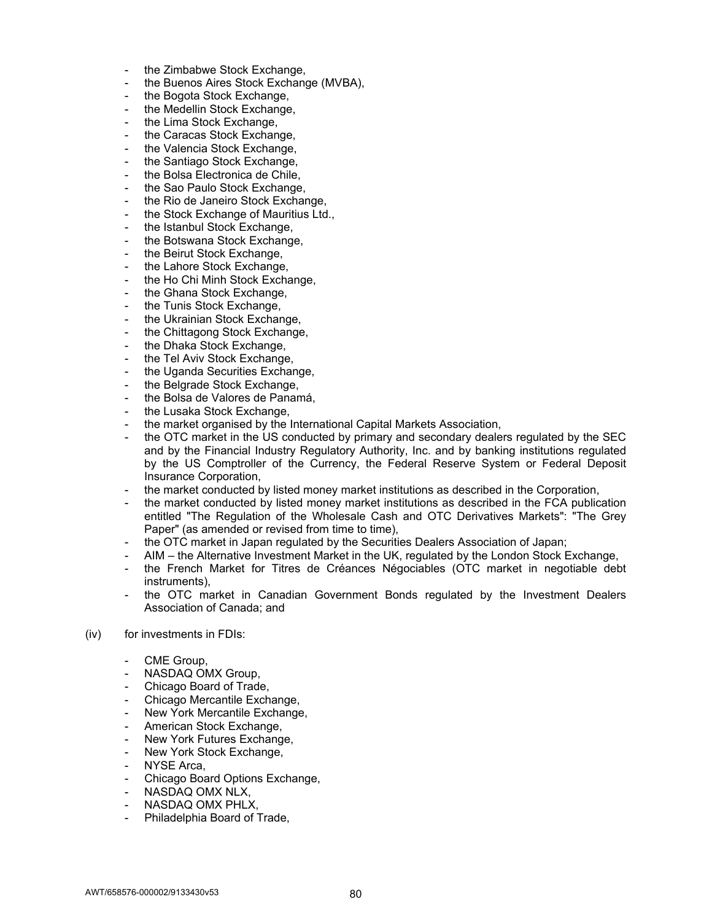- the Zimbabwe Stock Exchange,
- the Buenos Aires Stock Exchange (MVBA),
- the Bogota Stock Exchange,
- the Medellin Stock Exchange,
- the Lima Stock Exchange,
- the Caracas Stock Exchange,
- the Valencia Stock Exchange,
- the Santiago Stock Exchange,
- the Bolsa Electronica de Chile.
- the Sao Paulo Stock Exchange,
- the Rio de Janeiro Stock Exchange,
- the Stock Exchange of Mauritius Ltd.,
- the Istanbul Stock Exchange.
- the Botswana Stock Exchange,
- the Beirut Stock Exchange,
- the Lahore Stock Exchange,
- the Ho Chi Minh Stock Exchange.
- the Ghana Stock Exchange,
- the Tunis Stock Exchange,
- the Ukrainian Stock Exchange,
- the Chittagong Stock Exchange,
- the Dhaka Stock Exchange,
- the Tel Aviv Stock Exchange,
- the Uganda Securities Exchange,
- the Belgrade Stock Exchange,
- the Bolsa de Valores de Panamá,
- the Lusaka Stock Exchange,
- the market organised by the International Capital Markets Association,
- the OTC market in the US conducted by primary and secondary dealers regulated by the SEC and by the Financial Industry Regulatory Authority, Inc. and by banking institutions regulated by the US Comptroller of the Currency, the Federal Reserve System or Federal Deposit Insurance Corporation,
- the market conducted by listed money market institutions as described in the Corporation,
- the market conducted by listed money market institutions as described in the FCA publication entitled "The Regulation of the Wholesale Cash and OTC Derivatives Markets": "The Grey Paper" (as amended or revised from time to time),
- the OTC market in Japan regulated by the Securities Dealers Association of Japan;
- AIM the Alternative Investment Market in the UK, regulated by the London Stock Exchange,
- the French Market for Titres de Créances Négociables (OTC market in negotiable debt instruments),
- the OTC market in Canadian Government Bonds regulated by the Investment Dealers Association of Canada; and
- (iv) for investments in FDIs:
	- CME Group,
	- NASDAQ OMX Group,
	- Chicago Board of Trade,
	- Chicago Mercantile Exchange,
	- New York Mercantile Exchange,
	- American Stock Exchange,
	- New York Futures Exchange,
	- New York Stock Exchange,
	- NYSE Arca,
	- Chicago Board Options Exchange,
	- NASDAQ OMX NLX,
	- NASDAQ OMX PHLX,
	- Philadelphia Board of Trade,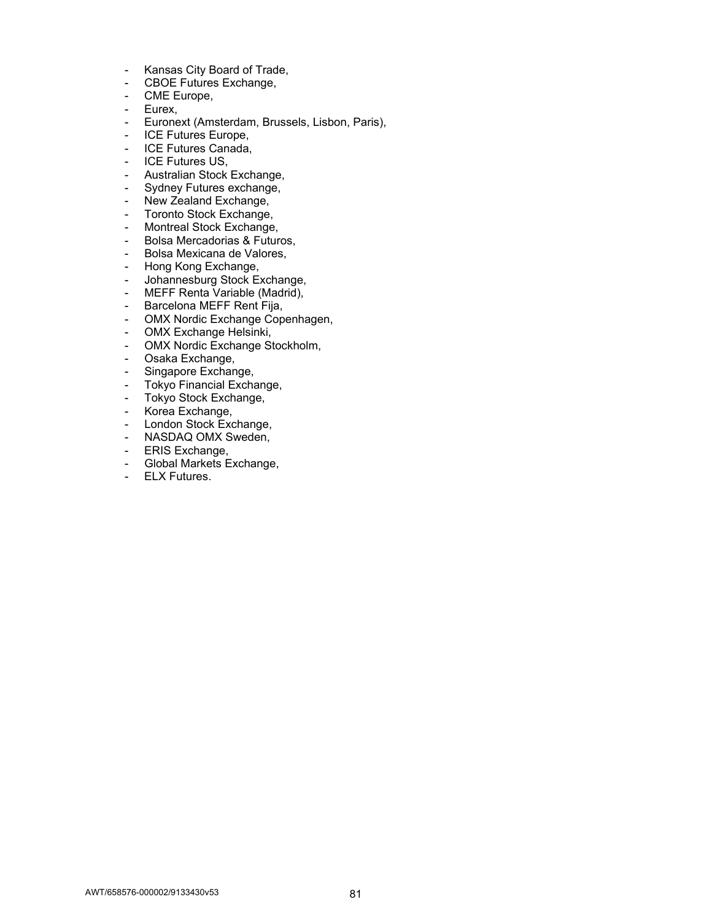- Kansas City Board of Trade,
- CBOE Futures Exchange,
- CME Europe,
- Eurex,
- Euronext (Amsterdam, Brussels, Lisbon, Paris),
- ICE Futures Europe,
- ICE Futures Canada,
- ICE Futures US,
- Australian Stock Exchange,
- Sydney Futures exchange,
- New Zealand Exchange,
- Toronto Stock Exchange,
- Montreal Stock Exchange,
- Bolsa Mercadorias & Futuros,
- Bolsa Mexicana de Valores,
- Hong Kong Exchange,
- Johannesburg Stock Exchange,
- MEFF Renta Variable (Madrid),
- Barcelona MEFF Rent Fija,
- OMX Nordic Exchange Copenhagen,
- OMX Exchange Helsinki,
- OMX Nordic Exchange Stockholm,
- Osaka Exchange,
- Singapore Exchange,
- Tokyo Financial Exchange,
- Tokyo Stock Exchange,
- Korea Exchange,
- London Stock Exchange,
- NASDAQ OMX Sweden,
- ERIS Exchange,
- Global Markets Exchange,
- ELX Futures.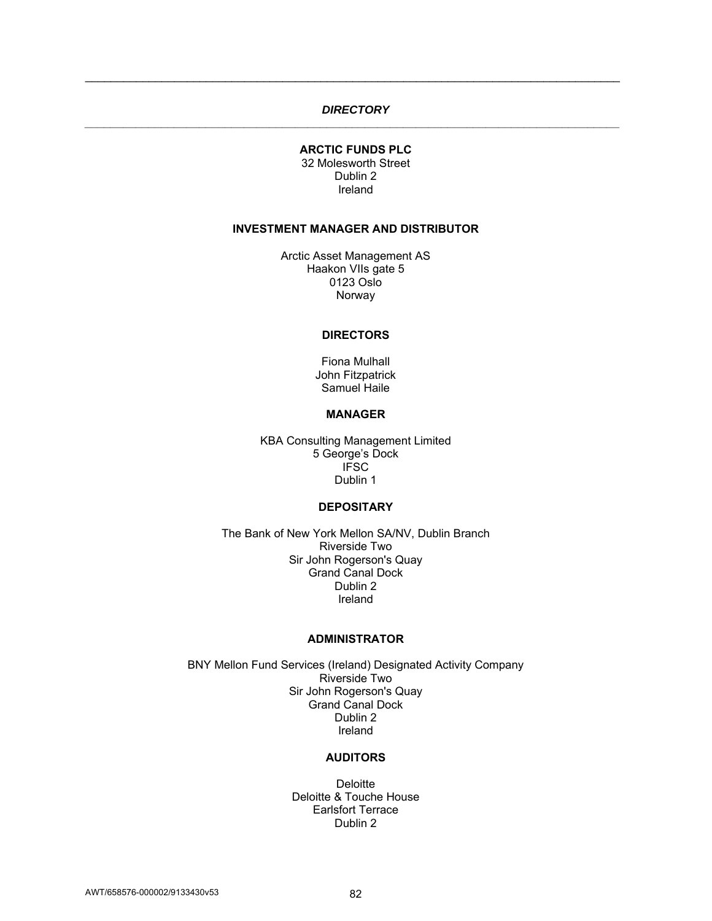# *DIRECTORY \_\_\_\_\_\_\_\_\_\_\_\_\_\_\_\_\_\_\_\_\_\_\_\_\_\_\_\_\_\_\_\_\_\_\_\_\_\_\_\_\_\_\_\_\_\_\_\_\_\_\_\_\_\_\_\_\_\_\_\_\_\_\_\_\_\_\_\_\_\_\_\_\_\_\_\_\_\_\_\_\_\_\_\_*

\_\_\_\_\_\_\_\_\_\_\_\_\_\_\_\_\_\_\_\_\_\_\_\_\_\_\_\_\_\_\_\_\_\_\_\_\_\_\_\_\_\_\_\_\_\_\_\_\_\_\_\_\_\_\_\_\_\_\_\_\_\_\_\_\_\_\_\_\_\_\_\_\_\_\_\_\_\_\_\_\_\_\_\_

# **ARCTIC FUNDS PLC**  32 Molesworth Street Dublin 2 Ireland

#### **INVESTMENT MANAGER AND DISTRIBUTOR**

Arctic Asset Management AS Haakon VIIs gate 5 0123 Oslo Norway

#### **DIRECTORS**

Fiona Mulhall John Fitzpatrick Samuel Haile

#### **MANAGER**

KBA Consulting Management Limited 5 George's Dock **IFSC** Dublin 1

# **DEPOSITARY**

The Bank of New York Mellon SA/NV, Dublin Branch Riverside Two Sir John Rogerson's Quay Grand Canal Dock Dublin 2 Ireland

#### **ADMINISTRATOR**

BNY Mellon Fund Services (Ireland) Designated Activity Company Riverside Two Sir John Rogerson's Quay Grand Canal Dock Dublin 2 Ireland

# **AUDITORS**

**Deloitte** Deloitte & Touche House Earlsfort Terrace Dublin 2